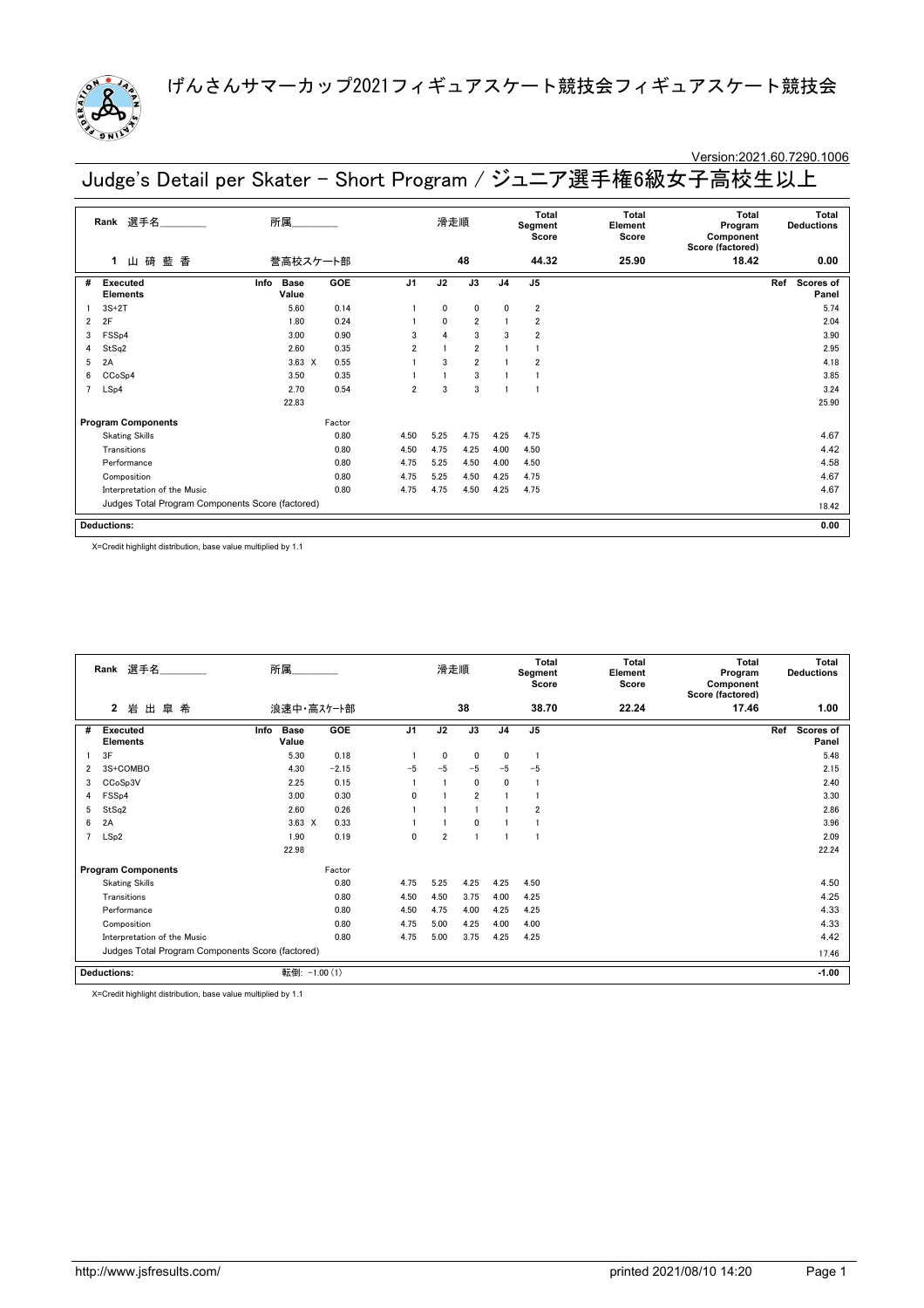

### Version:2021.60.7290.1006

Judge's Detail per Skater - Short Program / ジュニア選手権6級女子高校生以上

|                | 選手名<br>Rank                                      | 所属                           |        |                | 滑走順          |                |                | Total<br>Segment<br>Score | <b>Total</b><br>Element<br>Score | Total<br>Program<br>Component<br>Score (factored) | Total<br><b>Deductions</b> |
|----------------|--------------------------------------------------|------------------------------|--------|----------------|--------------|----------------|----------------|---------------------------|----------------------------------|---------------------------------------------------|----------------------------|
|                | 碕 藍<br>香<br>1<br>Щ                               | 誉高校スケート部                     |        |                |              | 48             |                | 44.32                     | 25.90                            | 18.42                                             | 0.00                       |
| #              | <b>Executed</b><br><b>Elements</b>               | <b>Base</b><br>Info<br>Value | GOE    | J <sub>1</sub> | J2           | J3             | J <sub>4</sub> | J <sub>5</sub>            |                                  |                                                   | Ref<br>Scores of<br>Panel  |
|                | $3S+2T$                                          | 5.60                         | 0.14   |                | 0            | 0              | 0              | $\overline{\mathbf{2}}$   |                                  |                                                   | 5.74                       |
| $\overline{2}$ | 2F                                               | 1.80                         | 0.24   |                | $\mathbf{0}$ | $\overline{2}$ |                | $\overline{2}$            |                                  |                                                   | 2.04                       |
| 3              | FSSp4                                            | 3.00                         | 0.90   | $\mathbf{3}$   | $\Delta$     | 3              | 3              | $\overline{2}$            |                                  |                                                   | 3.90                       |
| 4              | StSq2                                            | 2.60                         | 0.35   | $\overline{2}$ |              | $\overline{2}$ |                |                           |                                  |                                                   | 2.95                       |
| 5              | 2A                                               | $3.63 \times$                | 0.55   |                | 3            | $\overline{2}$ |                | $\overline{2}$            |                                  |                                                   | 4.18                       |
| 6              | CCoSp4                                           | 3.50                         | 0.35   |                |              | 3              |                |                           |                                  |                                                   | 3.85                       |
| $\overline{7}$ | LSp4                                             | 2.70                         | 0.54   | 2              | 3            | 3              |                |                           |                                  |                                                   | 3.24                       |
|                |                                                  | 22.83                        |        |                |              |                |                |                           |                                  |                                                   | 25.90                      |
|                | <b>Program Components</b>                        |                              | Factor |                |              |                |                |                           |                                  |                                                   |                            |
|                | <b>Skating Skills</b>                            |                              | 0.80   | 4.50           | 5.25         | 4.75           | 4.25           | 4.75                      |                                  |                                                   | 4.67                       |
|                | Transitions                                      |                              | 0.80   | 4.50           | 4.75         | 4.25           | 4.00           | 4.50                      |                                  |                                                   | 4.42                       |
|                | Performance                                      |                              | 0.80   | 4.75           | 5.25         | 4.50           | 4.00           | 4.50                      |                                  |                                                   | 4.58                       |
|                | Composition                                      |                              | 0.80   | 4.75           | 5.25         | 4.50           | 4.25           | 4.75                      |                                  |                                                   | 4.67                       |
|                | Interpretation of the Music                      |                              | 0.80   | 4.75           | 4.75         | 4.50           | 4.25           | 4.75                      |                                  |                                                   | 4.67                       |
|                | Judges Total Program Components Score (factored) |                              |        |                |              |                |                |                           |                                  |                                                   | 18.42                      |
|                | <b>Deductions:</b>                               |                              |        |                |              |                |                |                           |                                  |                                                   | 0.00                       |

X=Credit highlight distribution, base value multiplied by 1.1

|   | Rank 選手名<br>所属<br>皐希<br>$\mathbf{2}$<br>岩<br>出   |                              |         |                | 滑走順            |                |                | <b>Total</b><br>Segment<br>Score | <b>Total</b><br>Element<br>Score | Total<br>Program<br>Component<br>Score (factored) | <b>Total</b><br><b>Deductions</b> |
|---|--------------------------------------------------|------------------------------|---------|----------------|----------------|----------------|----------------|----------------------------------|----------------------------------|---------------------------------------------------|-----------------------------------|
|   |                                                  | 浪速中・高スケート部                   |         |                |                | 38             |                | 38.70                            | 22.24                            | 17.46                                             | 1.00                              |
| # | <b>Executed</b><br><b>Elements</b>               | <b>Base</b><br>Info<br>Value | GOE     | J <sub>1</sub> | J2             | J3             | J <sub>4</sub> | J <sub>5</sub>                   |                                  |                                                   | Scores of<br>Ref<br>Panel         |
|   | 3F                                               | 5.30                         | 0.18    |                | $\mathbf{0}$   | $\mathbf 0$    | 0              | $\mathbf{1}$                     |                                  |                                                   | 5.48                              |
| 2 | 3S+COMBO                                         | 4.30                         | $-2.15$ | $-5$           | $-5$           | $-5$           | $-5$           | $-5$                             |                                  |                                                   | 2.15                              |
| 3 | CCoSp3V                                          | 2.25                         | 0.15    |                |                | $\mathbf{0}$   | $\mathbf{0}$   | $\mathbf{1}$                     |                                  |                                                   | 2.40                              |
| 4 | FSS <sub>p4</sub>                                | 3.00                         | 0.30    | $\Omega$       |                | $\overline{2}$ |                |                                  |                                  |                                                   | 3.30                              |
| 5 | StSq2                                            | 2.60                         | 0.26    |                |                |                |                | $\overline{2}$                   |                                  |                                                   | 2.86                              |
| 6 | 2A                                               | $3.63 \times$                | 0.33    |                |                | $\mathbf{0}$   |                |                                  |                                  |                                                   | 3.96                              |
| 7 | LSp2                                             | 1.90                         | 0.19    | $\mathbf{0}$   | $\overline{2}$ |                |                |                                  |                                  |                                                   | 2.09                              |
|   |                                                  | 22.98                        |         |                |                |                |                |                                  |                                  |                                                   | 22.24                             |
|   | <b>Program Components</b>                        |                              | Factor  |                |                |                |                |                                  |                                  |                                                   |                                   |
|   | <b>Skating Skills</b>                            |                              | 0.80    | 4.75           | 5.25           | 4.25           | 4.25           | 4.50                             |                                  |                                                   | 4.50                              |
|   | Transitions                                      |                              | 0.80    | 4.50           | 4.50           | 3.75           | 4.00           | 4.25                             |                                  |                                                   | 4.25                              |
|   | Performance                                      |                              | 0.80    | 4.50           | 4.75           | 4.00           | 4.25           | 4.25                             |                                  |                                                   | 4.33                              |
|   | Composition                                      |                              | 0.80    | 4.75           | 5.00           | 4.25           | 4.00           | 4.00                             |                                  |                                                   | 4.33                              |
|   | Interpretation of the Music                      |                              | 0.80    | 4.75           | 5.00           | 3.75           | 4.25           | 4.25                             |                                  |                                                   | 4.42                              |
|   | Judges Total Program Components Score (factored) |                              |         |                |                |                |                |                                  | 17.46                            |                                                   |                                   |
|   | <b>Deductions:</b>                               | 転倒: -1.00 (1)                |         |                |                |                |                |                                  |                                  |                                                   | $-1.00$                           |

X=Credit highlight distribution, base value multiplied by 1.1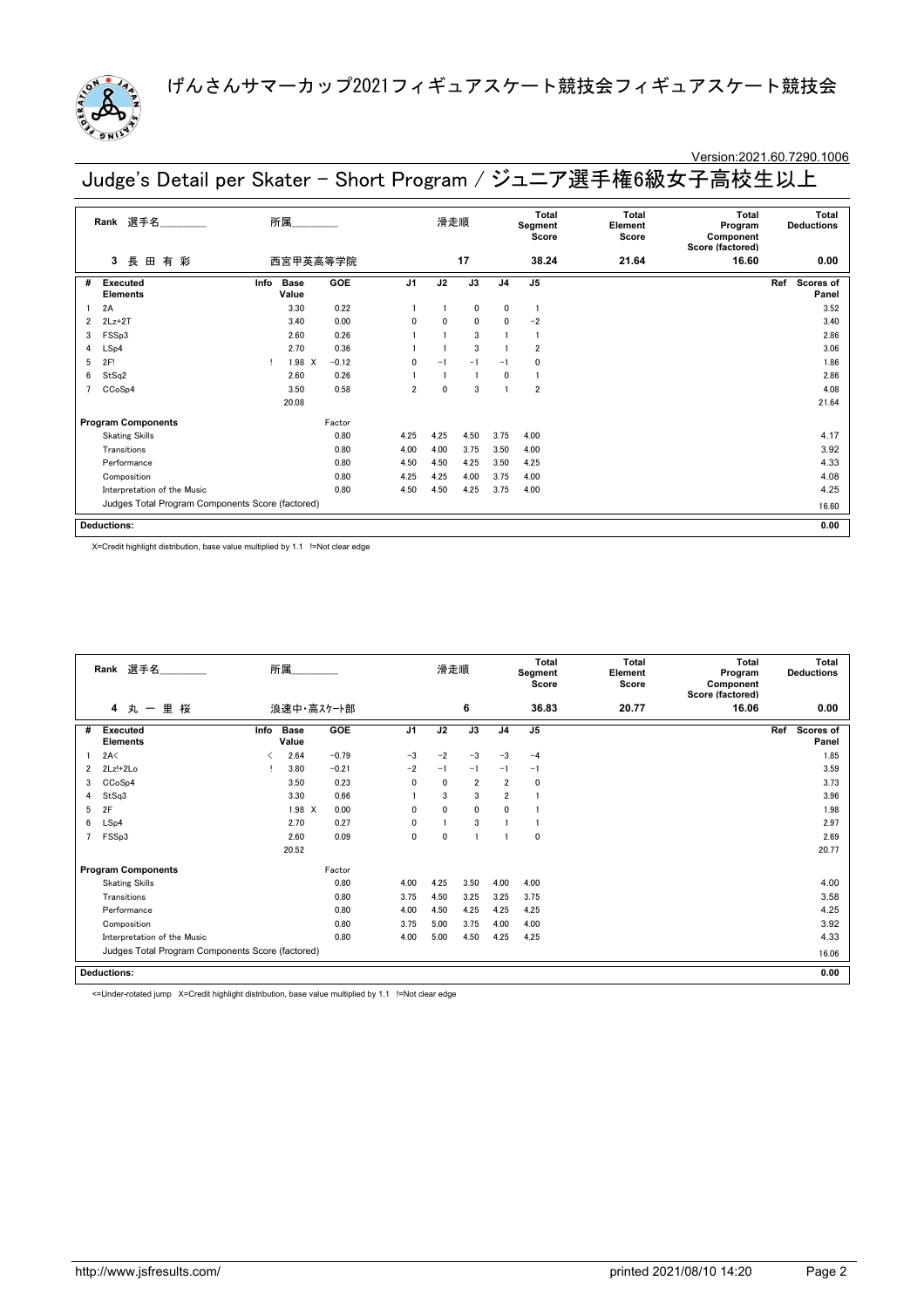

### Version:2021.60.7290.1006

Judge's Detail per Skater - Short Program / ジュニア選手権6級女子高校生以上

|                | 選手名<br>Rank<br>長<br>田<br>有 彩<br>3                |      | 所属                   |            |                | 滑走順      |              |                | Total<br>Segment<br>Score | Total<br>Element<br>Score | Total<br>Program<br>Component<br>Score (factored) | Total<br><b>Deductions</b> |
|----------------|--------------------------------------------------|------|----------------------|------------|----------------|----------|--------------|----------------|---------------------------|---------------------------|---------------------------------------------------|----------------------------|
|                |                                                  |      | 西宮甲英高等学院             |            |                |          | 17           |                | 38.24                     | 21.64                     | 16.60                                             | 0.00                       |
| #              | <b>Executed</b><br><b>Elements</b>               | Info | <b>Base</b><br>Value | <b>GOE</b> | J <sub>1</sub> | J2       | J3           | J <sub>4</sub> | J <sub>5</sub>            |                           |                                                   | Ref<br>Scores of<br>Panel  |
|                | 2A                                               |      | 3.30                 | 0.22       |                |          | $\mathbf{0}$ | $\mathbf 0$    | $\mathbf{1}$              |                           |                                                   | 3.52                       |
| 2              | $2Lz+2T$                                         |      | 3.40                 | 0.00       | 0              | 0        | 0            | $\mathbf{0}$   | $-2$                      |                           |                                                   | 3.40                       |
| 3              | FSS <sub>p3</sub>                                |      | 2.60                 | 0.26       |                |          | 3            |                |                           |                           |                                                   | 2.86                       |
| 4              | LSp4                                             |      | 2.70                 | 0.36       |                |          | 3            |                | $\overline{2}$            |                           |                                                   | 3.06                       |
| 5              | 2F!                                              |      | 1.98 X               | $-0.12$    | $\mathbf{0}$   | $-1$     | $-1$         | $-1$           | 0                         |                           |                                                   | 1.86                       |
| 6              | StSq2                                            |      | 2.60                 | 0.26       |                |          | -1           | $\mathbf{0}$   |                           |                           |                                                   | 2.86                       |
| $\overline{7}$ | CCoSp4                                           |      | 3.50                 | 0.58       | $\overline{2}$ | $\Omega$ | 3            |                | $\overline{2}$            |                           |                                                   | 4.08                       |
|                |                                                  |      | 20.08                |            |                |          |              |                |                           |                           |                                                   | 21.64                      |
|                | <b>Program Components</b>                        |      |                      | Factor     |                |          |              |                |                           |                           |                                                   |                            |
|                | <b>Skating Skills</b>                            |      |                      | 0.80       | 4.25           | 4.25     | 4.50         | 3.75           | 4.00                      |                           |                                                   | 4.17                       |
|                | Transitions                                      |      |                      | 0.80       | 4.00           | 4.00     | 3.75         | 3.50           | 4.00                      |                           |                                                   | 3.92                       |
|                | Performance                                      |      |                      | 0.80       | 4.50           | 4.50     | 4.25         | 3.50           | 4.25                      |                           |                                                   | 4.33                       |
|                | Composition                                      |      |                      | 0.80       | 4.25           | 4.25     | 4.00         | 3.75           | 4.00                      |                           |                                                   | 4.08                       |
|                | Interpretation of the Music                      |      |                      | 0.80       | 4.50           | 4.50     | 4.25         | 3.75           | 4.00                      |                           |                                                   | 4.25                       |
|                | Judges Total Program Components Score (factored) |      |                      |            |                |          |              |                |                           | 16.60                     |                                                   |                            |
|                | <b>Deductions:</b>                               |      |                      |            |                |          |              |                |                           |                           |                                                   | 0.00                       |

X=Credit highlight distribution, base value multiplied by 1.1 !=Not clear edge

|   | Rank 選手名<br>丸一里桜<br>4                            |      | 所属                   |         |                | 滑走順          |                |                | <b>Total</b><br>Segment<br>Score | <b>Total</b><br>Element<br>Score | <b>Total</b><br>Program<br>Component<br>Score (factored) | <b>Total</b><br><b>Deductions</b> |
|---|--------------------------------------------------|------|----------------------|---------|----------------|--------------|----------------|----------------|----------------------------------|----------------------------------|----------------------------------------------------------|-----------------------------------|
|   |                                                  |      | 浪速中・高スケート部           |         |                |              | 6              |                | 36.83                            | 20.77                            | 16.06                                                    | 0.00                              |
| # | <b>Executed</b><br><b>Elements</b>               | Info | <b>Base</b><br>Value | GOE     | J <sub>1</sub> | J2           | J3             | J <sub>4</sub> | J <sub>5</sub>                   |                                  |                                                          | Ref<br><b>Scores of</b><br>Panel  |
|   | 2A<                                              | ≺    | 2.64                 | $-0.79$ | $-3$           | $-2$         | $-3$           | $-3$           | $-4$                             |                                  |                                                          | 1.85                              |
| 2 | 2Lz!+2Lo                                         |      | 3.80                 | $-0.21$ | $-2$           | $-1$         | $-1$           | $-1$           | $-1$                             |                                  |                                                          | 3.59                              |
| 3 | CCoSp4                                           |      | 3.50                 | 0.23    | $\mathbf{0}$   | 0            | $\overline{2}$ | $\overline{2}$ | 0                                |                                  |                                                          | 3.73                              |
| 4 | StSq3                                            |      | 3.30                 | 0.66    |                | 3            | 3              | $\overline{2}$ |                                  |                                  |                                                          | 3.96                              |
| 5 | 2F                                               |      | 1.98 X               | 0.00    | $\mathbf{0}$   | $\mathbf{0}$ | $\mathbf 0$    | 0              |                                  |                                  |                                                          | 1.98                              |
| 6 | LSp4                                             |      | 2.70                 | 0.27    | $\mathbf 0$    |              | 3              |                |                                  |                                  |                                                          | 2.97                              |
| 7 | FSSp3                                            |      | 2.60                 | 0.09    | $\mathbf 0$    | 0            |                |                | $\mathbf 0$                      |                                  |                                                          | 2.69                              |
|   |                                                  |      | 20.52                |         |                |              |                |                |                                  |                                  |                                                          | 20.77                             |
|   | <b>Program Components</b>                        |      |                      | Factor  |                |              |                |                |                                  |                                  |                                                          |                                   |
|   | <b>Skating Skills</b>                            |      |                      | 0.80    | 4.00           | 4.25         | 3.50           | 4.00           | 4.00                             |                                  |                                                          | 4.00                              |
|   | Transitions                                      |      |                      | 0.80    | 3.75           | 4.50         | 3.25           | 3.25           | 3.75                             |                                  |                                                          | 3.58                              |
|   | Performance                                      |      |                      | 0.80    | 4.00           | 4.50         | 4.25           | 4.25           | 4.25                             |                                  |                                                          | 4.25                              |
|   | Composition                                      |      |                      | 0.80    | 3.75           | 5.00         | 3.75           | 4.00           | 4.00                             |                                  |                                                          | 3.92                              |
|   | Interpretation of the Music                      |      |                      | 0.80    | 4.00           | 5.00         | 4.50           | 4.25           | 4.25                             |                                  |                                                          | 4.33                              |
|   | Judges Total Program Components Score (factored) |      |                      |         |                |              |                |                |                                  |                                  |                                                          | 16.06                             |
|   | <b>Deductions:</b>                               |      |                      |         |                |              |                |                |                                  |                                  |                                                          | 0.00                              |

<=Under-rotated jump X=Credit highlight distribution, base value multiplied by 1.1 !=Not clear edge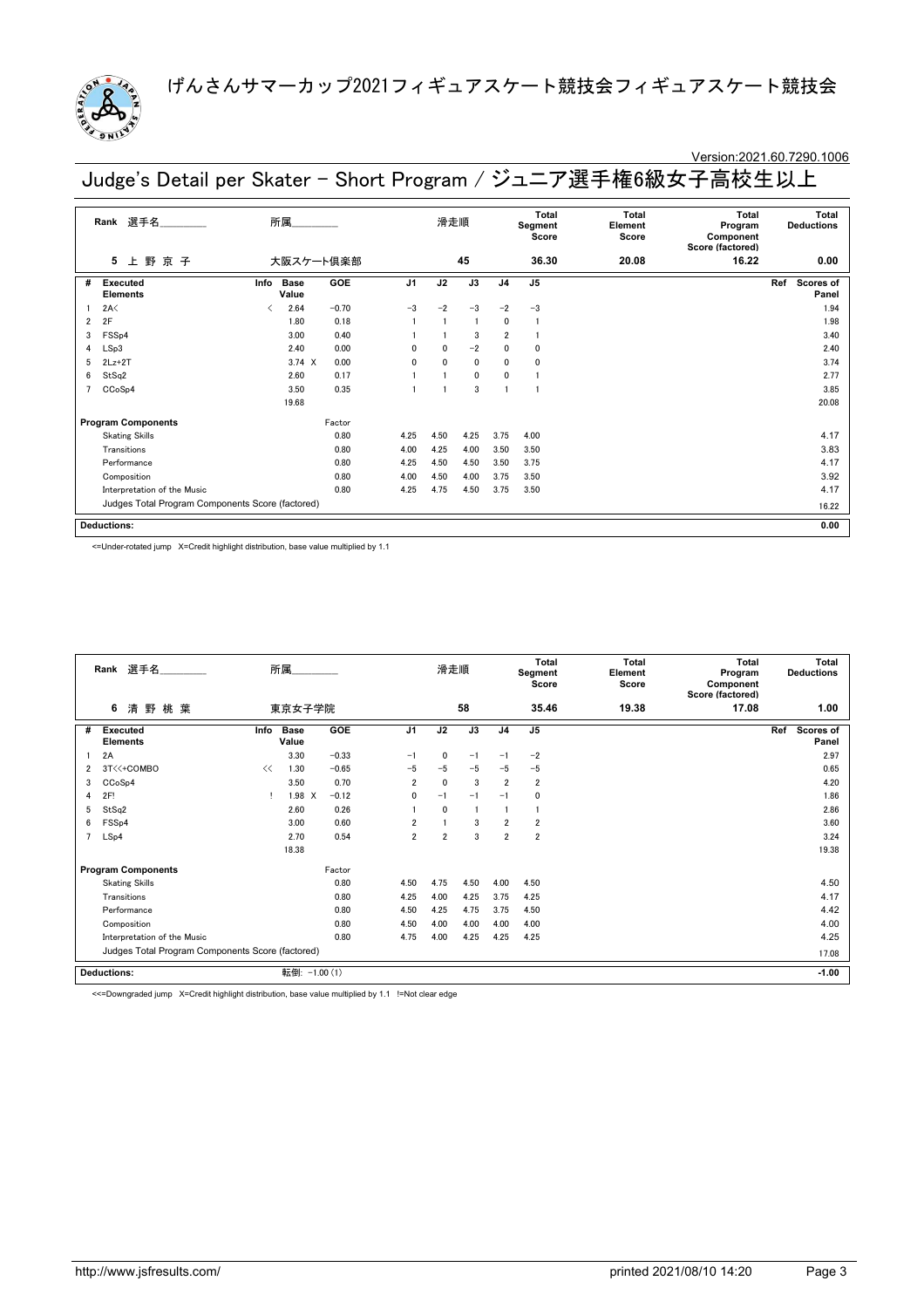

### Version:2021.60.7290.1006

Judge's Detail per Skater - Short Program / ジュニア選手権6級女子高校生以上

|   | 選手名<br>Rank                                      | 所属                                    |         |                | 滑走順      |                |                | Total<br>Segment<br>Score | Total<br>Element<br>Score | Total<br>Program<br>Component<br>Score (factored) | Total<br><b>Deductions</b> |
|---|--------------------------------------------------|---------------------------------------|---------|----------------|----------|----------------|----------------|---------------------------|---------------------------|---------------------------------------------------|----------------------------|
|   | 野京子<br>5<br>上                                    | 大阪スケート倶楽部                             |         |                |          | 45             |                | 36.30                     | 20.08                     | 16.22                                             | 0.00                       |
| # | Executed<br><b>Elements</b>                      | <b>Base</b><br>Info<br>Value          | GOE     | J <sub>1</sub> | J2       | J3             | J <sub>4</sub> | J <sub>5</sub>            |                           |                                                   | Ref<br>Scores of<br>Panel  |
|   | 2A<                                              | 2.64<br>$\overline{\left( \right. }%$ | $-0.70$ | $-3$           | $-2$     | $-3$           | $-2$           | $-3$                      |                           |                                                   | 1.94                       |
| 2 | 2F                                               | 1.80                                  | 0.18    |                |          | $\overline{1}$ | 0              | $\mathbf{1}$              |                           |                                                   | 1.98                       |
| 3 | FSSp4                                            | 3.00                                  | 0.40    |                |          | 3              | $\overline{2}$ |                           |                           |                                                   | 3.40                       |
| 4 | LSp3                                             | 2.40                                  | 0.00    | $\Omega$       | 0        | $-2$           | $\mathbf{0}$   | $\Omega$                  |                           |                                                   | 2.40                       |
| 5 | $2Lz+2T$                                         | $3.74 \times$                         | 0.00    | $\mathbf{0}$   | $\Omega$ | $\mathbf{0}$   | 0              | $\mathbf 0$               |                           |                                                   | 3.74                       |
| 6 | StSq2                                            | 2.60                                  | 0.17    |                |          | $\mathbf{0}$   | 0              | $\mathbf{1}$              |                           |                                                   | 2.77                       |
|   | CCoSp4                                           | 3.50                                  | 0.35    |                |          | 3              |                |                           |                           |                                                   | 3.85                       |
|   |                                                  | 19.68                                 |         |                |          |                |                |                           |                           |                                                   | 20.08                      |
|   | <b>Program Components</b>                        |                                       | Factor  |                |          |                |                |                           |                           |                                                   |                            |
|   | <b>Skating Skills</b>                            |                                       | 0.80    | 4.25           | 4.50     | 4.25           | 3.75           | 4.00                      |                           |                                                   | 4.17                       |
|   | Transitions                                      |                                       | 0.80    | 4.00           | 4.25     | 4.00           | 3.50           | 3.50                      |                           |                                                   | 3.83                       |
|   | Performance                                      |                                       | 0.80    | 4.25           | 4.50     | 4.50           | 3.50           | 3.75                      |                           |                                                   | 4.17                       |
|   | Composition                                      |                                       | 0.80    | 4.00           | 4.50     | 4.00           | 3.75           | 3.50                      |                           |                                                   | 3.92                       |
|   | Interpretation of the Music                      |                                       | 0.80    | 4.25           | 4.75     | 4.50           | 3.75           | 3.50                      |                           |                                                   | 4.17                       |
|   | Judges Total Program Components Score (factored) |                                       |         |                |          |                |                |                           |                           |                                                   | 16.22                      |
|   | <b>Deductions:</b>                               |                                       |         |                |          |                |                |                           |                           |                                                   | 0.00                       |

<=Under-rotated jump X=Credit highlight distribution, base value multiplied by 1.1

|                | 選手名<br>Rank<br>清野桃葉<br>6                         |      | 所属                   |         |                | 滑走順            |      |                | <b>Total</b><br>Segment<br>Score | Total<br>Element<br>Score | <b>Total</b><br>Program<br>Component<br>Score (factored) | <b>Total</b><br><b>Deductions</b> |
|----------------|--------------------------------------------------|------|----------------------|---------|----------------|----------------|------|----------------|----------------------------------|---------------------------|----------------------------------------------------------|-----------------------------------|
|                |                                                  |      | 東京女子学院               |         |                |                | 58   |                | 35.46                            | 19.38                     | 17.08                                                    | 1.00                              |
| #              | Executed<br><b>Elements</b>                      | Info | <b>Base</b><br>Value | GOE     | J <sub>1</sub> | J2             | J3   | J <sub>4</sub> | J <sub>5</sub>                   |                           |                                                          | Ref<br><b>Scores of</b><br>Panel  |
|                | 2A                                               |      | 3.30                 | $-0.33$ | $-1$           | 0              | $-1$ | $-1$           | $-2$                             |                           |                                                          | 2.97                              |
| $\overline{2}$ | 3T<<+COMBO                                       | <<   | 1.30                 | $-0.65$ | $-5$           | $-5$           | $-5$ | $-5$           | $-5$                             |                           |                                                          | 0.65                              |
| 3              | CCoSp4                                           |      | 3.50                 | 0.70    | $\overline{2}$ | 0              | 3    | $\overline{2}$ | $\overline{2}$                   |                           |                                                          | 4.20                              |
| 4              | 2F!                                              |      | 1.98 X               | $-0.12$ | $\mathbf 0$    | $-1$           | $-1$ | $-1$           | 0                                |                           |                                                          | 1.86                              |
| 5              | StSq2                                            |      | 2.60                 | 0.26    |                | $\mathbf{0}$   |      |                |                                  |                           |                                                          | 2.86                              |
| 6              | FSS <sub>p4</sub>                                |      | 3.00                 | 0.60    | $\overline{2}$ |                | 3    | $\overline{2}$ | $\overline{\mathbf{2}}$          |                           |                                                          | 3.60                              |
| 7              | LSp4                                             |      | 2.70                 | 0.54    | $\overline{2}$ | $\overline{2}$ | 3    | $\overline{2}$ | $\overline{\mathbf{2}}$          |                           |                                                          | 3.24                              |
|                |                                                  |      | 18.38                |         |                |                |      |                |                                  |                           |                                                          | 19.38                             |
|                | <b>Program Components</b>                        |      |                      | Factor  |                |                |      |                |                                  |                           |                                                          |                                   |
|                | <b>Skating Skills</b>                            |      |                      | 0.80    | 4.50           | 4.75           | 4.50 | 4.00           | 4.50                             |                           |                                                          | 4.50                              |
|                | Transitions                                      |      |                      | 0.80    | 4.25           | 4.00           | 4.25 | 3.75           | 4.25                             |                           |                                                          | 4.17                              |
|                | Performance                                      |      |                      | 0.80    | 4.50           | 4.25           | 4.75 | 3.75           | 4.50                             |                           |                                                          | 4.42                              |
|                | Composition                                      |      |                      | 0.80    | 4.50           | 4.00           | 4.00 | 4.00           | 4.00                             |                           |                                                          | 4.00                              |
|                | Interpretation of the Music                      |      |                      | 0.80    | 4.75           | 4.00           | 4.25 | 4.25           | 4.25                             |                           |                                                          | 4.25                              |
|                | Judges Total Program Components Score (factored) |      |                      |         |                |                |      |                |                                  |                           |                                                          | 17.08                             |
|                | <b>Deductions:</b>                               |      | 転倒: -1.00 (1)        |         |                |                |      |                |                                  |                           |                                                          | $-1.00$                           |

<<=Downgraded jump X=Credit highlight distribution, base value multiplied by 1.1 !=Not clear edge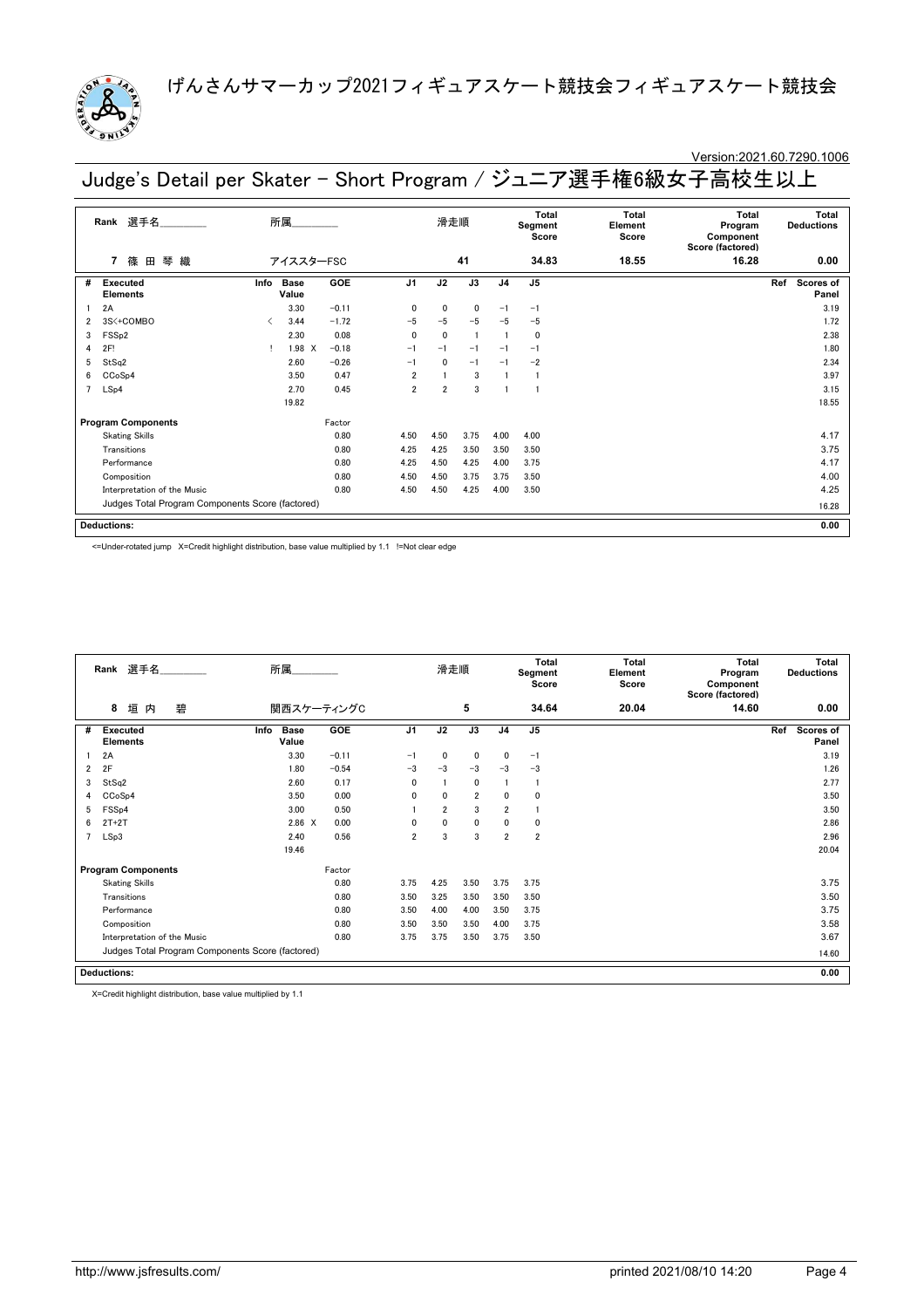

### Version:2021.60.7290.1006

Judge's Detail per Skater - Short Program / ジュニア選手権6級女子高校生以上

|                | 選手名<br>Rank                                      |                               | 所属            |         |                | 滑走順            |             |                | Total<br>Segment<br>Score | Total<br>Element<br>Score | Total<br>Program<br>Component<br>Score (factored) | Total<br><b>Deductions</b> |
|----------------|--------------------------------------------------|-------------------------------|---------------|---------|----------------|----------------|-------------|----------------|---------------------------|---------------------------|---------------------------------------------------|----------------------------|
|                | 琴<br>篠 田<br>織<br>7                               |                               | アイススターFSC     |         |                |                | 41          |                | 34.83                     | 18.55                     | 16.28                                             | 0.00                       |
| #              | Executed<br><b>Elements</b>                      | Info                          | Base<br>Value | GOE     | J <sub>1</sub> | J2             | J3          | J <sub>4</sub> | J <sub>5</sub>            |                           |                                                   | Ref<br>Scores of<br>Panel  |
|                | 2A                                               |                               | 3.30          | $-0.11$ | $\mathbf{0}$   | $\mathbf{0}$   | $\mathbf 0$ | $-1$           | $-1$                      |                           |                                                   | 3.19                       |
| 2              | 3S<+COMBO                                        | $\overline{\left( \right. }%$ | 3.44          | $-1.72$ | $-5$           | $-5$           | $-5$        | $-5$           | $-5$                      |                           |                                                   | 1.72                       |
| 3              | FSS <sub>p2</sub>                                |                               | 2.30          | 0.08    | $\mathbf{0}$   | $\mathbf{0}$   | -1          |                | $\mathbf 0$               |                           |                                                   | 2.38                       |
| 4              | 2F!                                              |                               | 1.98 X        | $-0.18$ | $-1$           | $-1$           | $-1$        | $-1$           | $-1$                      |                           |                                                   | 1.80                       |
| 5              | StSq2                                            |                               | 2.60          | $-0.26$ | $-1$           | $\mathbf{0}$   | $-1$        | $-1$           | $-2$                      |                           |                                                   | 2.34                       |
| 6              | CCoSp4                                           |                               | 3.50          | 0.47    | 2              |                | 3           |                |                           |                           |                                                   | 3.97                       |
| $\overline{7}$ | LSp4                                             |                               | 2.70          | 0.45    | $\overline{2}$ | $\overline{2}$ | 3           |                |                           |                           |                                                   | 3.15                       |
|                |                                                  |                               | 19.82         |         |                |                |             |                |                           |                           |                                                   | 18.55                      |
|                | <b>Program Components</b>                        |                               |               | Factor  |                |                |             |                |                           |                           |                                                   |                            |
|                | <b>Skating Skills</b>                            |                               |               | 0.80    | 4.50           | 4.50           | 3.75        | 4.00           | 4.00                      |                           |                                                   | 4.17                       |
|                | Transitions                                      |                               |               | 0.80    | 4.25           | 4.25           | 3.50        | 3.50           | 3.50                      |                           |                                                   | 3.75                       |
|                | Performance                                      |                               |               | 0.80    | 4.25           | 4.50           | 4.25        | 4.00           | 3.75                      |                           |                                                   | 4.17                       |
|                | Composition                                      |                               |               | 0.80    | 4.50           | 4.50           | 3.75        | 3.75           | 3.50                      |                           |                                                   | 4.00                       |
|                | Interpretation of the Music                      |                               |               | 0.80    | 4.50           | 4.50           | 4.25        | 4.00           | 3.50                      |                           |                                                   | 4.25                       |
|                | Judges Total Program Components Score (factored) |                               |               |         |                |                |             |                |                           |                           |                                                   | 16.28                      |
|                | <b>Deductions:</b>                               |                               |               |         |                |                |             |                |                           |                           |                                                   | 0.00                       |

<=Under-rotated jump X=Credit highlight distribution, base value multiplied by 1.1 !=Not clear edge

|   | Rank 選手名                                         | 所属                           |         |                | 滑走順            |                |                | Total<br>Segment<br>Score | <b>Total</b><br>Element<br>Score | <b>Total</b><br>Program<br>Component<br>Score (factored) | <b>Total</b><br><b>Deductions</b> |
|---|--------------------------------------------------|------------------------------|---------|----------------|----------------|----------------|----------------|---------------------------|----------------------------------|----------------------------------------------------------|-----------------------------------|
|   | 垣<br>碧<br>8<br>内                                 | 関西スケーティングC                   |         |                |                | 5              |                | 34.64                     | 20.04                            | 14.60                                                    | 0.00                              |
| # | <b>Executed</b><br><b>Elements</b>               | <b>Base</b><br>Info<br>Value | GOE     | J <sub>1</sub> | J2             | J3             | J <sub>4</sub> | J5                        |                                  |                                                          | Ref<br>Scores of<br>Panel         |
|   | 2A                                               | 3.30                         | $-0.11$ | $-1$           | 0              | $\mathbf 0$    | 0              | $-1$                      |                                  |                                                          | 3.19                              |
| 2 | 2F                                               | 1.80                         | $-0.54$ | $-3$           | $-3$           | $-3$           | $-3$           | $-3$                      |                                  |                                                          | 1.26                              |
| 3 | StSq2                                            | 2.60                         | 0.17    | $\Omega$       |                | $\mathbf{0}$   |                | $\mathbf{1}$              |                                  |                                                          | 2.77                              |
| 4 | CCoSp4                                           | 3.50                         | 0.00    | $\mathbf{0}$   | $\mathbf{0}$   | $\overline{2}$ | 0              | $\mathbf 0$               |                                  |                                                          | 3.50                              |
| 5 | FSS <sub>p4</sub>                                | 3.00                         | 0.50    |                | $\overline{2}$ | 3              | $\overline{2}$ |                           |                                  |                                                          | 3.50                              |
| 6 | $2T+2T$                                          | 2.86 X                       | 0.00    | $\mathbf{0}$   | $\mathbf{0}$   | $\mathbf 0$    | 0              | 0                         |                                  |                                                          | 2.86                              |
|   | LSp3                                             | 2.40                         | 0.56    | $\overline{2}$ | 3              | 3              | $\overline{2}$ | $\overline{2}$            |                                  |                                                          | 2.96                              |
|   |                                                  | 19.46                        |         |                |                |                |                |                           |                                  |                                                          | 20.04                             |
|   | <b>Program Components</b>                        |                              | Factor  |                |                |                |                |                           |                                  |                                                          |                                   |
|   | <b>Skating Skills</b>                            |                              | 0.80    | 3.75           | 4.25           | 3.50           | 3.75           | 3.75                      |                                  |                                                          | 3.75                              |
|   | Transitions                                      |                              | 0.80    | 3.50           | 3.25           | 3.50           | 3.50           | 3.50                      |                                  |                                                          | 3.50                              |
|   | Performance                                      |                              | 0.80    | 3.50           | 4.00           | 4.00           | 3.50           | 3.75                      |                                  |                                                          | 3.75                              |
|   | Composition                                      |                              | 0.80    | 3.50           | 3.50           | 3.50           | 4.00           | 3.75                      |                                  |                                                          | 3.58                              |
|   | Interpretation of the Music                      |                              | 0.80    | 3.75           | 3.75           | 3.50           | 3.75           | 3.50                      |                                  |                                                          | 3.67                              |
|   | Judges Total Program Components Score (factored) |                              |         |                |                |                |                |                           |                                  |                                                          | 14.60                             |
|   | <b>Deductions:</b>                               |                              |         |                |                |                |                |                           |                                  |                                                          | 0.00                              |

X=Credit highlight distribution, base value multiplied by 1.1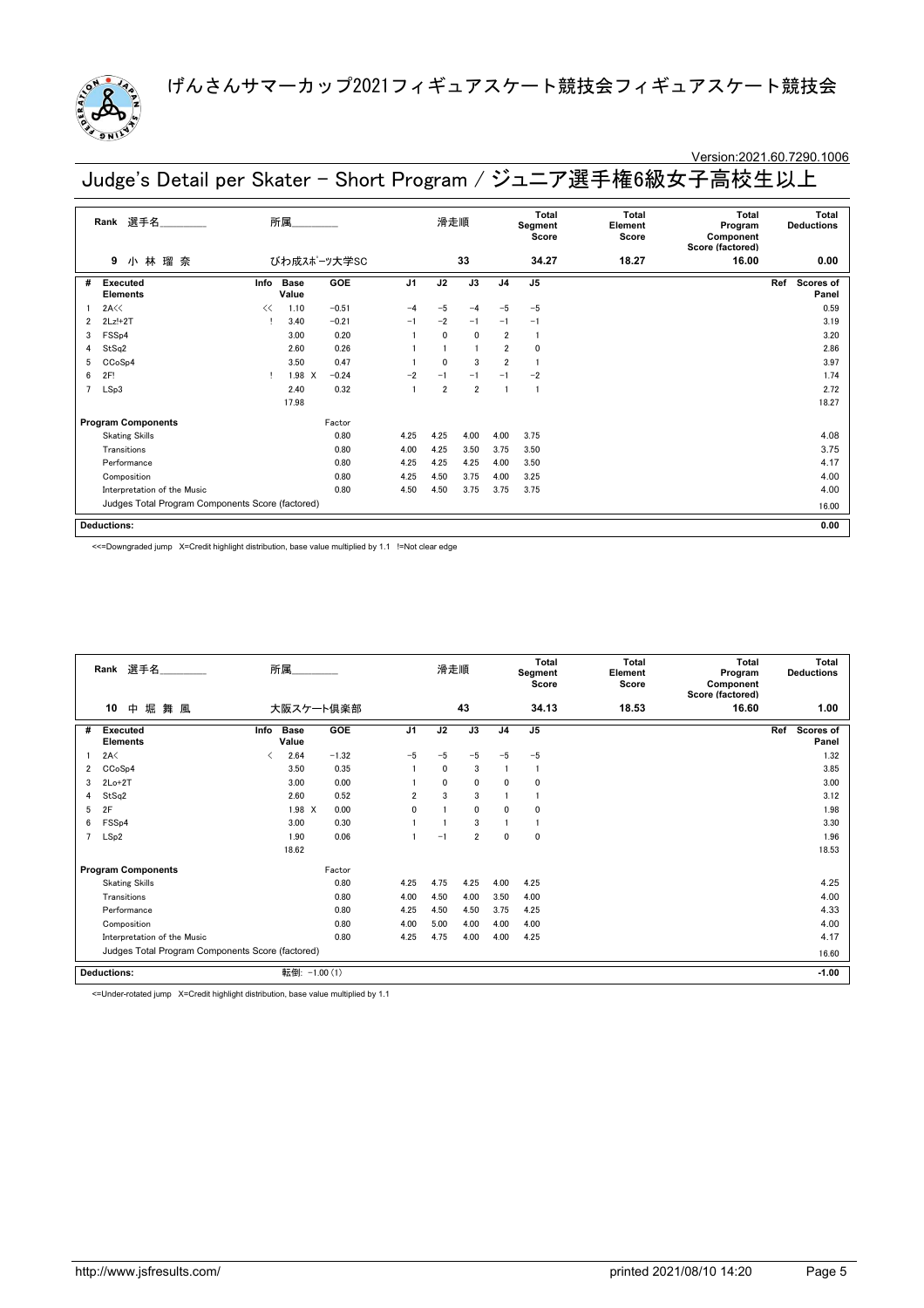

### Version:2021.60.7290.1006

Judge's Detail per Skater - Short Program / ジュニア選手権6級女子高校生以上

|                | 選手名________<br>所属<br>Rank<br>小林瑠奈<br>びわ成スポーツ大学SC<br>9 |      |                      |            |                | 滑走順            |                |                | <b>Total</b><br>Segment<br>Score | <b>Total</b><br>Element<br>Score | Total<br>Program<br>Component<br>Score (factored) | Total<br><b>Deductions</b> |
|----------------|-------------------------------------------------------|------|----------------------|------------|----------------|----------------|----------------|----------------|----------------------------------|----------------------------------|---------------------------------------------------|----------------------------|
|                |                                                       |      |                      |            |                |                | 33             |                | 34.27                            | 18.27                            | 16.00                                             | 0.00                       |
| #              | <b>Executed</b><br><b>Elements</b>                    | Info | <b>Base</b><br>Value | <b>GOE</b> | J <sub>1</sub> | J2             | J3             | J <sub>4</sub> | J5                               |                                  |                                                   | Ref<br>Scores of<br>Panel  |
|                | 2A<<                                                  | <<   | 1.10                 | $-0.51$    | $-4$           | $-5$           | $-4$           | $-5$           | $-5$                             |                                  |                                                   | 0.59                       |
| 2              | $2Lz!+2T$                                             |      | 3.40                 | $-0.21$    | $-1$           | $-2$           | $-1$           | $-1$           | $-1$                             |                                  |                                                   | 3.19                       |
| 3              | FSS <sub>p4</sub>                                     |      | 3.00                 | 0.20       |                | $\mathbf{0}$   | $\mathbf{0}$   | $\overline{2}$ |                                  |                                  |                                                   | 3.20                       |
| 4              | StSq2                                                 |      | 2.60                 | 0.26       |                |                | $\overline{1}$ | $\overline{2}$ | 0                                |                                  |                                                   | 2.86                       |
| 5              | CCoSp4                                                |      | 3.50                 | 0.47       |                | $\mathbf{0}$   | 3              | $\overline{2}$ |                                  |                                  |                                                   | 3.97                       |
| 6              | 2F!                                                   |      | 1.98 X               | $-0.24$    | $-2$           | $-1$           | $-1$           | $-1$           | $-2$                             |                                  |                                                   | 1.74                       |
| $\overline{7}$ | LSp3                                                  |      | 2.40                 | 0.32       |                | $\overline{2}$ | $\overline{2}$ |                |                                  |                                  |                                                   | 2.72                       |
|                |                                                       |      | 17.98                |            |                |                |                |                |                                  |                                  |                                                   | 18.27                      |
|                | <b>Program Components</b>                             |      |                      | Factor     |                |                |                |                |                                  |                                  |                                                   |                            |
|                | <b>Skating Skills</b>                                 |      |                      | 0.80       | 4.25           | 4.25           | 4.00           | 4.00           | 3.75                             |                                  |                                                   | 4.08                       |
|                | Transitions                                           |      |                      | 0.80       | 4.00           | 4.25           | 3.50           | 3.75           | 3.50                             |                                  |                                                   | 3.75                       |
|                | Performance                                           |      |                      | 0.80       | 4.25           | 4.25           | 4.25           | 4.00           | 3.50                             |                                  |                                                   | 4.17                       |
|                | Composition                                           |      |                      | 0.80       | 4.25           | 4.50           | 3.75           | 4.00           | 3.25                             |                                  |                                                   | 4.00                       |
|                | Interpretation of the Music                           |      |                      | 0.80       | 4.50           | 4.50           | 3.75           | 3.75           | 3.75                             |                                  |                                                   | 4.00                       |
|                | Judges Total Program Components Score (factored)      |      |                      |            |                |                |                |                |                                  |                                  |                                                   | 16.00                      |
|                | <b>Deductions:</b>                                    |      |                      |            |                |                |                |                |                                  |                                  |                                                   | 0.00                       |

<<=Downgraded jump X=Credit highlight distribution, base value multiplied by 1.1 !=Not clear edge

|   | Rank 選手名<br>堀<br>10<br>中<br>舞 風                  |      | 所属                   |           |                | 滑走順          |                |                | Total<br>Segment<br>Score | Total<br>Element<br>Score | Total<br>Program<br>Component<br>Score (factored) | <b>Total</b><br><b>Deductions</b> |
|---|--------------------------------------------------|------|----------------------|-----------|----------------|--------------|----------------|----------------|---------------------------|---------------------------|---------------------------------------------------|-----------------------------------|
|   |                                                  |      |                      | 大阪スケート倶楽部 |                |              | 43             |                | 34.13                     | 18.53                     | 16.60                                             | 1.00                              |
| # | <b>Executed</b><br><b>Elements</b>               | Info | <b>Base</b><br>Value | GOE       | J <sub>1</sub> | J2           | J3             | J <sub>4</sub> | J <sub>5</sub>            |                           |                                                   | Ref<br>Scores of<br>Panel         |
|   | 2A<                                              | ≺    | 2.64                 | $-1.32$   | $-5$           | $-5$         | $-5$           | $-5$           | $-5$                      |                           |                                                   | 1.32                              |
| 2 | CC <sub>o</sub> S <sub>p4</sub>                  |      | 3.50                 | 0.35      |                | $\mathbf{0}$ | 3              |                | $\mathbf{1}$              |                           |                                                   | 3.85                              |
| 3 | $2Lo+2T$                                         |      | 3.00                 | 0.00      |                | $\mathbf{0}$ | $\mathbf{0}$   | 0              | $\Omega$                  |                           |                                                   | 3.00                              |
| 4 | StSq2                                            |      | 2.60                 | 0.52      | $\overline{2}$ | 3            | 3              |                |                           |                           |                                                   | 3.12                              |
| 5 | 2F                                               |      | $1.98$ X             | 0.00      | $\Omega$       |              | $\mathbf{0}$   | 0              | $\mathbf 0$               |                           |                                                   | 1.98                              |
| 6 | FSSp4                                            |      | 3.00                 | 0.30      |                |              | 3              |                |                           |                           |                                                   | 3.30                              |
|   | LSp2                                             |      | 1.90                 | 0.06      |                | $-1$         | $\overline{2}$ | 0              | $\mathbf 0$               |                           |                                                   | 1.96                              |
|   |                                                  |      | 18.62                |           |                |              |                |                |                           |                           |                                                   | 18.53                             |
|   | <b>Program Components</b>                        |      |                      | Factor    |                |              |                |                |                           |                           |                                                   |                                   |
|   | <b>Skating Skills</b>                            |      |                      | 0.80      | 4.25           | 4.75         | 4.25           | 4.00           | 4.25                      |                           |                                                   | 4.25                              |
|   | Transitions                                      |      |                      | 0.80      | 4.00           | 4.50         | 4.00           | 3.50           | 4.00                      |                           |                                                   | 4.00                              |
|   | Performance                                      |      |                      | 0.80      | 4.25           | 4.50         | 4.50           | 3.75           | 4.25                      |                           |                                                   | 4.33                              |
|   | Composition                                      |      |                      | 0.80      | 4.00           | 5.00         | 4.00           | 4.00           | 4.00                      |                           |                                                   | 4.00                              |
|   | Interpretation of the Music                      |      |                      | 0.80      | 4.25           | 4.75         | 4.00           | 4.00           | 4.25                      |                           |                                                   | 4.17                              |
|   | Judges Total Program Components Score (factored) |      |                      |           |                |              |                |                |                           |                           |                                                   | 16.60                             |
|   | <b>Deductions:</b>                               |      | 転倒: -1.00 (1)        |           |                |              |                |                |                           |                           |                                                   | $-1.00$                           |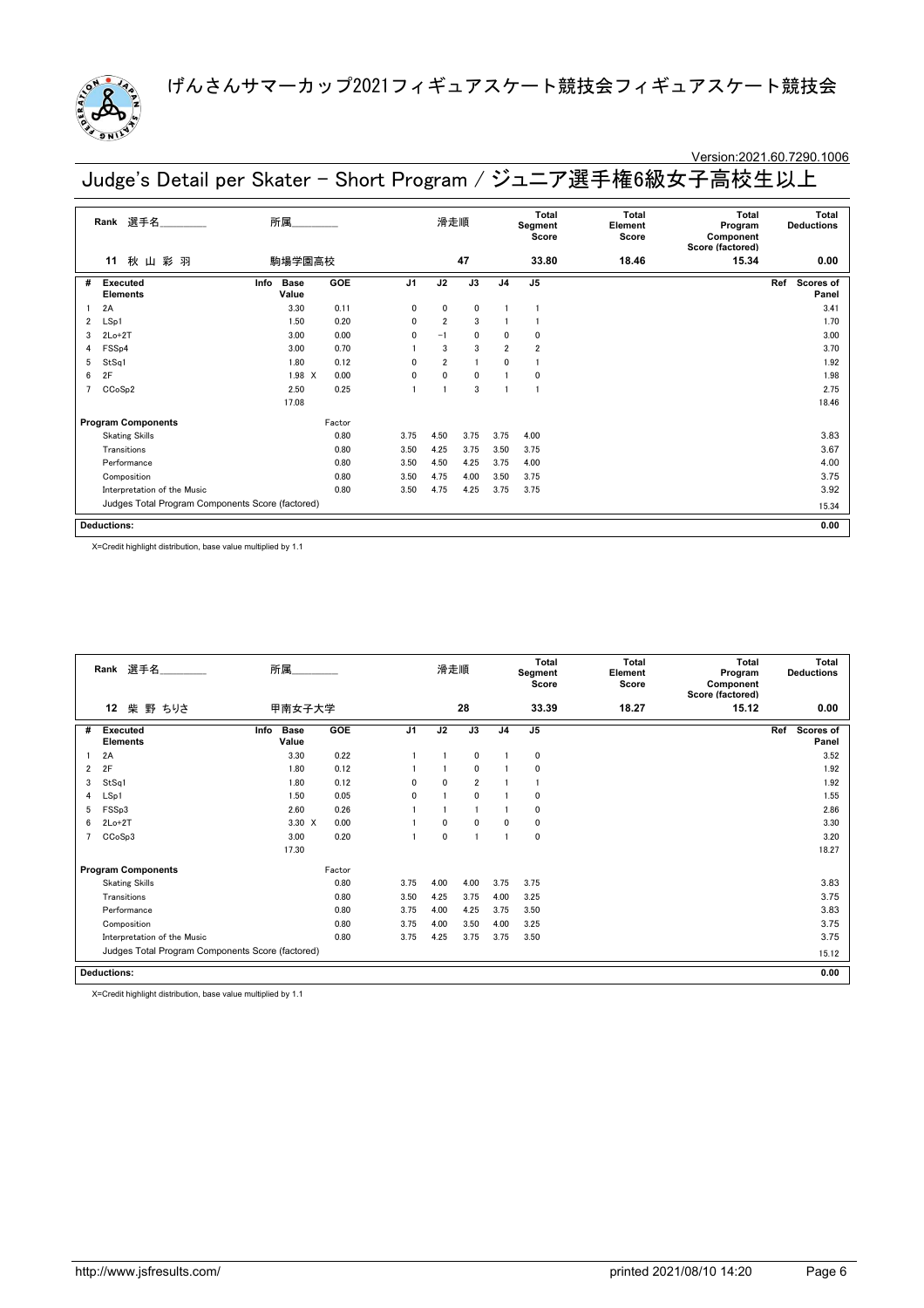

### Version:2021.60.7290.1006

Judge's Detail per Skater - Short Program / ジュニア選手権6級女子高校生以上

|   | 選手名<br>Rank                                      | 所属                    |        |                | 滑走順            |              |                | Total<br>Segment<br>Score | Total<br>Element<br>Score | Total<br>Program<br>Component<br>Score (factored) | Total<br><b>Deductions</b> |
|---|--------------------------------------------------|-----------------------|--------|----------------|----------------|--------------|----------------|---------------------------|---------------------------|---------------------------------------------------|----------------------------|
|   | 秋山彩羽<br>11                                       | 駒場学園高校                |        |                |                | 47           |                | 33.80                     | 18.46                     | 15.34                                             | 0.00                       |
| # | Executed<br><b>Elements</b>                      | Base<br>Info<br>Value | GOE    | J <sub>1</sub> | J2             | J3           | J <sub>4</sub> | J <sub>5</sub>            |                           |                                                   | Ref<br>Scores of<br>Panel  |
|   | 2A                                               | 3.30                  | 0.11   | $\mathbf{0}$   | 0              | 0            |                |                           |                           |                                                   | 3.41                       |
| 2 | LSp1                                             | 1.50                  | 0.20   | $\mathbf{0}$   | $\overline{2}$ | 3            |                |                           |                           |                                                   | 1.70                       |
| 3 | $2Lo+2T$                                         | 3.00                  | 0.00   | $\Omega$       | $-1$           | $\mathbf{0}$ | 0              | $\Omega$                  |                           |                                                   | 3.00                       |
| 4 | FSS <sub>p4</sub>                                | 3.00                  | 0.70   |                | 3              | 3            | $\overline{2}$ | $\overline{2}$            |                           |                                                   | 3.70                       |
| 5 | StSq1                                            | 1.80                  | 0.12   | $\mathbf{0}$   | $\overline{2}$ | f.           | 0              |                           |                           |                                                   | 1.92                       |
| 6 | 2F                                               | $1.98$ X              | 0.00   | 0              | 0              | $\mathbf{0}$ |                | $\mathbf 0$               |                           |                                                   | 1.98                       |
|   | CCoSp2                                           | 2.50                  | 0.25   |                |                | 3            |                |                           |                           |                                                   | 2.75                       |
|   |                                                  | 17.08                 |        |                |                |              |                |                           |                           |                                                   | 18.46                      |
|   | <b>Program Components</b>                        |                       | Factor |                |                |              |                |                           |                           |                                                   |                            |
|   | <b>Skating Skills</b>                            |                       | 0.80   | 3.75           | 4.50           | 3.75         | 3.75           | 4.00                      |                           |                                                   | 3.83                       |
|   | Transitions                                      |                       | 0.80   | 3.50           | 4.25           | 3.75         | 3.50           | 3.75                      |                           |                                                   | 3.67                       |
|   | Performance                                      |                       | 0.80   | 3.50           | 4.50           | 4.25         | 3.75           | 4.00                      |                           |                                                   | 4.00                       |
|   | Composition                                      |                       | 0.80   | 3.50           | 4.75           | 4.00         | 3.50           | 3.75                      |                           |                                                   | 3.75                       |
|   | Interpretation of the Music                      |                       | 0.80   | 3.50           | 4.75           | 4.25         | 3.75           | 3.75                      |                           |                                                   | 3.92                       |
|   | Judges Total Program Components Score (factored) |                       |        |                |                |              |                |                           |                           |                                                   | 15.34                      |
|   | <b>Deductions:</b>                               |                       |        |                |                |              |                |                           |                           |                                                   | 0.00                       |

X=Credit highlight distribution, base value multiplied by 1.1

|   | Rank 選手名                                         | 所属                           |        |                | 滑走順          |                |                | Total<br>Segment<br>Score | <b>Total</b><br>Element<br>Score | Total<br>Program<br>Component<br>Score (factored) | <b>Total</b><br><b>Deductions</b> |
|---|--------------------------------------------------|------------------------------|--------|----------------|--------------|----------------|----------------|---------------------------|----------------------------------|---------------------------------------------------|-----------------------------------|
|   | 12<br>柴 野 ちりさ                                    | 甲南女子大学                       |        |                |              | 28             |                | 33.39                     | 18.27                            | 15.12                                             | 0.00                              |
| # | <b>Executed</b><br><b>Elements</b>               | <b>Base</b><br>Info<br>Value | GOE    | J <sub>1</sub> | J2           | J3             | J <sub>4</sub> | J <sub>5</sub>            |                                  |                                                   | Scores of<br>Ref<br>Panel         |
|   | 2A                                               | 3.30                         | 0.22   |                |              | 0              |                | $\mathbf 0$               |                                  |                                                   | 3.52                              |
| 2 | 2F                                               | 1.80                         | 0.12   |                |              | $\mathbf{0}$   |                | $\mathbf 0$               |                                  |                                                   | 1.92                              |
| 3 | StSq1                                            | 1.80                         | 0.12   | $\Omega$       | $\mathbf{0}$ | $\overline{2}$ |                |                           |                                  |                                                   | 1.92                              |
| 4 | LSp1                                             | 1.50                         | 0.05   | $\mathbf{0}$   |              | $\mathbf{0}$   |                | 0                         |                                  |                                                   | 1.55                              |
| 5 | FSSp3                                            | 2.60                         | 0.26   |                |              |                |                | $\mathbf 0$               |                                  |                                                   | 2.86                              |
| 6 | $2Lo+2T$                                         | 3.30 X                       | 0.00   |                | $\mathbf{0}$ | $\mathbf{0}$   | 0              | $\mathbf 0$               |                                  |                                                   | 3.30                              |
|   | CCoSp3                                           | 3.00                         | 0.20   |                | $\mathbf 0$  |                |                | $\mathbf 0$               |                                  |                                                   | 3.20                              |
|   |                                                  | 17.30                        |        |                |              |                |                |                           |                                  |                                                   | 18.27                             |
|   | <b>Program Components</b>                        |                              | Factor |                |              |                |                |                           |                                  |                                                   |                                   |
|   | <b>Skating Skills</b>                            |                              | 0.80   | 3.75           | 4.00         | 4.00           | 3.75           | 3.75                      |                                  |                                                   | 3.83                              |
|   | Transitions                                      |                              | 0.80   | 3.50           | 4.25         | 3.75           | 4.00           | 3.25                      |                                  |                                                   | 3.75                              |
|   | Performance                                      |                              | 0.80   | 3.75           | 4.00         | 4.25           | 3.75           | 3.50                      |                                  |                                                   | 3.83                              |
|   | Composition                                      |                              | 0.80   | 3.75           | 4.00         | 3.50           | 4.00           | 3.25                      |                                  |                                                   | 3.75                              |
|   | Interpretation of the Music                      |                              | 0.80   | 3.75           | 4.25         | 3.75           | 3.75           | 3.50                      |                                  |                                                   | 3.75                              |
|   | Judges Total Program Components Score (factored) |                              |        |                |              |                |                |                           |                                  |                                                   | 15.12                             |
|   | <b>Deductions:</b>                               |                              |        |                |              |                |                |                           |                                  |                                                   | 0.00                              |

X=Credit highlight distribution, base value multiplied by 1.1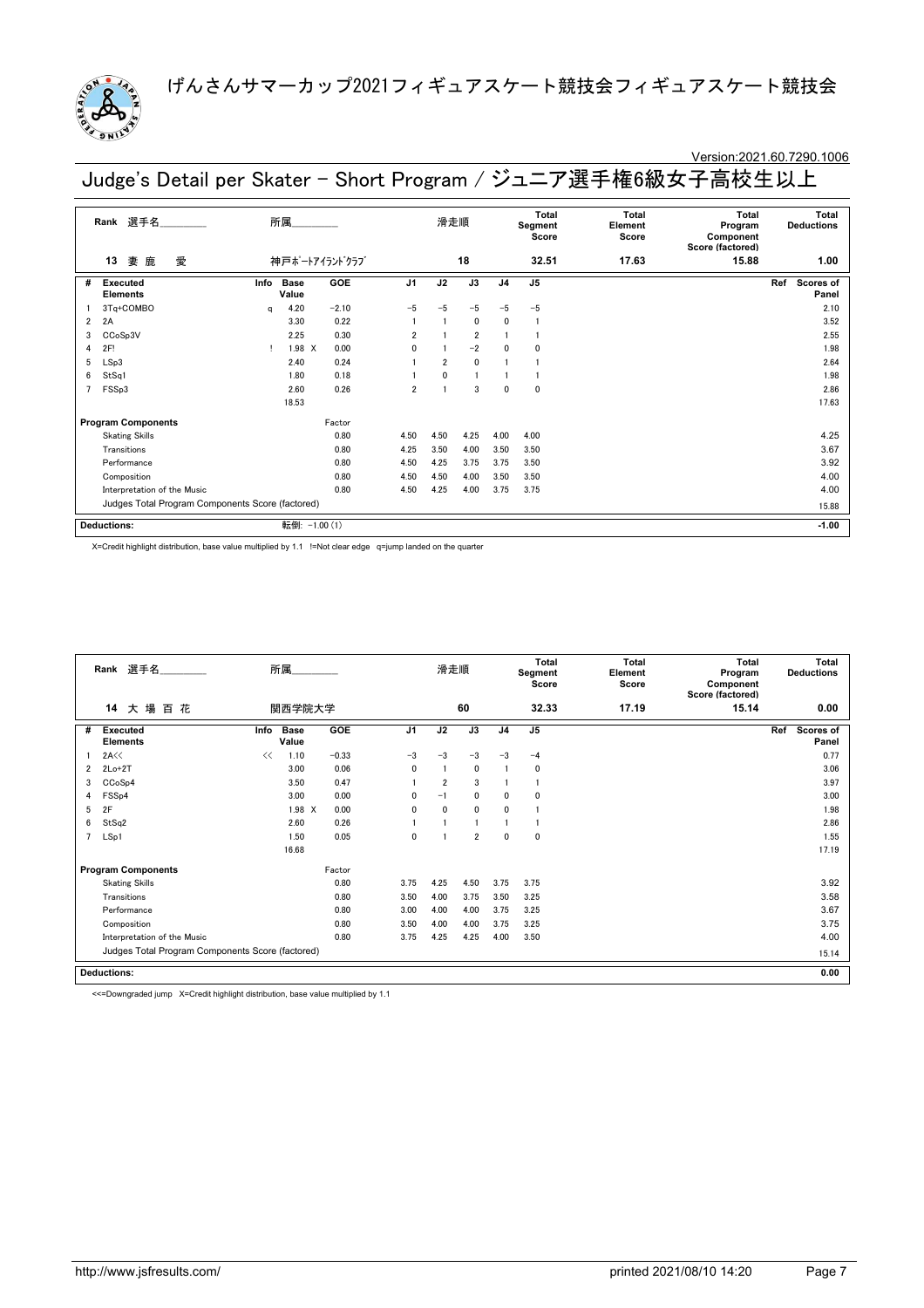

#### Version:2021.60.7290.1006

**13** 妻 鹿 愛 **Rank** 選手名\_\_\_\_\_\_\_\_\_\_\_\_\_\_ 滑走順 **Total Segment Score Total Element Score Total Program Component Score (factored) Total Deductions** 神戸ポートアイランドクラブ **18 32.51 17.63 15.88 1.00 Executed Elements** # Executed Info Base GOE J1 J2 J3 J4 J5 Ref Scores of **Panel Info GOE J1 J2 J3 J4 J5 Ref Program Components** Factor<br>
Skating Skills 0.80 Judges Total Program Components Score (factored) **Deductions:** 所属\_\_\_\_\_\_\_\_\_\_\_\_\_\_ **-1.00 Base Value** 1 3Tq+COMBO q 4.20 -2.10 -5 -5 -5 -5 -5 2.10 2 2A 3.30 0.22 1 1 0 0 1 3.52  $3 \text{ CGoSp3V}$  2.25 0.30 2 1 2 1 1 2.55 2.55 4 2F! ! 1.98 X 0.00 0 1 -2 0 0 1.98 5 LSp3 2.40 0.24 1 2 0 1 1 2.64 6 StSq1 1.80 0.18 1 0 1 1 1 1.98 7 FSSp3 2.60 0.26 2 1 3 0 0 2.86 18.53 17.63 Skating Skills 0.80 4.50 4.50 4.25 4.00 4.00 4.25 Transitions 0.80 4.25 3.50 4.00 3.50 3.50 3.67 Performance 0.80 4.50 4.25 3.75 3.75 3.50 3.92 Composition 0.80 4.50 4.50 4.00 3.50 3.50 4.00 Interpretation of the Music 0.80 4.50 4.25 4.00 3.75 3.75 4.00 3.75 4.00 15.88 転倒:  $-1.00(1)$ 

Judge's Detail per Skater - Short Program / ジュニア選手権6級女子高校生以上

X=Credit highlight distribution, base value multiplied by 1.1 !=Not clear edge q=jump landed on the quarter

|                | Rank 選手名<br>所属<br>14<br>関西学院大学                   |      |                      |            | 滑走順            |                |                | Total<br>Segment<br>Score | <b>Total</b><br>Element<br>Score | <b>Total</b><br>Program<br>Component<br>Score (factored) | Total<br><b>Deductions</b> |                                  |
|----------------|--------------------------------------------------|------|----------------------|------------|----------------|----------------|----------------|---------------------------|----------------------------------|----------------------------------------------------------|----------------------------|----------------------------------|
|                | 大場<br>百花                                         |      |                      |            |                |                | 60             |                           | 32.33                            | 17.19                                                    | 15.14                      | 0.00                             |
| #              | <b>Executed</b><br><b>Elements</b>               | Info | <b>Base</b><br>Value | <b>GOE</b> | J <sub>1</sub> | J2             | J3             | J <sub>4</sub>            | J <sub>5</sub>                   |                                                          |                            | Ref<br><b>Scores of</b><br>Panel |
|                | 2A<<                                             | <<   | 1.10                 | $-0.33$    | $-3$           | $-3$           | $-3$           | $-3$                      | $-4$                             |                                                          |                            | 0.77                             |
| $\overline{2}$ | $2Lo+2T$                                         |      | 3.00                 | 0.06       | $\mathbf 0$    |                | $\mathbf 0$    |                           | 0                                |                                                          |                            | 3.06                             |
| 3              | CCoSp4                                           |      | 3.50                 | 0.47       |                | $\overline{2}$ | 3              |                           |                                  |                                                          |                            | 3.97                             |
| 4              | FSS <sub>p4</sub>                                |      | 3.00                 | 0.00       | 0              | $-1$           | 0              | 0                         | $\Omega$                         |                                                          |                            | 3.00                             |
| 5              | 2F                                               |      | 1.98 X               | 0.00       | $\mathbf 0$    | $\mathbf{0}$   | $\mathbf{0}$   | $\mathbf{0}$              |                                  |                                                          |                            | 1.98                             |
| 6              | StSq2                                            |      | 2.60                 | 0.26       |                |                |                |                           |                                  |                                                          |                            | 2.86                             |
| $\overline{7}$ | LSp1                                             |      | 1.50                 | 0.05       | 0              |                | $\overline{2}$ | $\mathbf 0$               | 0                                |                                                          |                            | 1.55                             |
|                |                                                  |      | 16.68                |            |                |                |                |                           |                                  |                                                          |                            | 17.19                            |
|                | <b>Program Components</b>                        |      |                      | Factor     |                |                |                |                           |                                  |                                                          |                            |                                  |
|                | <b>Skating Skills</b>                            |      |                      | 0.80       | 3.75           | 4.25           | 4.50           | 3.75                      | 3.75                             |                                                          |                            | 3.92                             |
|                | Transitions                                      |      |                      | 0.80       | 3.50           | 4.00           | 3.75           | 3.50                      | 3.25                             |                                                          |                            | 3.58                             |
|                | Performance                                      |      |                      | 0.80       | 3.00           | 4.00           | 4.00           | 3.75                      | 3.25                             |                                                          |                            | 3.67                             |
|                | Composition                                      |      |                      | 0.80       | 3.50           | 4.00           | 4.00           | 3.75                      | 3.25                             |                                                          |                            | 3.75                             |
|                | Interpretation of the Music                      |      |                      | 0.80       | 3.75           | 4.25           | 4.25           | 4.00                      | 3.50                             |                                                          |                            | 4.00                             |
|                | Judges Total Program Components Score (factored) |      |                      |            |                |                |                |                           |                                  |                                                          |                            | 15.14                            |
|                | <b>Deductions:</b>                               |      |                      |            |                |                |                |                           |                                  |                                                          |                            | 0.00                             |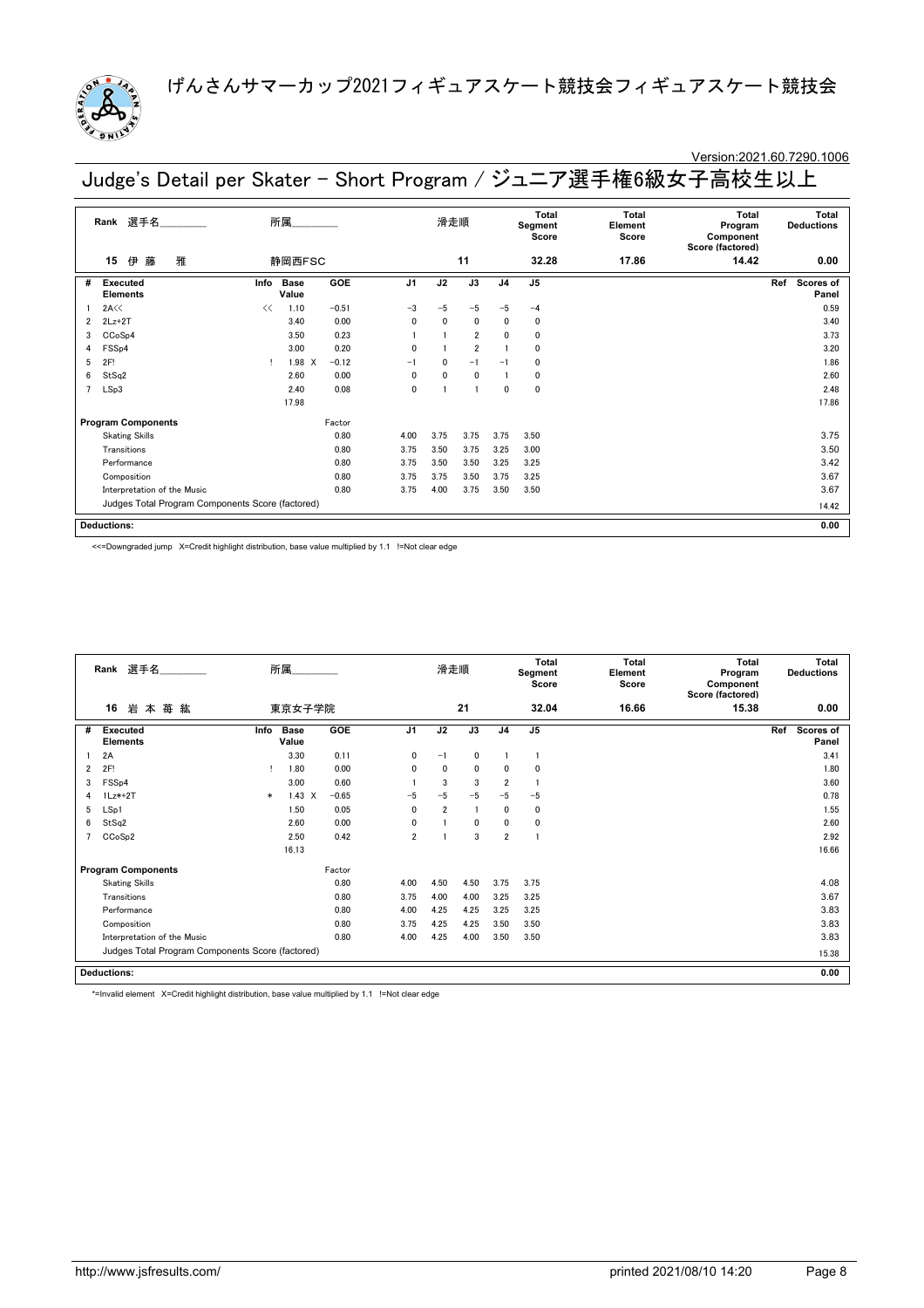

### Version:2021.60.7290.1006

Judge's Detail per Skater - Short Program / ジュニア選手権6級女子高校生以上

|                | 選手名<br>Rank                                      |      | 所属                   |            |                | 滑走順          |                |                | <b>Total</b><br>Segment<br>Score | <b>Total</b><br>Element<br>Score | Total<br>Program<br>Component<br>Score (factored) | Total<br><b>Deductions</b> |
|----------------|--------------------------------------------------|------|----------------------|------------|----------------|--------------|----------------|----------------|----------------------------------|----------------------------------|---------------------------------------------------|----------------------------|
|                | 雅<br>伊<br>15<br>藤                                |      | 静岡西FSC               |            |                |              | 11             |                | 32.28                            | 17.86                            | 14.42                                             | 0.00                       |
| #              | <b>Executed</b><br><b>Elements</b>               | Info | <b>Base</b><br>Value | <b>GOE</b> | J <sub>1</sub> | J2           | J3             | J <sub>4</sub> | J <sub>5</sub>                   |                                  |                                                   | Ref<br>Scores of<br>Panel  |
|                | 2A<<                                             | <<   | 1.10                 | $-0.51$    | $-3$           | $-5$         | $-5$           | $-5$           | $-4$                             |                                  |                                                   | 0.59                       |
| 2              | $2Lz+2T$                                         |      | 3.40                 | 0.00       | 0              | $\mathbf{0}$ | 0              | $\mathbf{0}$   | 0                                |                                  |                                                   | 3.40                       |
| 3              | CCoSp4                                           |      | 3.50                 | 0.23       |                |              | $\overline{2}$ | $\mathbf{0}$   | 0                                |                                  |                                                   | 3.73                       |
| 4              | FSSp4                                            |      | 3.00                 | 0.20       | 0              |              | $\overline{2}$ |                | 0                                |                                  |                                                   | 3.20                       |
| 5              | 2F!                                              | Ţ.   | $1.98 \times$        | $-0.12$    | $-1$           | $\Omega$     | $-1$           | $-1$           | $\mathbf 0$                      |                                  |                                                   | 1.86                       |
| 6              | StSq2                                            |      | 2.60                 | 0.00       | $\mathbf{0}$   | $\mathbf{0}$ | 0              |                | 0                                |                                  |                                                   | 2.60                       |
| $\overline{7}$ | LSp3                                             |      | 2.40                 | 0.08       | 0              |              | -1             | 0              | $\mathbf 0$                      |                                  |                                                   | 2.48                       |
|                |                                                  |      | 17.98                |            |                |              |                |                |                                  |                                  |                                                   | 17.86                      |
|                | <b>Program Components</b>                        |      |                      | Factor     |                |              |                |                |                                  |                                  |                                                   |                            |
|                | <b>Skating Skills</b>                            |      |                      | 0.80       | 4.00           | 3.75         | 3.75           | 3.75           | 3.50                             |                                  |                                                   | 3.75                       |
|                | Transitions                                      |      |                      | 0.80       | 3.75           | 3.50         | 3.75           | 3.25           | 3.00                             |                                  |                                                   | 3.50                       |
|                | Performance                                      |      |                      | 0.80       | 3.75           | 3.50         | 3.50           | 3.25           | 3.25                             |                                  |                                                   | 3.42                       |
|                | Composition                                      |      |                      | 0.80       | 3.75           | 3.75         | 3.50           | 3.75           | 3.25                             |                                  |                                                   | 3.67                       |
|                | Interpretation of the Music                      |      |                      | 0.80       | 3.75           | 4.00         | 3.75           | 3.50           | 3.50                             |                                  |                                                   | 3.67                       |
|                | Judges Total Program Components Score (factored) |      |                      |            |                |              |                |                |                                  |                                  |                                                   | 14.42                      |
|                | <b>Deductions:</b>                               |      |                      |            |                |              |                |                |                                  |                                  |                                                   | 0.00                       |

<<=Downgraded jump X=Credit highlight distribution, base value multiplied by 1.1 !=Not clear edge

|   | Rank 選手名                                         | 所属     |                      |            |                | 滑走順            |      |                         | <b>Total</b><br>Segment<br>Score | <b>Total</b><br>Element<br>Score | <b>Total</b><br>Program<br>Component<br>Score (factored) | <b>Total</b><br><b>Deductions</b> |
|---|--------------------------------------------------|--------|----------------------|------------|----------------|----------------|------|-------------------------|----------------------------------|----------------------------------|----------------------------------------------------------|-----------------------------------|
|   | 16<br>岩本苺紘                                       |        | 東京女子学院               |            |                |                | 21   |                         | 32.04                            | 16.66                            | 15.38                                                    | 0.00                              |
| # | <b>Executed</b><br><b>Elements</b>               | Info   | <b>Base</b><br>Value | <b>GOE</b> | J <sub>1</sub> | J2             | J3   | J <sub>4</sub>          | J <sub>5</sub>                   |                                  |                                                          | Ref<br>Scores of<br>Panel         |
|   | 2A                                               |        | 3.30                 | 0.11       | 0              | $-1$           | 0    |                         | 1                                |                                  |                                                          | 3.41                              |
| 2 | 2F!                                              |        | 1.80                 | 0.00       | 0              | 0              | 0    | 0                       | 0                                |                                  |                                                          | 1.80                              |
| 3 | FSS <sub>p4</sub>                                |        | 3.00                 | 0.60       |                | 3              | 3    | $\overline{2}$          |                                  |                                  |                                                          | 3.60                              |
| 4 | $1Lz*+2T$                                        | $\ast$ | $1.43 \times$        | $-0.65$    | $-5$           | $-5$           | $-5$ | $-5$                    | $-5$                             |                                  |                                                          | 0.78                              |
| 5 | LSp1                                             |        | 1.50                 | 0.05       | 0              | $\overline{2}$ |      | 0                       | 0                                |                                  |                                                          | 1.55                              |
| 6 | StSq2                                            |        | 2.60                 | 0.00       | 0              |                | 0    | 0                       | 0                                |                                  |                                                          | 2.60                              |
|   | CCoSp2                                           |        | 2.50                 | 0.42       | $\overline{2}$ |                | 3    | $\overline{\mathbf{2}}$ | 1                                |                                  |                                                          | 2.92                              |
|   |                                                  |        | 16.13                |            |                |                |      |                         |                                  |                                  |                                                          | 16.66                             |
|   | <b>Program Components</b>                        |        |                      | Factor     |                |                |      |                         |                                  |                                  |                                                          |                                   |
|   | <b>Skating Skills</b>                            |        |                      | 0.80       | 4.00           | 4.50           | 4.50 | 3.75                    | 3.75                             |                                  |                                                          | 4.08                              |
|   | Transitions                                      |        |                      | 0.80       | 3.75           | 4.00           | 4.00 | 3.25                    | 3.25                             |                                  |                                                          | 3.67                              |
|   | Performance                                      |        |                      | 0.80       | 4.00           | 4.25           | 4.25 | 3.25                    | 3.25                             |                                  |                                                          | 3.83                              |
|   | Composition                                      |        |                      | 0.80       | 3.75           | 4.25           | 4.25 | 3.50                    | 3.50                             |                                  |                                                          | 3.83                              |
|   | Interpretation of the Music                      |        |                      | 0.80       | 4.00           | 4.25           | 4.00 | 3.50                    | 3.50                             |                                  |                                                          | 3.83                              |
|   | Judges Total Program Components Score (factored) |        |                      |            |                |                |      |                         |                                  |                                  |                                                          | 15.38                             |
|   | <b>Deductions:</b>                               |        |                      |            |                |                |      |                         |                                  |                                  |                                                          | 0.00                              |

\*=Invalid element X=Credit highlight distribution, base value multiplied by 1.1 !=Not clear edge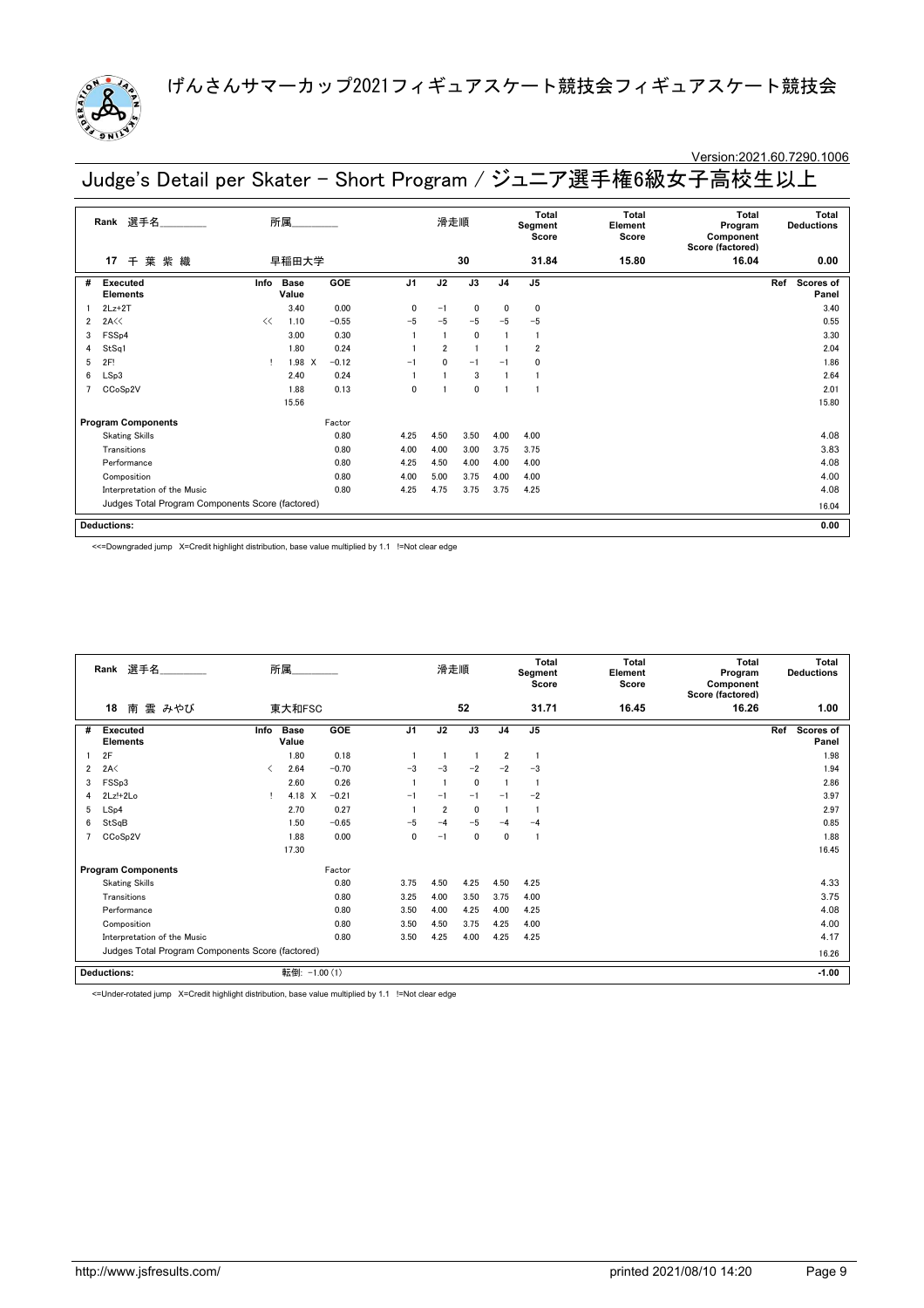

### Version:2021.60.7290.1006

Judge's Detail per Skater - Short Program / ジュニア選手権6級女子高校生以上

|                | Rank 選手名                                         |      | 所属_________          |         |                | 滑走順            |              |                | Total<br>Segment<br>Score | Total<br>Element<br>Score | Total<br>Program<br>Component<br>Score (factored) | Total<br><b>Deductions</b> |
|----------------|--------------------------------------------------|------|----------------------|---------|----------------|----------------|--------------|----------------|---------------------------|---------------------------|---------------------------------------------------|----------------------------|
|                | 葉紫織<br>17<br>千                                   |      | 早稲田大学                |         |                |                | 30           |                | 31.84                     | 15.80                     | 16.04                                             | 0.00                       |
| #              | Executed<br><b>Elements</b>                      | Info | <b>Base</b><br>Value | GOE     | J <sub>1</sub> | J2             | J3           | J <sub>4</sub> | J <sub>5</sub>            |                           |                                                   | Ref<br>Scores of<br>Panel  |
|                | $2Lz+2T$                                         |      | 3.40                 | 0.00    | $\mathbf{0}$   | $-1$           | $\mathbf 0$  | 0              | $\mathbf 0$               |                           |                                                   | 3.40                       |
| $\overline{2}$ | 2A<<                                             | <<   | 1.10                 | $-0.55$ | $-5$           | $-5$           | $-5$         | $-5$           | $-5$                      |                           |                                                   | 0.55                       |
| 3              | FSSp4                                            |      | 3.00                 | 0.30    |                |                | $\mathbf{0}$ |                | $\mathbf{1}$              |                           |                                                   | 3.30                       |
| 4              | StSq1                                            |      | 1.80                 | 0.24    |                | $\overline{2}$ |              |                | $\overline{2}$            |                           |                                                   | 2.04                       |
| 5              | 2F!                                              |      | 1.98 X               | $-0.12$ | $-1$           | $\mathbf{0}$   | $-1$         | $-1$           | $\Omega$                  |                           |                                                   | 1.86                       |
| 6              | LSp3                                             |      | 2.40                 | 0.24    |                |                | 3            |                |                           |                           |                                                   | 2.64                       |
|                | CCoSp2V                                          |      | 1.88                 | 0.13    | $\mathbf{0}$   |                | $\mathbf{0}$ |                |                           |                           |                                                   | 2.01                       |
|                |                                                  |      | 15.56                |         |                |                |              |                |                           |                           |                                                   | 15.80                      |
|                | <b>Program Components</b>                        |      |                      | Factor  |                |                |              |                |                           |                           |                                                   |                            |
|                | <b>Skating Skills</b>                            |      |                      | 0.80    | 4.25           | 4.50           | 3.50         | 4.00           | 4.00                      |                           |                                                   | 4.08                       |
|                | Transitions                                      |      |                      | 0.80    | 4.00           | 4.00           | 3.00         | 3.75           | 3.75                      |                           |                                                   | 3.83                       |
|                | Performance                                      |      |                      | 0.80    | 4.25           | 4.50           | 4.00         | 4.00           | 4.00                      |                           |                                                   | 4.08                       |
|                | Composition                                      |      |                      | 0.80    | 4.00           | 5.00           | 3.75         | 4.00           | 4.00                      |                           |                                                   | 4.00                       |
|                | Interpretation of the Music                      |      |                      | 0.80    | 4.25           | 4.75           | 3.75         | 3.75           | 4.25                      |                           |                                                   | 4.08                       |
|                | Judges Total Program Components Score (factored) |      |                      |         |                |                |              |                |                           |                           |                                                   | 16.04                      |
|                | <b>Deductions:</b>                               |      |                      |         |                |                |              |                |                           |                           |                                                   | 0.00                       |

<<=Downgraded jump X=Credit highlight distribution, base value multiplied by 1.1 !=Not clear edge

|                                                  | Rank 選手名<br>所属              |               |                      |         | 滑走順            |                |             | Total<br>Segment<br>Score | Total<br>Element<br>Score | Total<br>Program<br>Component<br>Score (factored) | Total<br><b>Deductions</b> |                           |
|--------------------------------------------------|-----------------------------|---------------|----------------------|---------|----------------|----------------|-------------|---------------------------|---------------------------|---------------------------------------------------|----------------------------|---------------------------|
|                                                  | 18<br>雲 みやび<br>南            |               | 東大和FSC               |         |                |                | 52          |                           | 31.71                     | 16.45                                             | 16.26                      | 1.00                      |
| #                                                | Executed<br><b>Elements</b> | Info          | <b>Base</b><br>Value | GOE     | J <sub>1</sub> | J2             | J3          | J <sub>4</sub>            | J <sub>5</sub>            |                                                   |                            | Ref<br>Scores of<br>Panel |
|                                                  | 2F                          |               | 1.80                 | 0.18    |                |                |             | $\overline{2}$            | -1                        |                                                   |                            | 1.98                      |
| $\overline{2}$                                   | 2A<                         | ≺             | 2.64                 | $-0.70$ | $-3$           | $-3$           | $-2$        | $-2$                      | $-3$                      |                                                   |                            | 1.94                      |
| 3                                                | FSSp3                       |               | 2.60                 | 0.26    |                |                | $\mathbf 0$ |                           | -1                        |                                                   |                            | 2.86                      |
| 4                                                | 2Lz!+2Lo                    | Ţ.            | 4.18 X               | $-0.21$ | $-1$           | $-1$           | $-1$        | $-1$                      | $-2$                      |                                                   |                            | 3.97                      |
| 5                                                | LSp4                        |               | 2.70                 | 0.27    |                | $\overline{2}$ | $\mathbf 0$ |                           |                           |                                                   |                            | 2.97                      |
| 6                                                | StSqB                       |               | 1.50                 | $-0.65$ | $-5$           | $-4$           | $-5$        | $-4$                      | $-4$                      |                                                   |                            | 0.85                      |
|                                                  | CCoSp2V                     |               | 1.88                 | 0.00    | 0              | $-1$           | $\mathbf 0$ | 0                         | -1                        |                                                   |                            | 1.88                      |
|                                                  |                             |               | 17.30                |         |                |                |             |                           |                           |                                                   |                            | 16.45                     |
|                                                  | <b>Program Components</b>   |               |                      | Factor  |                |                |             |                           |                           |                                                   |                            |                           |
|                                                  | <b>Skating Skills</b>       |               |                      | 0.80    | 3.75           | 4.50           | 4.25        | 4.50                      | 4.25                      |                                                   |                            | 4.33                      |
|                                                  | Transitions                 |               |                      | 0.80    | 3.25           | 4.00           | 3.50        | 3.75                      | 4.00                      |                                                   |                            | 3.75                      |
|                                                  | Performance                 |               |                      | 0.80    | 3.50           | 4.00           | 4.25        | 4.00                      | 4.25                      |                                                   |                            | 4.08                      |
|                                                  | Composition                 |               |                      | 0.80    | 3.50           | 4.50           | 3.75        | 4.25                      | 4.00                      |                                                   |                            | 4.00                      |
|                                                  | Interpretation of the Music |               |                      | 0.80    | 3.50           | 4.25           | 4.00        | 4.25                      | 4.25                      |                                                   |                            | 4.17                      |
| Judges Total Program Components Score (factored) |                             |               |                      |         |                |                |             |                           |                           |                                                   | 16.26                      |                           |
|                                                  | <b>Deductions:</b>          | 転倒: -1.00 (1) |                      |         |                |                |             |                           |                           |                                                   | $-1.00$                    |                           |

<=Under-rotated jump X=Credit highlight distribution, base value multiplied by 1.1 !=Not clear edge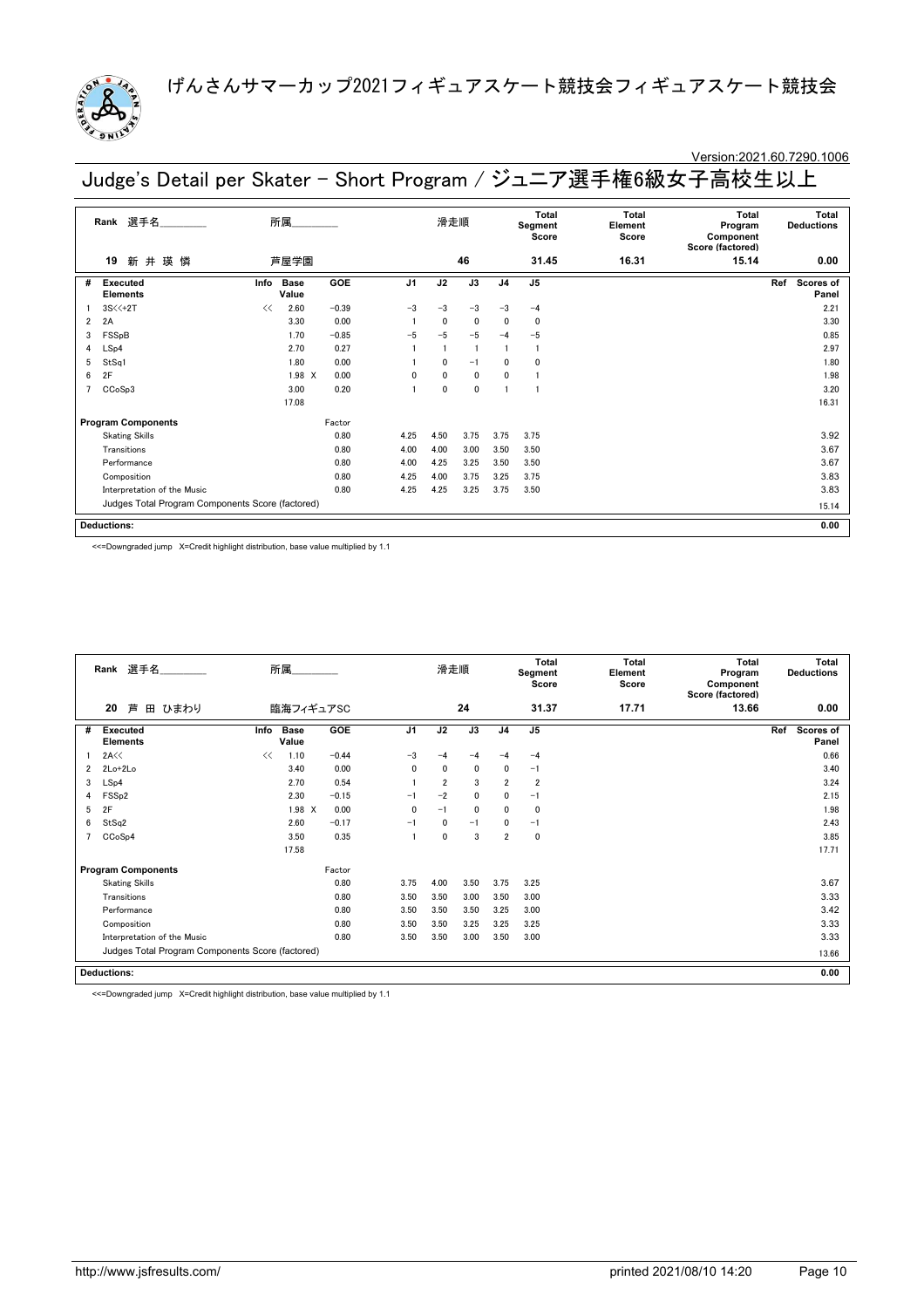

### Version:2021.60.7290.1006

Judge's Detail per Skater - Short Program / ジュニア選手権6級女子高校生以上

|   | 選手名<br>Rank                                      | 所属                           |         |                | 滑走順          |                 |                | Total<br>Segment<br>Score | Total<br>Element<br>Score | Total<br>Program<br>Component<br>Score (factored) | Total<br><b>Deductions</b> |
|---|--------------------------------------------------|------------------------------|---------|----------------|--------------|-----------------|----------------|---------------------------|---------------------------|---------------------------------------------------|----------------------------|
|   | 新井瑛憐<br>19                                       | 芦屋学園                         |         |                |              | 46              |                | 31.45                     | 16.31                     | 15.14                                             | 0.00                       |
| # | Executed<br><b>Elements</b>                      | <b>Base</b><br>Info<br>Value | GOE     | J <sub>1</sub> | J2           | $\overline{J3}$ | J <sub>4</sub> | J <sub>5</sub>            |                           |                                                   | Ref<br>Scores of<br>Panel  |
|   | $3S<+2T$                                         | 2.60<br><<                   | $-0.39$ | $-3$           | $-3$         | $-3$            | $-3$           | $-4$                      |                           |                                                   | 2.21                       |
| 2 | 2A                                               | 3.30                         | 0.00    |                | $\mathbf{0}$ | $\mathbf{0}$    | $\mathbf{0}$   | $\mathbf 0$               |                           |                                                   | 3.30                       |
| 3 | FSSpB                                            | 1.70                         | $-0.85$ | $-5$           | $-5$         | $-5$            | $-4$           | $-5$                      |                           |                                                   | 0.85                       |
| 4 | LSp4                                             | 2.70                         | 0.27    |                |              | $\overline{1}$  |                |                           |                           |                                                   | 2.97                       |
| 5 | StSq1                                            | 1.80                         | 0.00    |                | $\mathbf{0}$ | $-1$            | 0              | $\mathbf 0$               |                           |                                                   | 1.80                       |
| 6 | 2F                                               | $1.98$ X                     | 0.00    | 0              | $\mathbf{0}$ | $\mathbf{0}$    | 0              |                           |                           |                                                   | 1.98                       |
|   | CCoSp3                                           | 3.00                         | 0.20    |                | $\mathbf{0}$ | $\mathbf 0$     |                |                           |                           |                                                   | 3.20                       |
|   |                                                  | 17.08                        |         |                |              |                 |                |                           |                           |                                                   | 16.31                      |
|   | <b>Program Components</b>                        |                              | Factor  |                |              |                 |                |                           |                           |                                                   |                            |
|   | <b>Skating Skills</b>                            |                              | 0.80    | 4.25           | 4.50         | 3.75            | 3.75           | 3.75                      |                           |                                                   | 3.92                       |
|   | Transitions                                      |                              | 0.80    | 4.00           | 4.00         | 3.00            | 3.50           | 3.50                      |                           |                                                   | 3.67                       |
|   | Performance                                      |                              | 0.80    | 4.00           | 4.25         | 3.25            | 3.50           | 3.50                      |                           |                                                   | 3.67                       |
|   | Composition                                      |                              | 0.80    | 4.25           | 4.00         | 3.75            | 3.25           | 3.75                      |                           |                                                   | 3.83                       |
|   | Interpretation of the Music                      |                              | 0.80    | 4.25           | 4.25         | 3.25            | 3.75           | 3.50                      |                           |                                                   | 3.83                       |
|   | Judges Total Program Components Score (factored) |                              |         |                |              |                 |                |                           |                           |                                                   | 15.14                      |
|   | <b>Deductions:</b>                               |                              |         |                |              |                 |                |                           |                           |                                                   | 0.00                       |

<<=Downgraded jump X=Credit highlight distribution, base value multiplied by 1.1

|   | Rank 選手名<br>所属<br>20<br>臨海フィギュアSC                |      |                      |            | 滑走順            |                | <b>Total</b><br>Segment<br>Score | <b>Total</b><br>Element<br>Score | <b>Total</b><br>Program<br>Component<br>Score (factored) | <b>Total</b><br><b>Deductions</b> |       |                                  |
|---|--------------------------------------------------|------|----------------------|------------|----------------|----------------|----------------------------------|----------------------------------|----------------------------------------------------------|-----------------------------------|-------|----------------------------------|
|   | 芦<br>田 ひまわり                                      |      |                      |            |                |                | 24                               |                                  | 31.37                                                    | 17.71                             | 13.66 | 0.00                             |
| # | <b>Executed</b><br><b>Elements</b>               | Info | <b>Base</b><br>Value | <b>GOE</b> | J <sub>1</sub> | J2             | J3                               | J <sub>4</sub>                   | J <sub>5</sub>                                           |                                   |       | Ref<br><b>Scores of</b><br>Panel |
|   | 2A<<                                             | <<   | 1.10                 | $-0.44$    | $-3$           | $-4$           | $-4$                             | $-4$                             | $-4$                                                     |                                   |       | 0.66                             |
| 2 | $2Lo+2Lo$                                        |      | 3.40                 | 0.00       | 0              | 0              | $\mathbf 0$                      | 0                                | $-1$                                                     |                                   |       | 3.40                             |
| 3 | LSp4                                             |      | 2.70                 | 0.54       |                | $\overline{2}$ | 3                                | $\overline{2}$                   | $\overline{2}$                                           |                                   |       | 3.24                             |
| 4 | FSS <sub>p2</sub>                                |      | 2.30                 | $-0.15$    | $-1$           | $-2$           | 0                                | 0                                | $-1$                                                     |                                   |       | 2.15                             |
| 5 | 2F                                               |      | 1.98 X               | 0.00       | $\mathbf{0}$   | $-1$           | $\mathbf 0$                      | $\mathbf{0}$                     | 0                                                        |                                   |       | 1.98                             |
| 6 | StSq2                                            |      | 2.60                 | $-0.17$    | $-1$           | 0              | $-1$                             | 0                                | $-1$                                                     |                                   |       | 2.43                             |
|   | CCoSp4                                           |      | 3.50                 | 0.35       |                | $\mathbf 0$    | 3                                | $\overline{2}$                   | 0                                                        |                                   |       | 3.85                             |
|   |                                                  |      | 17.58                |            |                |                |                                  |                                  |                                                          |                                   |       | 17.71                            |
|   | <b>Program Components</b>                        |      |                      | Factor     |                |                |                                  |                                  |                                                          |                                   |       |                                  |
|   | <b>Skating Skills</b>                            |      |                      | 0.80       | 3.75           | 4.00           | 3.50                             | 3.75                             | 3.25                                                     |                                   |       | 3.67                             |
|   | Transitions                                      |      |                      | 0.80       | 3.50           | 3.50           | 3.00                             | 3.50                             | 3.00                                                     |                                   |       | 3.33                             |
|   | Performance                                      |      |                      | 0.80       | 3.50           | 3.50           | 3.50                             | 3.25                             | 3.00                                                     |                                   |       | 3.42                             |
|   | Composition                                      |      |                      | 0.80       | 3.50           | 3.50           | 3.25                             | 3.25                             | 3.25                                                     |                                   |       | 3.33                             |
|   | Interpretation of the Music                      |      |                      | 0.80       | 3.50           | 3.50           | 3.00                             | 3.50                             | 3.00                                                     |                                   |       | 3.33                             |
|   | Judges Total Program Components Score (factored) |      |                      |            |                |                |                                  |                                  |                                                          |                                   |       | 13.66                            |
|   | <b>Deductions:</b>                               |      |                      |            |                |                |                                  |                                  |                                                          |                                   |       | 0.00                             |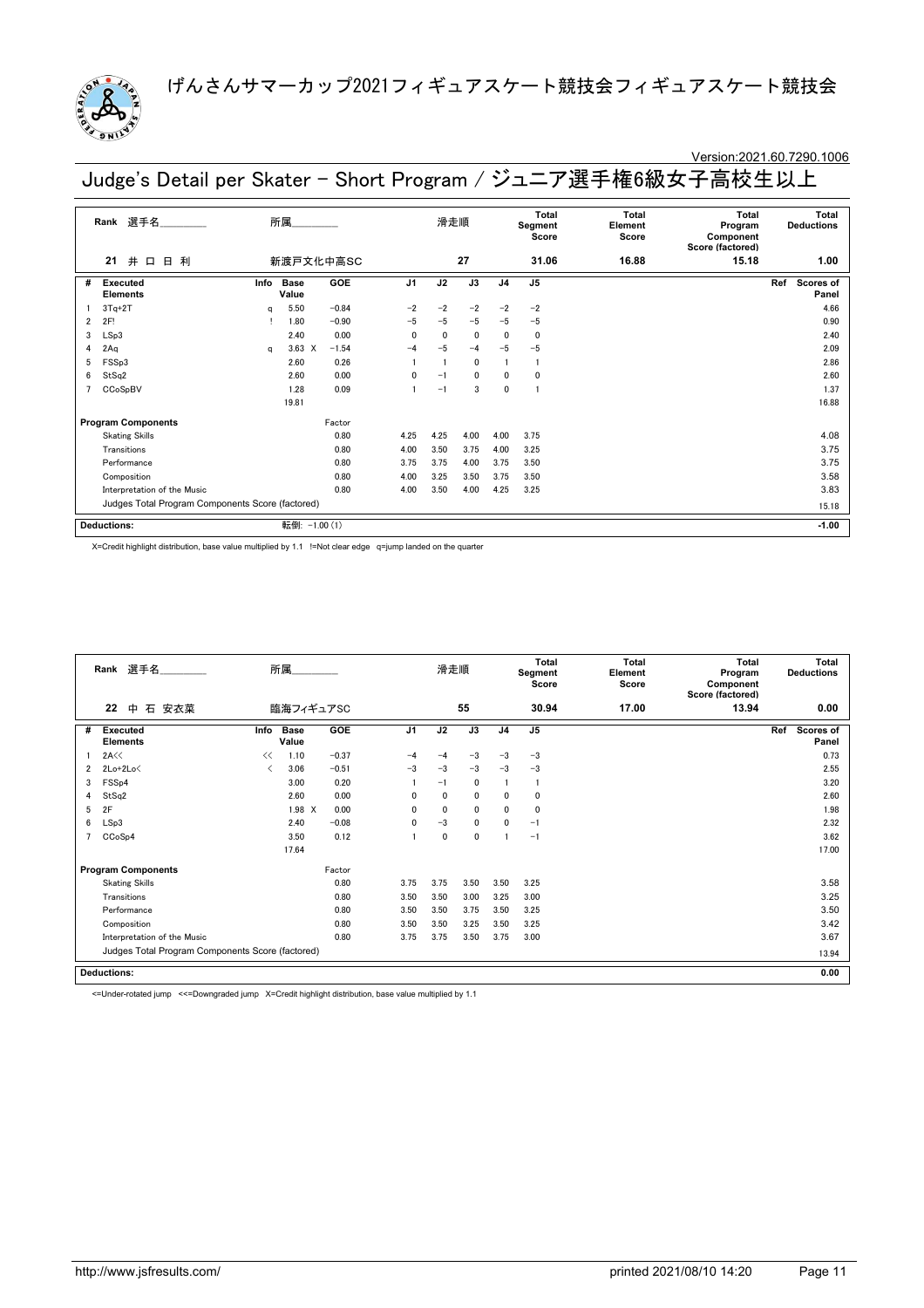

# Version:2021.60.7290.1006

|  |  | Judge's Detail per Skater - Short Program / ジュニア選手権6級女子高校生以上 |
|--|--|--------------------------------------------------------------|
|--|--|--------------------------------------------------------------|

|                             | 選手名<br>Rank                                      | 所属<br>新渡戸文化中高SC |               |            | 滑走順            |      |             | <b>Total</b><br>Segment<br>Score | <b>Total</b><br>Element<br>Score | <b>Total</b><br>Program<br>Component<br>Score (factored) | <b>Total</b><br><b>Deductions</b> |                           |  |
|-----------------------------|--------------------------------------------------|-----------------|---------------|------------|----------------|------|-------------|----------------------------------|----------------------------------|----------------------------------------------------------|-----------------------------------|---------------------------|--|
|                             | 井<br>日利<br>21<br>日                               |                 |               |            |                |      | 27          |                                  | 31.06                            | 16.88                                                    | 15.18                             | 1.00                      |  |
| #                           | <b>Executed</b><br><b>Elements</b>               | Info            | Base<br>Value | <b>GOE</b> | J <sub>1</sub> | J2   | J3          | J <sub>4</sub>                   | J <sub>5</sub>                   |                                                          |                                   | Ref<br>Scores of<br>Panel |  |
|                             | $3Tq+2T$                                         | q               | 5.50          | $-0.84$    | $-2$           | $-2$ | $-2$        | $-2$                             | $-2$                             |                                                          |                                   | 4.66                      |  |
| $\overline{2}$              | 2F!                                              |                 | 1.80          | $-0.90$    | $-5$           | $-5$ | $-5$        | $-5$                             | $-5$                             |                                                          |                                   | 0.90                      |  |
| 3                           | LSp3                                             |                 | 2.40          | 0.00       | 0              | 0    | $\mathbf 0$ | 0                                | 0                                |                                                          |                                   | 2.40                      |  |
| 4                           | 2Aq                                              | a               | $3.63 \times$ | $-1.54$    | $-4$           | $-5$ | $-4$        | $-5$                             | $-5$                             |                                                          |                                   | 2.09                      |  |
| 5                           | FSSp3                                            |                 | 2.60          | 0.26       |                |      | $\mathbf 0$ |                                  | $\mathbf{1}$                     |                                                          |                                   | 2.86                      |  |
| 6                           | StSq2                                            |                 | 2.60          | 0.00       | $\mathbf{0}$   | $-1$ | 0           | 0                                | 0                                |                                                          |                                   | 2.60                      |  |
|                             | CCoSpBV                                          |                 | 1.28          | 0.09       |                | $-1$ | 3           | 0                                | 1                                |                                                          |                                   | 1.37                      |  |
|                             |                                                  |                 | 19.81         |            |                |      |             |                                  |                                  |                                                          |                                   | 16.88                     |  |
|                             | <b>Program Components</b>                        |                 |               | Factor     |                |      |             |                                  |                                  |                                                          |                                   |                           |  |
|                             | <b>Skating Skills</b>                            |                 |               | 0.80       | 4.25           | 4.25 | 4.00        | 4.00                             | 3.75                             |                                                          |                                   | 4.08                      |  |
|                             | Transitions                                      |                 |               | 0.80       | 4.00           | 3.50 | 3.75        | 4.00                             | 3.25                             |                                                          |                                   | 3.75                      |  |
|                             | Performance                                      |                 |               | 0.80       | 3.75           | 3.75 | 4.00        | 3.75                             | 3.50                             |                                                          |                                   | 3.75                      |  |
|                             | Composition                                      |                 |               | 0.80       | 4.00           | 3.25 | 3.50        | 3.75                             | 3.50                             |                                                          |                                   | 3.58                      |  |
| Interpretation of the Music |                                                  |                 |               | 0.80       | 4.00           | 3.50 | 4.00        | 4.25                             | 3.25                             |                                                          |                                   | 3.83                      |  |
|                             | Judges Total Program Components Score (factored) |                 |               |            |                |      |             |                                  |                                  |                                                          | 15.18                             |                           |  |
|                             | <b>Deductions:</b>                               |                 | 転倒:           | $-1.00(1)$ |                |      |             |                                  |                                  |                                                          |                                   | $-1.00$                   |  |

X=Credit highlight distribution, base value multiplied by 1.1 !=Not clear edge q=jump landed on the quarter

|   | 所属<br>選手名<br>Rank<br>臨海フィギュアSC                   |      |                      |         | 滑走順            |              |             | Total<br>Segment<br>Score | Total<br>Element<br>Score | <b>Total</b><br>Program<br>Component<br>Score (factored) | <b>Total</b><br><b>Deductions</b> |                                  |
|---|--------------------------------------------------|------|----------------------|---------|----------------|--------------|-------------|---------------------------|---------------------------|----------------------------------------------------------|-----------------------------------|----------------------------------|
|   | 22<br>石<br>安衣菜<br>中                              |      |                      |         |                |              | 55          |                           | 30.94                     | 17.00                                                    | 13.94                             | 0.00                             |
| # | <b>Executed</b><br><b>Elements</b>               | Info | <b>Base</b><br>Value | GOE     | J <sub>1</sub> | J2           | J3          | J <sub>4</sub>            | J <sub>5</sub>            |                                                          |                                   | Ref<br><b>Scores of</b><br>Panel |
|   | 2A<<                                             | <<   | 1.10                 | $-0.37$ | $-4$           | $-4$         | $-3$        | $-3$                      | $-3$                      |                                                          |                                   | 0.73                             |
| 2 | $2Lo+2Lo<$                                       | ≺    | 3.06                 | $-0.51$ | $-3$           | $-3$         | $-3$        | $-3$                      | $-3$                      |                                                          |                                   | 2.55                             |
| 3 | FSS <sub>p4</sub>                                |      | 3.00                 | 0.20    |                | $-1$         | $\mathbf 0$ |                           | -1                        |                                                          |                                   | 3.20                             |
| 4 | StSq2                                            |      | 2.60                 | 0.00    | 0              | $\mathbf{0}$ | $\mathbf 0$ | 0                         | 0                         |                                                          |                                   | 2.60                             |
| 5 | 2F                                               |      | 1.98 X               | 0.00    | 0              | $\mathbf 0$  | $\mathbf 0$ | 0                         | 0                         |                                                          |                                   | 1.98                             |
| 6 | LSp3                                             |      | 2.40                 | $-0.08$ | $\mathbf{0}$   | $-3$         | $\mathbf 0$ | 0                         | $-1$                      |                                                          |                                   | 2.32                             |
|   | CCoSp4                                           |      | 3.50                 | 0.12    |                | 0            | 0           |                           | $-1$                      |                                                          |                                   | 3.62                             |
|   |                                                  |      | 17.64                |         |                |              |             |                           |                           |                                                          |                                   | 17.00                            |
|   | <b>Program Components</b>                        |      |                      | Factor  |                |              |             |                           |                           |                                                          |                                   |                                  |
|   | <b>Skating Skills</b>                            |      |                      | 0.80    | 3.75           | 3.75         | 3.50        | 3.50                      | 3.25                      |                                                          |                                   | 3.58                             |
|   | Transitions                                      |      |                      | 0.80    | 3.50           | 3.50         | 3.00        | 3.25                      | 3.00                      |                                                          |                                   | 3.25                             |
|   | Performance                                      |      |                      | 0.80    | 3.50           | 3.50         | 3.75        | 3.50                      | 3.25                      |                                                          |                                   | 3.50                             |
|   | Composition                                      |      |                      | 0.80    | 3.50           | 3.50         | 3.25        | 3.50                      | 3.25                      |                                                          |                                   | 3.42                             |
|   | Interpretation of the Music                      |      |                      | 0.80    | 3.75           | 3.75         | 3.50        | 3.75                      | 3.00                      |                                                          |                                   | 3.67                             |
|   | Judges Total Program Components Score (factored) |      |                      |         |                |              |             |                           |                           |                                                          |                                   | 13.94                            |
|   | <b>Deductions:</b>                               |      |                      |         |                |              |             |                           |                           |                                                          |                                   | 0.00                             |

<=Under-rotated jump <<=Downgraded jump X=Credit highlight distribution, base value multiplied by 1.1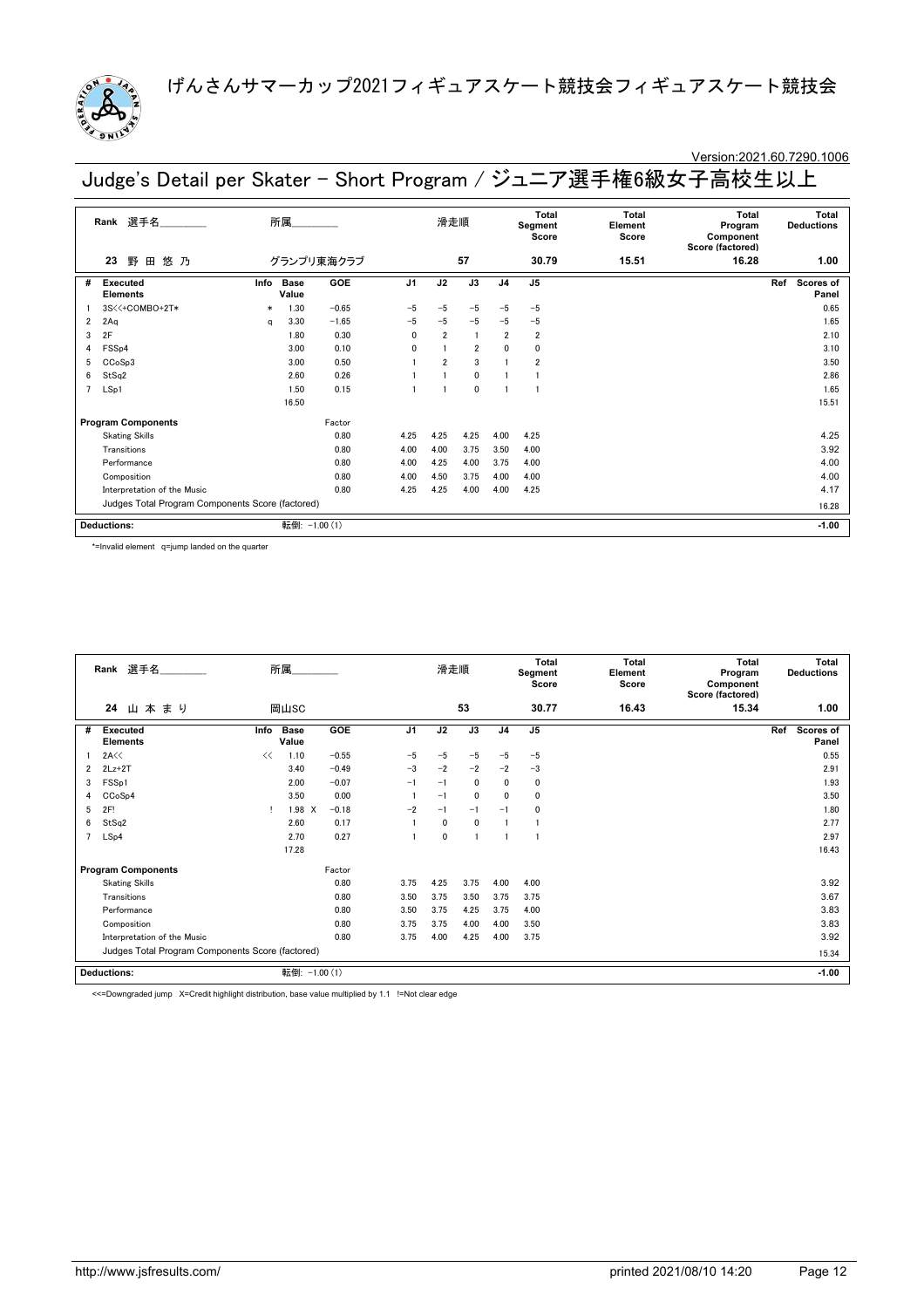

# Version:2021.60.7290.1006

Judge's Detail per Skater - Short Program / ジュニア選手権6級女子高校生以上

|                                                  | 選手名<br>Rank                        |        | 所属                   |            |                | 滑走順            |                |                | Total<br>Segment<br>Score | Total<br>Element<br>Score | Total<br>Program<br>Component<br>Score (factored) |       | Total<br><b>Deductions</b> |
|--------------------------------------------------|------------------------------------|--------|----------------------|------------|----------------|----------------|----------------|----------------|---------------------------|---------------------------|---------------------------------------------------|-------|----------------------------|
|                                                  | 野<br>悠乃<br>田<br>23                 |        |                      | グランプリ東海クラブ |                |                | 57             |                | 30.79                     | 15.51                     | 16.28                                             |       | 1.00                       |
| #                                                | <b>Executed</b><br><b>Elements</b> | Info   | <b>Base</b><br>Value | <b>GOE</b> | J <sub>1</sub> | J2             | J3             | J <sub>4</sub> | J <sub>5</sub>            |                           |                                                   | Ref   | Scores of<br>Panel         |
|                                                  | 3S<<+COMBO+2T*                     | $\ast$ | 1.30                 | $-0.65$    | $-5$           | $-5$           | $-5$           | $-5$           | $-5$                      |                           |                                                   |       | 0.65                       |
| $\overline{2}$                                   | 2Aq                                | a      | 3.30                 | $-1.65$    | $-5$           | $-5$           | $-5$           | $-5$           | $-5$                      |                           |                                                   |       | 1.65                       |
| 3                                                | 2F                                 |        | 1.80                 | 0.30       | $\mathbf{0}$   | $\overline{2}$ | $\overline{1}$ | $\overline{2}$ | $\overline{2}$            |                           |                                                   |       | 2.10                       |
| 4                                                | FSSp4                              |        | 3.00                 | 0.10       | 0              |                | $\overline{2}$ | 0              | 0                         |                           |                                                   |       | 3.10                       |
| 5                                                | CCoSp3                             |        | 3.00                 | 0.50       |                | $\overline{2}$ | 3              |                | $\overline{2}$            |                           |                                                   |       | 3.50                       |
| 6                                                | StSq2                              |        | 2.60                 | 0.26       |                |                | 0              |                |                           |                           |                                                   |       | 2.86                       |
| 7                                                | LSp1                               |        | 1.50                 | 0.15       |                |                | 0              |                |                           |                           |                                                   |       | 1.65                       |
|                                                  |                                    |        | 16.50                |            |                |                |                |                |                           |                           |                                                   |       | 15.51                      |
|                                                  | <b>Program Components</b>          |        |                      | Factor     |                |                |                |                |                           |                           |                                                   |       |                            |
|                                                  | <b>Skating Skills</b>              |        |                      | 0.80       | 4.25           | 4.25           | 4.25           | 4.00           | 4.25                      |                           |                                                   |       | 4.25                       |
|                                                  | Transitions                        |        |                      | 0.80       | 4.00           | 4.00           | 3.75           | 3.50           | 4.00                      |                           |                                                   |       | 3.92                       |
|                                                  | Performance                        |        |                      | 0.80       | 4.00           | 4.25           | 4.00           | 3.75           | 4.00                      |                           |                                                   |       | 4.00                       |
|                                                  | Composition                        |        |                      | 0.80       | 4.00           | 4.50           | 3.75           | 4.00           | 4.00                      |                           |                                                   |       | 4.00                       |
|                                                  | Interpretation of the Music        |        |                      | 0.80       | 4.25           | 4.25           | 4.00           | 4.00           | 4.25                      |                           |                                                   |       | 4.17                       |
| Judges Total Program Components Score (factored) |                                    |        |                      |            |                |                |                |                |                           |                           |                                                   | 16.28 |                            |
|                                                  | <b>Deductions:</b>                 |        | 転倒:                  | $-1.00(1)$ |                |                |                |                |                           |                           |                                                   |       | $-1.00$                    |

\*=Invalid element q=jump landed on the quarter

|                | Rank 選手名                                         | 所属                   |            | 滑走順            |             |              |                | <b>Total</b><br>Segment<br>Score | <b>Total</b><br>Element<br>Score | <b>Total</b><br>Program<br>Component<br>Score (factored) | <b>Total</b><br><b>Deductions</b> |
|----------------|--------------------------------------------------|----------------------|------------|----------------|-------------|--------------|----------------|----------------------------------|----------------------------------|----------------------------------------------------------|-----------------------------------|
|                | 24<br>山本まり                                       | 岡山SC                 |            |                |             | 53           |                | 30.77                            | 16.43                            | 15.34                                                    | 1.00                              |
| #              | Info<br><b>Executed</b><br><b>Elements</b>       | <b>Base</b><br>Value | <b>GOE</b> | J <sub>1</sub> | J2          | J3           | J <sub>4</sub> | J <sub>5</sub>                   |                                  |                                                          | Ref<br>Scores of<br>Panel         |
|                | 2A<<<br><<                                       | 1.10                 | $-0.55$    | $-5$           | $-5$        | $-5$         | $-5$           | $-5$                             |                                  |                                                          | 0.55                              |
| $\overline{2}$ | $2Lz+2T$                                         | 3.40                 | $-0.49$    | $-3$           | $-2$        | $-2$         | $-2$           | $-3$                             |                                  |                                                          | 2.91                              |
| 3              | FSS <sub>p1</sub>                                | 2.00                 | $-0.07$    | $-1$           | $-1$        | $\mathbf{0}$ | $\mathbf{0}$   | 0                                |                                  |                                                          | 1.93                              |
| 4              | CCoSp4                                           | 3.50                 | 0.00       |                | $-1$        | $\mathbf{0}$ | $\mathbf{0}$   | 0                                |                                  |                                                          | 3.50                              |
| 5              | 2F!                                              | 1.98 X               | $-0.18$    | $-2$           | $-1$        | $-1$         | $-1$           | 0                                |                                  |                                                          | 1.80                              |
| 6              | StSq2                                            | 2.60                 | 0.17       |                | 0           | $\mathbf{0}$ |                |                                  |                                  |                                                          | 2.77                              |
| 7              | LSp4                                             | 2.70                 | 0.27       |                | $\mathbf 0$ |              |                |                                  |                                  |                                                          | 2.97                              |
|                |                                                  | 17.28                |            |                |             |              |                |                                  |                                  |                                                          | 16.43                             |
|                | <b>Program Components</b>                        |                      | Factor     |                |             |              |                |                                  |                                  |                                                          |                                   |
|                | <b>Skating Skills</b>                            |                      | 0.80       | 3.75           | 4.25        | 3.75         | 4.00           | 4.00                             |                                  |                                                          | 3.92                              |
|                | Transitions                                      |                      | 0.80       | 3.50           | 3.75        | 3.50         | 3.75           | 3.75                             |                                  |                                                          | 3.67                              |
|                | Performance                                      |                      | 0.80       | 3.50           | 3.75        | 4.25         | 3.75           | 4.00                             |                                  |                                                          | 3.83                              |
|                | Composition                                      |                      | 0.80       | 3.75           | 3.75        | 4.00         | 4.00           | 3.50                             |                                  |                                                          | 3.83                              |
|                | Interpretation of the Music                      |                      | 0.80       | 3.75           | 4.00        | 4.25         | 4.00           | 3.75                             |                                  |                                                          | 3.92                              |
|                | Judges Total Program Components Score (factored) |                      |            |                |             |              |                |                                  |                                  | 15.34                                                    |                                   |
|                | <b>Deductions:</b>                               | 転倒: -1.00 (1)        |            |                |             |              |                |                                  |                                  |                                                          | $-1.00$                           |

<<=Downgraded jump X=Credit highlight distribution, base value multiplied by 1.1 !=Not clear edge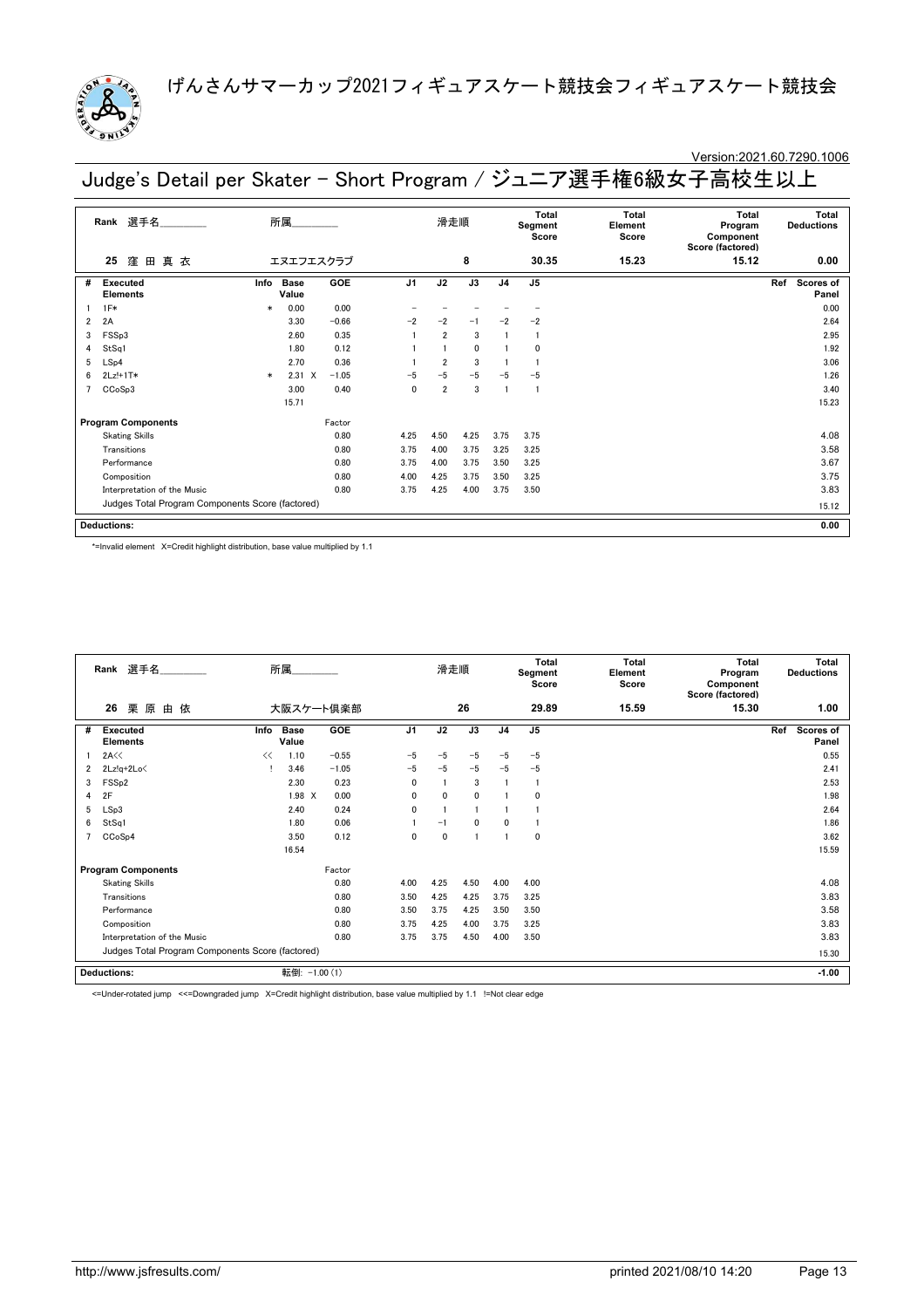

### Version:2021.60.7290.1006

Judge's Detail per Skater - Short Program / ジュニア選手権6級女子高校生以上

|   | 選手名______<br>所属<br>Rank<br>窪<br>田真衣<br>エヌエフエスクラブ<br>25 |        |                      |         | 滑走順            |                |              | Total<br>Segment<br>Score | Total<br>Element<br>Score | Total<br>Program<br>Component<br>Score (factored) | Total<br><b>Deductions</b> |                           |
|---|--------------------------------------------------------|--------|----------------------|---------|----------------|----------------|--------------|---------------------------|---------------------------|---------------------------------------------------|----------------------------|---------------------------|
|   |                                                        |        |                      |         |                |                | 8            |                           | 30.35                     | 15.23                                             | 15.12                      | 0.00                      |
| # | Executed<br><b>Elements</b>                            | Info   | <b>Base</b><br>Value | GOE     | J <sub>1</sub> | J2             | J3           | J <sub>4</sub>            | J <sub>5</sub>            |                                                   |                            | Ref<br>Scores of<br>Panel |
|   | $1F*$                                                  | $\ast$ | 0.00                 | 0.00    |                |                |              |                           |                           |                                                   |                            | 0.00                      |
| 2 | 2A                                                     |        | 3.30                 | $-0.66$ | $-2$           | $-2$           | $-1$         | $-2$                      | $-2$                      |                                                   |                            | 2.64                      |
| 3 | FSSp3                                                  |        | 2.60                 | 0.35    |                | $\overline{2}$ | 3            |                           | -1                        |                                                   |                            | 2.95                      |
| 4 | StSq1                                                  |        | 1.80                 | 0.12    |                |                | $\mathbf{0}$ |                           | $\Omega$                  |                                                   |                            | 1.92                      |
| 5 | LSp4                                                   |        | 2.70                 | 0.36    |                | $\overline{2}$ | 3            |                           |                           |                                                   |                            | 3.06                      |
| 6 | $2Lz!+1T*$                                             | $\ast$ | $2.31 \t X$          | $-1.05$ | $-5$           | $-5$           | $-5$         | $-5$                      | $-5$                      |                                                   |                            | 1.26                      |
|   | CCoSp3                                                 |        | 3.00                 | 0.40    | $\mathbf{0}$   | $\overline{2}$ | 3            |                           | $\mathbf{1}$              |                                                   |                            | 3.40                      |
|   |                                                        |        | 15.71                |         |                |                |              |                           |                           |                                                   |                            | 15.23                     |
|   | <b>Program Components</b>                              |        |                      | Factor  |                |                |              |                           |                           |                                                   |                            |                           |
|   | <b>Skating Skills</b>                                  |        |                      | 0.80    | 4.25           | 4.50           | 4.25         | 3.75                      | 3.75                      |                                                   |                            | 4.08                      |
|   | Transitions                                            |        |                      | 0.80    | 3.75           | 4.00           | 3.75         | 3.25                      | 3.25                      |                                                   |                            | 3.58                      |
|   | Performance                                            |        |                      | 0.80    | 3.75           | 4.00           | 3.75         | 3.50                      | 3.25                      |                                                   |                            | 3.67                      |
|   | Composition                                            |        |                      | 0.80    | 4.00           | 4.25           | 3.75         | 3.50                      | 3.25                      |                                                   |                            | 3.75                      |
|   | Interpretation of the Music                            |        |                      | 0.80    | 3.75           | 4.25           | 4.00         | 3.75                      | 3.50                      |                                                   |                            | 3.83                      |
|   | Judges Total Program Components Score (factored)       |        |                      |         |                |                |              |                           |                           |                                                   |                            | 15.12                     |
|   | <b>Deductions:</b>                                     |        |                      |         |                |                |              |                           |                           |                                                   |                            | 0.00                      |

\*=Invalid element X=Credit highlight distribution, base value multiplied by 1.1

|   | 選手名<br>所属.<br>Rank<br>26<br>栗原<br>由 依<br>大阪スケート倶楽部 |      |                      |         |                | 滑走順  |              |                | <b>Total</b><br>Segment<br>Score | <b>Total</b><br>Element<br>Score | <b>Total</b><br>Program<br>Component<br>Score (factored) | <b>Total</b><br><b>Deductions</b> |
|---|----------------------------------------------------|------|----------------------|---------|----------------|------|--------------|----------------|----------------------------------|----------------------------------|----------------------------------------------------------|-----------------------------------|
|   |                                                    |      |                      |         |                |      | 26           |                | 29.89                            | 15.59                            | 15.30                                                    | 1.00                              |
| # | <b>Executed</b><br><b>Elements</b>                 | Info | <b>Base</b><br>Value | GOE     | J <sub>1</sub> | J2   | J3           | J <sub>4</sub> | J <sub>5</sub>                   |                                  |                                                          | Ref<br><b>Scores of</b><br>Panel  |
|   | 2A<<                                               | <<   | 1.10                 | $-0.55$ | $-5$           | $-5$ | $-5$         | $-5$           | $-5$                             |                                  |                                                          | 0.55                              |
| 2 | $2Lz!q+2Lo\leq$                                    |      | 3.46                 | $-1.05$ | $-5$           | $-5$ | $-5$         | $-5$           | $-5$                             |                                  |                                                          | 2.41                              |
| 3 | FSS <sub>p2</sub>                                  |      | 2.30                 | 0.23    | $\mathbf{0}$   |      | 3            |                | $\mathbf{1}$                     |                                  |                                                          | 2.53                              |
| 4 | 2F                                                 |      | 1.98 X               | 0.00    | $\mathbf{0}$   | 0    | $\mathbf{0}$ |                | 0                                |                                  |                                                          | 1.98                              |
| 5 | LSp3                                               |      | 2.40                 | 0.24    | $\mathbf 0$    |      |              |                |                                  |                                  |                                                          | 2.64                              |
| 6 | StSq1                                              |      | 1.80                 | 0.06    |                | $-1$ | $\mathbf{0}$ | 0              |                                  |                                  |                                                          | 1.86                              |
|   | CCoSp4                                             |      | 3.50                 | 0.12    | 0              | 0    |              |                | 0                                |                                  |                                                          | 3.62                              |
|   |                                                    |      | 16.54                |         |                |      |              |                |                                  |                                  |                                                          | 15.59                             |
|   | <b>Program Components</b>                          |      |                      | Factor  |                |      |              |                |                                  |                                  |                                                          |                                   |
|   | <b>Skating Skills</b>                              |      |                      | 0.80    | 4.00           | 4.25 | 4.50         | 4.00           | 4.00                             |                                  |                                                          | 4.08                              |
|   | Transitions                                        |      |                      | 0.80    | 3.50           | 4.25 | 4.25         | 3.75           | 3.25                             |                                  |                                                          | 3.83                              |
|   | Performance                                        |      |                      | 0.80    | 3.50           | 3.75 | 4.25         | 3.50           | 3.50                             |                                  |                                                          | 3.58                              |
|   | Composition                                        |      |                      | 0.80    | 3.75           | 4.25 | 4.00         | 3.75           | 3.25                             |                                  |                                                          | 3.83                              |
|   | Interpretation of the Music                        |      |                      | 0.80    | 3.75           | 3.75 | 4.50         | 4.00           | 3.50                             |                                  |                                                          | 3.83                              |
|   | Judges Total Program Components Score (factored)   |      |                      |         |                |      |              |                |                                  |                                  |                                                          | 15.30                             |
|   | <b>Deductions:</b>                                 |      | 転倒: -1.00 (1)        |         |                |      |              |                |                                  |                                  |                                                          | $-1.00$                           |

<=Under-rotated jump <<=Downgraded jump X=Credit highlight distribution, base value multiplied by 1.1 !=Not clear edge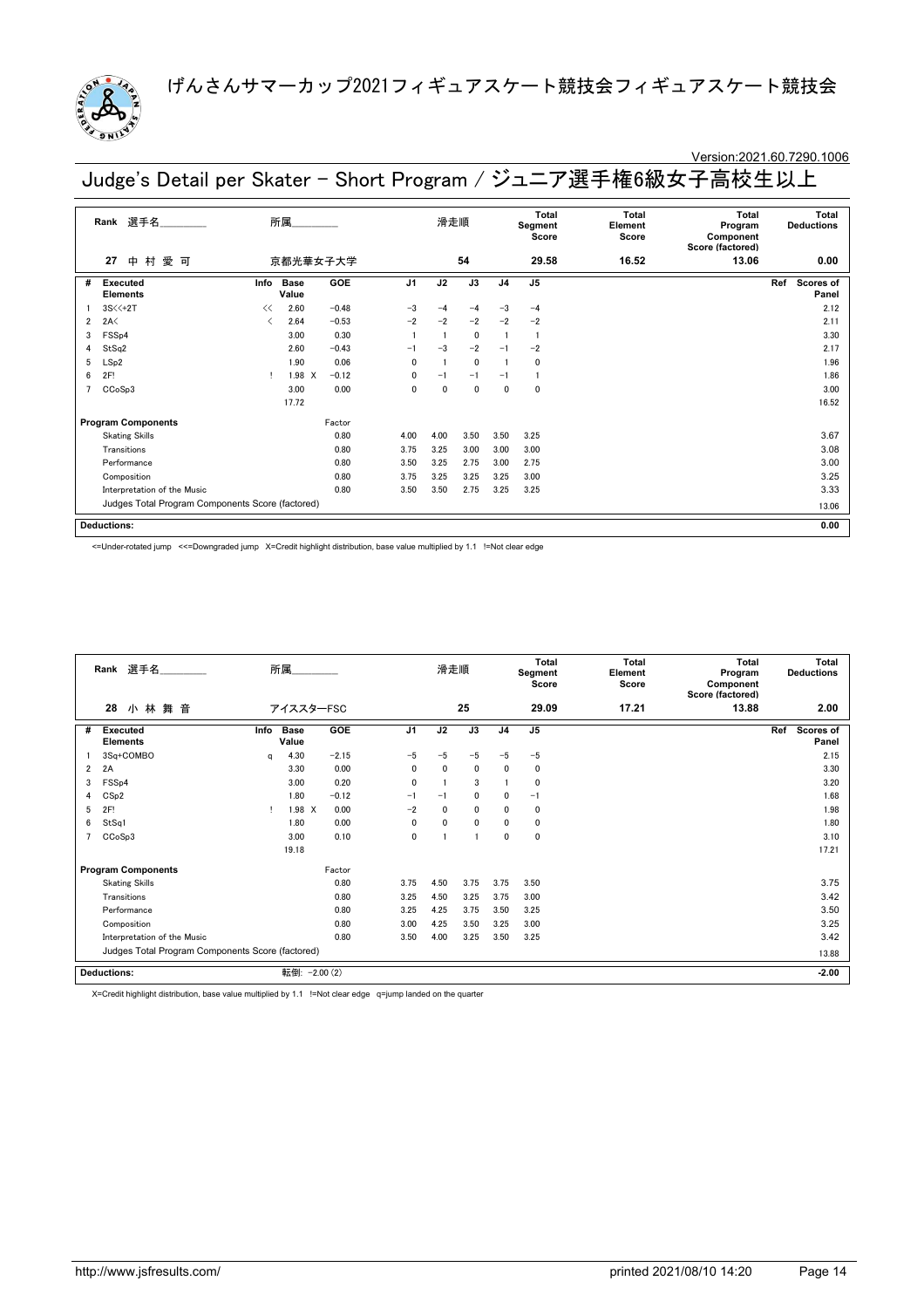

### Version:2021.60.7290.1006

Judge's Detail per Skater - Short Program / ジュニア選手権6級女子高校生以上

|                | 選手名_________<br>Rank                             |      | 所属_________   |         |                | 滑走順          |              |                | Total<br>Segment<br>Score | Total<br>Element<br>Score | Total<br>Program<br>Component<br>Score (factored) | Total<br><b>Deductions</b> |
|----------------|--------------------------------------------------|------|---------------|---------|----------------|--------------|--------------|----------------|---------------------------|---------------------------|---------------------------------------------------|----------------------------|
|                | ⊕<br>村<br>愛<br>27<br>可                           |      | 京都光華女子大学      |         |                |              | 54           |                | 29.58                     | 16.52                     | 13.06                                             | 0.00                       |
| #              | Executed<br><b>Elements</b>                      | Info | Base<br>Value | GOE     | J <sub>1</sub> | J2           | J3           | J <sub>4</sub> | J <sub>5</sub>            |                           |                                                   | Ref<br>Scores of<br>Panel  |
|                | 3S<<+2T                                          | <<   | 2.60          | $-0.48$ | $-3$           | $-4$         | $-4$         | $-3$           | $-4$                      |                           |                                                   | 2.12                       |
| $\overline{2}$ | 2A<                                              | ✓    | 2.64          | $-0.53$ | $-2$           | $-2$         | $-2$         | $-2$           | $-2$                      |                           |                                                   | 2.11                       |
| 3              | FSSp4                                            |      | 3.00          | 0.30    |                |              | $\mathbf{0}$ |                | $\mathbf{1}$              |                           |                                                   | 3.30                       |
| 4              | StSq2                                            |      | 2.60          | $-0.43$ | $-1$           | $-3$         | $-2$         | $-1$           | $-2$                      |                           |                                                   | 2.17                       |
| 5              | LSp2                                             |      | 1.90          | 0.06    | $\mathbf{0}$   |              | $\mathbf{0}$ |                | $\mathbf 0$               |                           |                                                   | 1.96                       |
| 6              | 2F!                                              |      | 1.98 X        | $-0.12$ | $\mathbf{0}$   | $-1$         | $-1$         | $-1$           |                           |                           |                                                   | 1.86                       |
|                | CCoSp3                                           |      | 3.00          | 0.00    | $\mathbf{0}$   | $\mathbf{0}$ | $\mathbf{0}$ | $\mathbf 0$    | $\mathbf 0$               |                           |                                                   | 3.00                       |
|                |                                                  |      | 17.72         |         |                |              |              |                |                           |                           |                                                   | 16.52                      |
|                | <b>Program Components</b>                        |      |               | Factor  |                |              |              |                |                           |                           |                                                   |                            |
|                | <b>Skating Skills</b>                            |      |               | 0.80    | 4.00           | 4.00         | 3.50         | 3.50           | 3.25                      |                           |                                                   | 3.67                       |
|                | Transitions                                      |      |               | 0.80    | 3.75           | 3.25         | 3.00         | 3.00           | 3.00                      |                           |                                                   | 3.08                       |
|                | Performance                                      |      |               | 0.80    | 3.50           | 3.25         | 2.75         | 3.00           | 2.75                      |                           |                                                   | 3.00                       |
|                | Composition                                      |      |               | 0.80    | 3.75           | 3.25         | 3.25         | 3.25           | 3.00                      |                           |                                                   | 3.25                       |
|                | Interpretation of the Music                      |      |               | 0.80    | 3.50           | 3.50         | 2.75         | 3.25           | 3.25                      |                           |                                                   | 3.33                       |
|                | Judges Total Program Components Score (factored) |      |               |         |                |              |              |                |                           |                           |                                                   | 13.06                      |
|                | <b>Deductions:</b>                               |      |               |         |                |              |              |                |                           |                           |                                                   | 0.00                       |

<=Under-rotated jump <<=Downgraded jump X=Credit highlight distribution, base value multiplied by 1.1 !=Not clear edge

|                | 選手名<br>所属<br>Rank<br>小林舞音<br>28<br>アイススターFSC     |   |                      |            |                | 滑走順          |              |                | <b>Total</b><br>Segment<br>Score | <b>Total</b><br>Element<br>Score | <b>Total</b><br>Program<br>Component<br>Score (factored) |       | <b>Total</b><br><b>Deductions</b> |
|----------------|--------------------------------------------------|---|----------------------|------------|----------------|--------------|--------------|----------------|----------------------------------|----------------------------------|----------------------------------------------------------|-------|-----------------------------------|
|                |                                                  |   |                      |            |                |              | 25           |                | 29.09                            | 17.21                            | 13.88                                                    |       | 2.00                              |
| #              | Info<br>Executed<br><b>Elements</b>              |   | <b>Base</b><br>Value | GOE        | J <sub>1</sub> | J2           | J3           | J <sub>4</sub> | J <sub>5</sub>                   |                                  |                                                          | Ref   | Scores of<br>Panel                |
|                | 3Sq+COMBO                                        | a | 4.30                 | $-2.15$    | $-5$           | $-5$         | $-5$         | $-5$           | $-5$                             |                                  |                                                          |       | 2.15                              |
| $\overline{2}$ | 2A                                               |   | 3.30                 | 0.00       | $\mathbf{0}$   | $\mathbf{0}$ | $\mathbf{0}$ | $\mathbf{0}$   | 0                                |                                  |                                                          |       | 3.30                              |
| 3              | FSS <sub>p4</sub>                                |   | 3.00                 | 0.20       | 0              |              | 3            |                | 0                                |                                  |                                                          |       | 3.20                              |
| 4              | CSp2                                             |   | 1.80                 | $-0.12$    | $-1$           | $-1$         | $\mathbf 0$  | $\mathbf{0}$   | $-1$                             |                                  |                                                          |       | 1.68                              |
| 5              | 2F!                                              |   | 1.98 X               | 0.00       | $-2$           | 0            | 0            | $\mathbf{0}$   | 0                                |                                  |                                                          |       | 1.98                              |
| 6              | StSq1                                            |   | 1.80                 | 0.00       | 0              | $\mathbf{0}$ | $\mathbf 0$  | $\mathbf{0}$   | 0                                |                                  |                                                          |       | 1.80                              |
| 7              | CCoSp3                                           |   | 3.00                 | 0.10       | $\mathbf 0$    |              |              | $\mathbf{0}$   | 0                                |                                  |                                                          |       | 3.10                              |
|                |                                                  |   | 19.18                |            |                |              |              |                |                                  |                                  |                                                          |       | 17.21                             |
|                | <b>Program Components</b>                        |   |                      | Factor     |                |              |              |                |                                  |                                  |                                                          |       |                                   |
|                | <b>Skating Skills</b>                            |   |                      | 0.80       | 3.75           | 4.50         | 3.75         | 3.75           | 3.50                             |                                  |                                                          |       | 3.75                              |
|                | Transitions                                      |   |                      | 0.80       | 3.25           | 4.50         | 3.25         | 3.75           | 3.00                             |                                  |                                                          |       | 3.42                              |
|                | Performance                                      |   |                      | 0.80       | 3.25           | 4.25         | 3.75         | 3.50           | 3.25                             |                                  |                                                          |       | 3.50                              |
|                | Composition                                      |   |                      | 0.80       | 3.00           | 4.25         | 3.50         | 3.25           | 3.00                             |                                  |                                                          |       | 3.25                              |
|                | Interpretation of the Music                      |   |                      | 0.80       | 3.50           | 4.00         | 3.25         | 3.50           | 3.25                             |                                  |                                                          |       | 3.42                              |
|                | Judges Total Program Components Score (factored) |   |                      |            |                |              |              |                |                                  |                                  |                                                          | 13.88 |                                   |
|                | <b>Deductions:</b>                               |   | 転倒:                  | $-2.00(2)$ |                |              |              |                |                                  |                                  |                                                          |       | $-2.00$                           |

X=Credit highlight distribution, base value multiplied by 1.1 !=Not clear edge q=jump landed on the quarter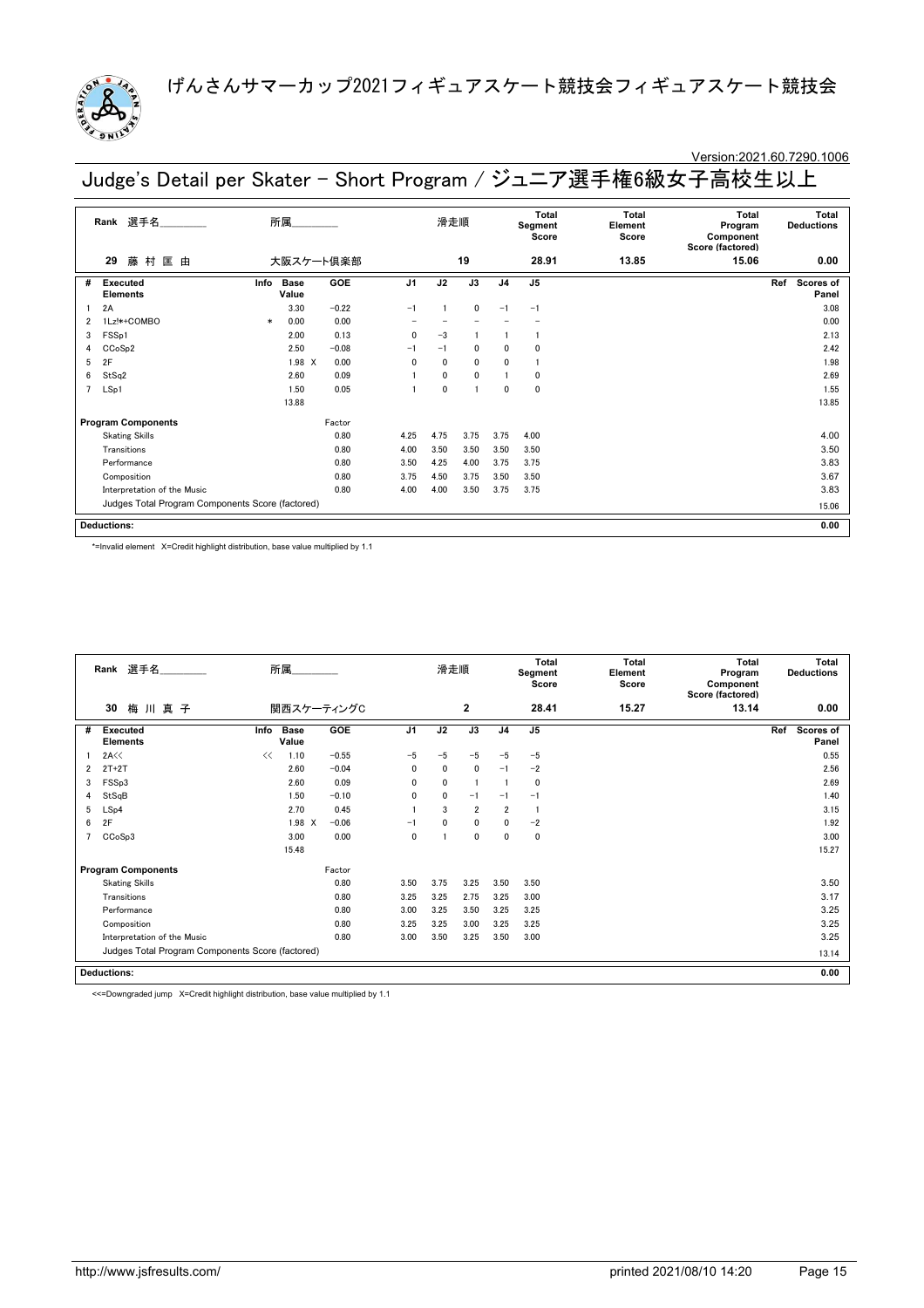

### Version:2021.60.7290.1006

Judge's Detail per Skater - Short Program / ジュニア選手権6級女子高校生以上

|   | 選手名<br>Rank                                      |        | 所属                   |         |                | 滑走順          |              |                | Total<br>Segment<br>Score | Total<br>Element<br>Score | Total<br>Program<br>Component<br>Score (factored) | Total<br><b>Deductions</b> |
|---|--------------------------------------------------|--------|----------------------|---------|----------------|--------------|--------------|----------------|---------------------------|---------------------------|---------------------------------------------------|----------------------------|
|   | 藤 村<br>匡 由<br>29                                 |        | 大阪スケート倶楽部            |         |                |              | 19           |                | 28.91                     | 13.85                     | 15.06                                             | 0.00                       |
| # | Executed<br><b>Elements</b>                      | Info   | <b>Base</b><br>Value | GOE     | J <sub>1</sub> | J2           | J3           | J <sub>4</sub> | J <sub>5</sub>            |                           |                                                   | Ref<br>Scores of<br>Panel  |
|   | 2A                                               |        | 3.30                 | $-0.22$ | $-1$           |              | $\mathbf{0}$ | $-1$           | $-1$                      |                           |                                                   | 3.08                       |
| 2 | 1Lz!*+COMBO                                      | $\ast$ | 0.00                 | 0.00    |                |              |              |                |                           |                           |                                                   | 0.00                       |
| 3 | FSSp1                                            |        | 2.00                 | 0.13    | $\mathbf{0}$   | $-3$         |              |                |                           |                           |                                                   | 2.13                       |
| 4 | CCoSp2                                           |        | 2.50                 | $-0.08$ | $-1$           | $-1$         | $\mathbf{0}$ | $\mathbf{0}$   | $\Omega$                  |                           |                                                   | 2.42                       |
| 5 | 2F                                               |        | 1.98 X               | 0.00    | $\mathbf{0}$   | $\mathbf{0}$ | $\mathbf{0}$ | $\mathbf{0}$   | $\mathbf{1}$              |                           |                                                   | 1.98                       |
| 6 | StSq2                                            |        | 2.60                 | 0.09    |                | $\mathbf{0}$ | $\mathbf{0}$ |                | $\mathbf 0$               |                           |                                                   | 2.69                       |
|   | LSp1                                             |        | 1.50                 | 0.05    |                | $\mathbf{0}$ |              | $\mathbf{0}$   | $\mathbf 0$               |                           |                                                   | 1.55                       |
|   |                                                  |        | 13.88                |         |                |              |              |                |                           |                           |                                                   | 13.85                      |
|   | <b>Program Components</b>                        |        |                      | Factor  |                |              |              |                |                           |                           |                                                   |                            |
|   | <b>Skating Skills</b>                            |        |                      | 0.80    | 4.25           | 4.75         | 3.75         | 3.75           | 4.00                      |                           |                                                   | 4.00                       |
|   | Transitions                                      |        |                      | 0.80    | 4.00           | 3.50         | 3.50         | 3.50           | 3.50                      |                           |                                                   | 3.50                       |
|   | Performance                                      |        |                      | 0.80    | 3.50           | 4.25         | 4.00         | 3.75           | 3.75                      |                           |                                                   | 3.83                       |
|   | Composition                                      |        |                      | 0.80    | 3.75           | 4.50         | 3.75         | 3.50           | 3.50                      |                           |                                                   | 3.67                       |
|   | Interpretation of the Music                      |        |                      | 0.80    | 4.00           | 4.00         | 3.50         | 3.75           | 3.75                      |                           |                                                   | 3.83                       |
|   | Judges Total Program Components Score (factored) |        |                      |         |                |              |              |                |                           |                           |                                                   | 15.06                      |
|   | <b>Deductions:</b>                               |        |                      |         |                |              |              |                |                           |                           |                                                   | 0.00                       |

\*=Invalid element X=Credit highlight distribution, base value multiplied by 1.1

|   | Rank 選手名                                         | 所属                           |              |                | 滑走順          |                |                | <b>Total</b><br>Segment<br>Score | <b>Total</b><br>Element<br>Score | <b>Total</b><br>Program<br>Component<br>Score (factored) | <b>Total</b><br><b>Deductions</b> |
|---|--------------------------------------------------|------------------------------|--------------|----------------|--------------|----------------|----------------|----------------------------------|----------------------------------|----------------------------------------------------------|-----------------------------------|
|   | 梅川真子<br>30                                       |                              | 関西スケーティングC   |                |              | $\mathbf{2}$   |                | 28.41                            | 15.27                            | 13.14                                                    | 0.00                              |
| # | <b>Executed</b><br><b>Elements</b>               | <b>Base</b><br>Info<br>Value | GOE          | J <sub>1</sub> | J2           | J3             | J <sub>4</sub> | J <sub>5</sub>                   |                                  |                                                          | Ref<br>Scores of<br>Panel         |
|   | 2A<<                                             | 1.10<br><<                   | $-0.55$      | $-5$           | $-5$         | $-5$           | $-5$           | $-5$                             |                                  |                                                          | 0.55                              |
| 2 | $2T+2T$                                          | 2.60                         | $-0.04$      | $\mathbf{0}$   | $\mathbf{0}$ | $\mathbf{0}$   | $-1$           | $-2$                             |                                  |                                                          | 2.56                              |
| 3 | FSSp3                                            | 2.60                         | 0.09         | $\mathbf{0}$   | $\mathbf{0}$ | -1             |                | 0                                |                                  |                                                          | 2.69                              |
| 4 | StSqB                                            | 1.50                         | $-0.10$      | 0              | 0            | $-1$           | $-1$           | $-1$                             |                                  |                                                          | 1.40                              |
| 5 | LSp4                                             | 2.70                         | 0.45         |                | 3            | $\overline{2}$ | $\overline{2}$ |                                  |                                  |                                                          | 3.15                              |
| 6 | 2F                                               | 1.98                         | $-0.06$<br>X | $-1$           | $\mathbf{0}$ | $\mathbf 0$    | $\mathbf{0}$   | $-2$                             |                                  |                                                          | 1.92                              |
|   | CCoSp3                                           | 3.00                         | 0.00         | 0              |              | $\mathbf 0$    | $\mathbf{0}$   | 0                                |                                  |                                                          | 3.00                              |
|   |                                                  | 15.48                        |              |                |              |                |                |                                  |                                  |                                                          | 15.27                             |
|   | <b>Program Components</b>                        |                              | Factor       |                |              |                |                |                                  |                                  |                                                          |                                   |
|   | <b>Skating Skills</b>                            |                              | 0.80         | 3.50           | 3.75         | 3.25           | 3.50           | 3.50                             |                                  |                                                          | 3.50                              |
|   | Transitions                                      |                              | 0.80         | 3.25           | 3.25         | 2.75           | 3.25           | 3.00                             |                                  |                                                          | 3.17                              |
|   | Performance                                      |                              | 0.80         | 3.00           | 3.25         | 3.50           | 3.25           | 3.25                             |                                  |                                                          | 3.25                              |
|   | Composition                                      |                              | 0.80         | 3.25           | 3.25         | 3.00           | 3.25           | 3.25                             |                                  |                                                          | 3.25                              |
|   | Interpretation of the Music                      |                              | 0.80         | 3.00           | 3.50         | 3.25           | 3.50           | 3.00                             |                                  |                                                          | 3.25                              |
|   | Judges Total Program Components Score (factored) |                              |              |                |              |                |                |                                  |                                  |                                                          | 13.14                             |
|   | <b>Deductions:</b>                               |                              |              |                |              |                |                |                                  |                                  |                                                          | 0.00                              |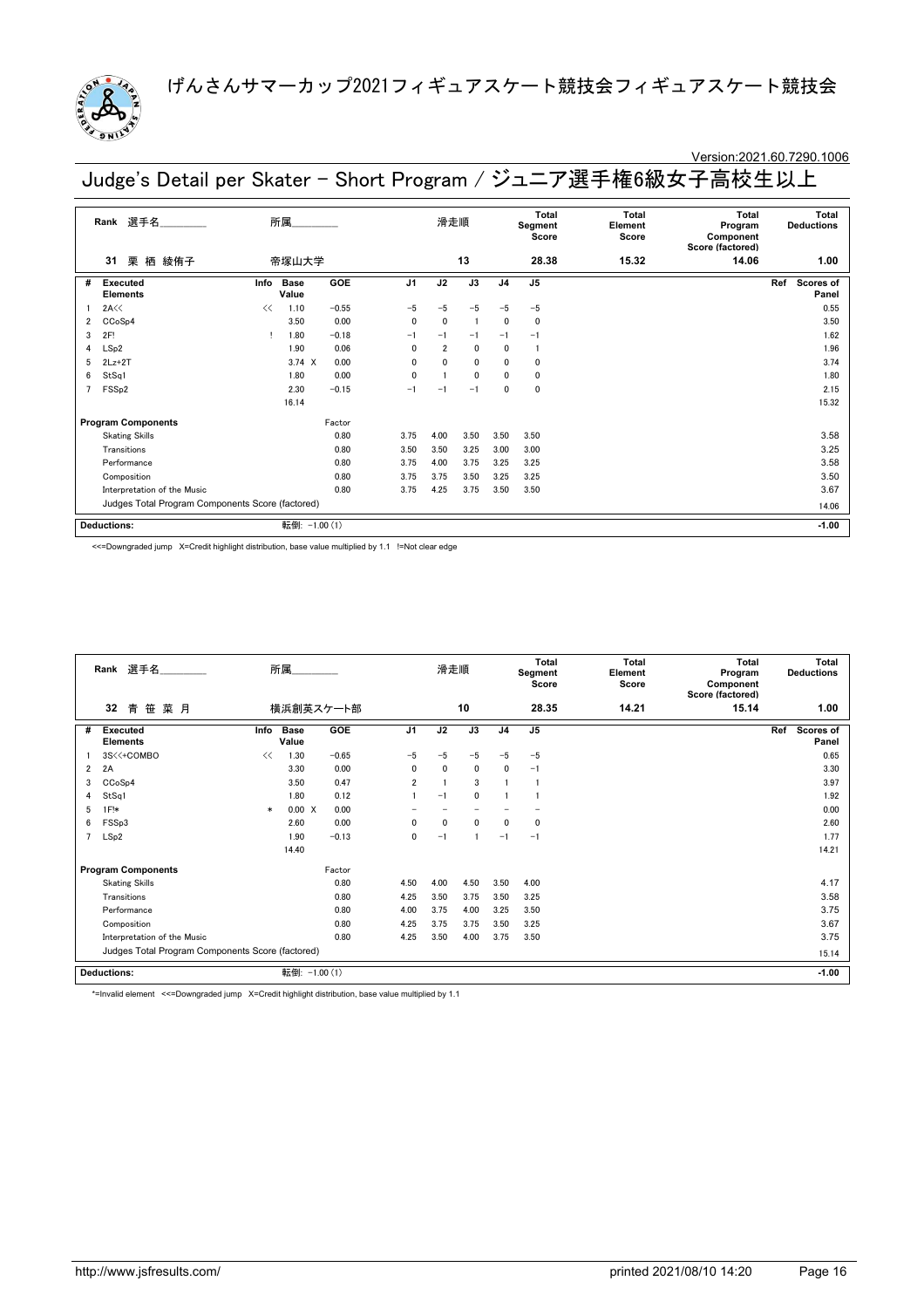

# Version:2021.60.7290.1006

Judge's Detail per Skater - Short Program / ジュニア選手権6級女子高校生以上

|   | 選手名<br>Rank                                      |      | 所属                   |         |                | 滑走順            |                |                | Total<br>Segment<br>Score | Total<br>Element<br>Score | Total<br>Program<br>Component<br>Score (factored) |     | Total<br><b>Deductions</b> |
|---|--------------------------------------------------|------|----------------------|---------|----------------|----------------|----------------|----------------|---------------------------|---------------------------|---------------------------------------------------|-----|----------------------------|
|   | 栗<br>栖 綾侑子<br>31                                 |      | 帝塚山大学                |         |                |                | 13             |                | 28.38                     | 15.32                     | 14.06                                             |     | 1.00                       |
| # | <b>Executed</b><br><b>Elements</b>               | Info | <b>Base</b><br>Value | GOE     | J <sub>1</sub> | J2             | J3             | J <sub>4</sub> | J <sub>5</sub>            |                           |                                                   | Ref | Scores of<br>Panel         |
|   | 2A<<                                             | <<   | 1.10                 | $-0.55$ | $-5$           | $-5$           | $-5$           | $-5$           | $-5$                      |                           |                                                   |     | 0.55                       |
| 2 | CC <sub>o</sub> S <sub>p4</sub>                  |      | 3.50                 | 0.00    | $\mathbf{0}$   | $\mathbf 0$    | $\overline{1}$ | 0              | $\mathbf 0$               |                           |                                                   |     | 3.50                       |
| 3 | 2F!                                              |      | 1.80                 | $-0.18$ | $-1$           | $-1$           | $-1$           | $-1$           | $-1$                      |                           |                                                   |     | 1.62                       |
| 4 | LSp2                                             |      | 1.90                 | 0.06    | $\mathbf{0}$   | $\overline{2}$ | $\mathbf{0}$   | 0              |                           |                           |                                                   |     | 1.96                       |
| 5 | $2Lz+2T$                                         |      | $3.74 \times$        | 0.00    | $\mathbf{0}$   | 0              | $\mathbf{0}$   | $\mathbf{0}$   | $\mathbf 0$               |                           |                                                   |     | 3.74                       |
| 6 | StSq1                                            |      | 1.80                 | 0.00    | $\mathbf{0}$   |                | $\mathbf{0}$   | $\mathbf{0}$   | $\Omega$                  |                           |                                                   |     | 1.80                       |
|   | FSS <sub>p2</sub>                                |      | 2.30                 | $-0.15$ | $-1$           | $-1$           | $-1$           | 0              | $\mathbf 0$               |                           |                                                   |     | 2.15                       |
|   |                                                  |      | 16.14                |         |                |                |                |                |                           |                           |                                                   |     | 15.32                      |
|   | <b>Program Components</b>                        |      |                      | Factor  |                |                |                |                |                           |                           |                                                   |     |                            |
|   | <b>Skating Skills</b>                            |      |                      | 0.80    | 3.75           | 4.00           | 3.50           | 3.50           | 3.50                      |                           |                                                   |     | 3.58                       |
|   | Transitions                                      |      |                      | 0.80    | 3.50           | 3.50           | 3.25           | 3.00           | 3.00                      |                           |                                                   |     | 3.25                       |
|   | Performance                                      |      |                      | 0.80    | 3.75           | 4.00           | 3.75           | 3.25           | 3.25                      |                           |                                                   |     | 3.58                       |
|   | Composition                                      |      |                      | 0.80    | 3.75           | 3.75           | 3.50           | 3.25           | 3.25                      |                           |                                                   |     | 3.50                       |
|   | Interpretation of the Music                      |      |                      | 0.80    | 3.75           | 4.25           | 3.75           | 3.50           | 3.50                      |                           |                                                   |     | 3.67                       |
|   | Judges Total Program Components Score (factored) |      |                      |         |                |                |                |                |                           |                           |                                                   |     | 14.06                      |
|   | <b>Deductions:</b>                               |      | 転倒: -1.00 (1)        |         |                |                |                |                |                           |                           |                                                   |     | $-1.00$                    |

<<=Downgraded jump X=Credit highlight distribution, base value multiplied by 1.1 !=Not clear edge

|                | 所属<br>選手名<br>Rank<br>32<br>笹<br>菜月<br>横浜創英スケート部<br>青 |        |                      |         |                | 滑走順          |             |                | Total<br>Segment<br>Score | Total<br>Element<br>Score | <b>Total</b><br>Program<br>Component<br>Score (factored) | <b>Total</b><br><b>Deductions</b> |
|----------------|------------------------------------------------------|--------|----------------------|---------|----------------|--------------|-------------|----------------|---------------------------|---------------------------|----------------------------------------------------------|-----------------------------------|
|                |                                                      |        |                      |         |                |              | 10          |                | 28.35                     | 14.21                     | 15.14                                                    | 1.00                              |
| #              | <b>Executed</b><br><b>Elements</b>                   | Info   | <b>Base</b><br>Value | GOE     | J <sub>1</sub> | J2           | J3          | J <sub>4</sub> | J <sub>5</sub>            |                           |                                                          | Ref<br><b>Scores of</b><br>Panel  |
|                | 3S<<+COMBO                                           | <<     | 1.30                 | $-0.65$ | $-5$           | $-5$         | $-5$        | $-5$           | $-5$                      |                           |                                                          | 0.65                              |
| $\overline{2}$ | 2A                                                   |        | 3.30                 | 0.00    | 0              | $\mathbf{0}$ | 0           | 0              | $-1$                      |                           |                                                          | 3.30                              |
| 3              | CCoSp4                                               |        | 3.50                 | 0.47    | $\overline{2}$ |              | 3           |                |                           |                           |                                                          | 3.97                              |
| 4              | StSq1                                                |        | 1.80                 | 0.12    |                | $-1$         | $\mathbf 0$ |                |                           |                           |                                                          | 1.92                              |
| 5              | $1F!*$                                               | $\ast$ | 0.00 X               | 0.00    |                |              |             |                |                           |                           |                                                          | 0.00                              |
| 6              | FSSp3                                                |        | 2.60                 | 0.00    | 0              | $\mathbf{0}$ | $\mathbf 0$ | 0              | 0                         |                           |                                                          | 2.60                              |
| 7              | LSp2                                                 |        | 1.90                 | $-0.13$ | 0              | $-1$         |             | $-1$           | $-1$                      |                           |                                                          | 1.77                              |
|                |                                                      |        | 14.40                |         |                |              |             |                |                           |                           |                                                          | 14.21                             |
|                | <b>Program Components</b>                            |        |                      | Factor  |                |              |             |                |                           |                           |                                                          |                                   |
|                | <b>Skating Skills</b>                                |        |                      | 0.80    | 4.50           | 4.00         | 4.50        | 3.50           | 4.00                      |                           |                                                          | 4.17                              |
|                | Transitions                                          |        |                      | 0.80    | 4.25           | 3.50         | 3.75        | 3.50           | 3.25                      |                           |                                                          | 3.58                              |
|                | Performance                                          |        |                      | 0.80    | 4.00           | 3.75         | 4.00        | 3.25           | 3.50                      |                           |                                                          | 3.75                              |
|                | Composition                                          |        |                      | 0.80    | 4.25           | 3.75         | 3.75        | 3.50           | 3.25                      |                           |                                                          | 3.67                              |
|                | Interpretation of the Music                          |        |                      | 0.80    | 4.25           | 3.50         | 4.00        | 3.75           | 3.50                      |                           |                                                          | 3.75                              |
|                | Judges Total Program Components Score (factored)     |        |                      |         |                |              |             |                |                           | 15.14                     |                                                          |                                   |
|                | <b>Deductions:</b>                                   |        | 転倒: -1.00 (1)        |         |                |              |             |                |                           |                           |                                                          | $-1.00$                           |

\*=Invalid element <<=Downgraded jump X=Credit highlight distribution, base value multiplied by 1.1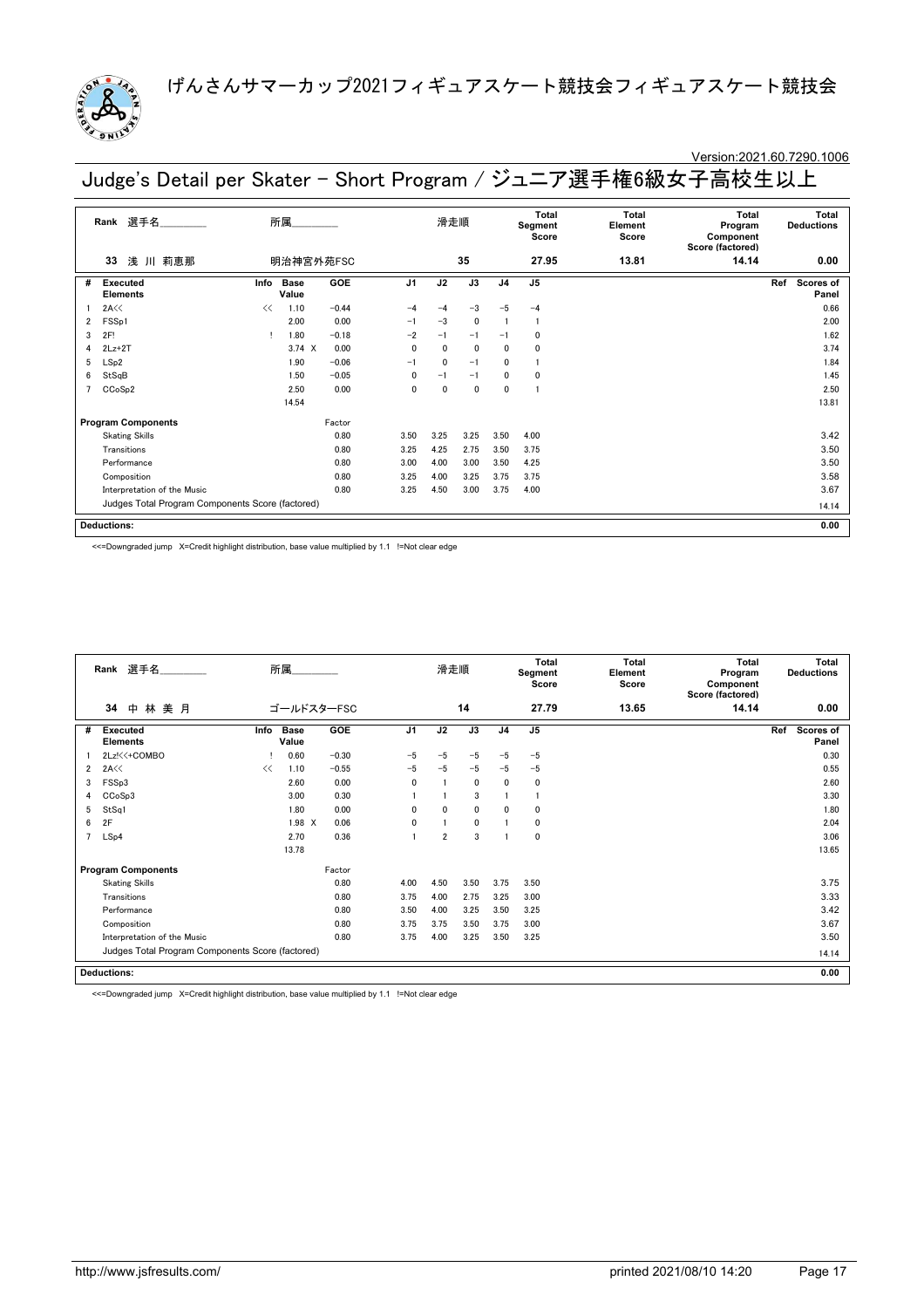

# Version:2021.60.7290.1006

Judge's Detail per Skater - Short Program / ジュニア選手権6級女子高校生以上

|   | 選手名<br>Rank                                      |      | 所属            |         |                | 滑走順          |              |                | Total<br>Segment<br>Score | Total<br>Element<br>Score | Total<br>Program<br>Component<br>Score (factored) | Total<br><b>Deductions</b> |
|---|--------------------------------------------------|------|---------------|---------|----------------|--------------|--------------|----------------|---------------------------|---------------------------|---------------------------------------------------|----------------------------|
|   | 浅 川 莉恵那<br>33                                    |      | 明治神宮外苑FSC     |         |                |              | 35           |                | 27.95                     | 13.81                     | 14.14                                             | 0.00                       |
| # | Executed<br><b>Elements</b>                      | Info | Base<br>Value | GOE     | J <sub>1</sub> | J2           | J3           | J <sub>4</sub> | J <sub>5</sub>            |                           |                                                   | Ref<br>Scores of<br>Panel  |
|   | 2A<<                                             | <<   | 1.10          | $-0.44$ | $-4$           | $-4$         | $-3$         | $-5$           | $-4$                      |                           |                                                   | 0.66                       |
| 2 | FSSp1                                            |      | 2.00          | 0.00    | $-1$           | $-3$         | $\mathbf{0}$ |                | $\mathbf{1}$              |                           |                                                   | 2.00                       |
| 3 | 2F!                                              |      | 1.80          | $-0.18$ | $-2$           | $-1$         | $-1$         | $-1$           | 0                         |                           |                                                   | 1.62                       |
| 4 | $2Lz+2T$                                         |      | $3.74 \times$ | 0.00    | $\mathbf{0}$   | $\mathbf{0}$ | $\mathbf{0}$ | $\mathbf{0}$   | $\mathbf 0$               |                           |                                                   | 3.74                       |
| 5 | LSp2                                             |      | 1.90          | $-0.06$ | $-1$           | $\mathbf{0}$ | $-1$         | 0              |                           |                           |                                                   | 1.84                       |
| 6 | StSqB                                            |      | 1.50          | $-0.05$ | $\mathbf{0}$   | $-1$         | $-1$         | 0              | $\mathbf 0$               |                           |                                                   | 1.45                       |
|   | CCoSp2                                           |      | 2.50          | 0.00    | $\mathbf{0}$   | $\mathbf{0}$ | $\mathbf 0$  | $\mathbf 0$    |                           |                           |                                                   | 2.50                       |
|   |                                                  |      | 14.54         |         |                |              |              |                |                           |                           |                                                   | 13.81                      |
|   | <b>Program Components</b>                        |      |               | Factor  |                |              |              |                |                           |                           |                                                   |                            |
|   | <b>Skating Skills</b>                            |      |               | 0.80    | 3.50           | 3.25         | 3.25         | 3.50           | 4.00                      |                           |                                                   | 3.42                       |
|   | Transitions                                      |      |               | 0.80    | 3.25           | 4.25         | 2.75         | 3.50           | 3.75                      |                           |                                                   | 3.50                       |
|   | Performance                                      |      |               | 0.80    | 3.00           | 4.00         | 3.00         | 3.50           | 4.25                      |                           |                                                   | 3.50                       |
|   | Composition                                      |      |               | 0.80    | 3.25           | 4.00         | 3.25         | 3.75           | 3.75                      |                           |                                                   | 3.58                       |
|   | Interpretation of the Music                      |      |               | 0.80    | 3.25           | 4.50         | 3.00         | 3.75           | 4.00                      |                           |                                                   | 3.67                       |
|   | Judges Total Program Components Score (factored) |      |               |         |                |              |              |                |                           |                           |                                                   | 14.14                      |
|   | <b>Deductions:</b>                               |      |               |         |                |              |              |                |                           |                           |                                                   | 0.00                       |

<<=Downgraded jump X=Credit highlight distribution, base value multiplied by 1.1 !=Not clear edge

|                | Rank 選手名                                         |      | 所属                   |            |                | 滑走順            |             |                | <b>Total</b><br>Segment<br>Score | Total<br>Element<br>Score | <b>Total</b><br>Program<br>Component<br>Score (factored) | <b>Total</b><br><b>Deductions</b> |
|----------------|--------------------------------------------------|------|----------------------|------------|----------------|----------------|-------------|----------------|----------------------------------|---------------------------|----------------------------------------------------------|-----------------------------------|
|                | 林美月<br>34<br>中                                   |      |                      | ゴールドスターFSC |                |                | 14          |                | 27.79                            | 13.65                     | 14.14                                                    | 0.00                              |
| #              | <b>Executed</b><br><b>Elements</b>               | Info | <b>Base</b><br>Value | GOE        | J <sub>1</sub> | J2             | J3          | J <sub>4</sub> | J <sub>5</sub>                   |                           |                                                          | Ref<br>Scores of<br>Panel         |
|                | 2Lz!<<+COMBO                                     |      | 0.60                 | $-0.30$    | $-5$           | $-5$           | $-5$        | $-5$           | $-5$                             |                           |                                                          | 0.30                              |
| $\overline{2}$ | 2A <                                             | <<   | 1.10                 | $-0.55$    | $-5$           | $-5$           | $-5$        | $-5$           | $-5$                             |                           |                                                          | 0.55                              |
| 3              | FSSp3                                            |      | 2.60                 | 0.00       | 0              |                | 0           | 0              | 0                                |                           |                                                          | 2.60                              |
| 4              | CCoSp3                                           |      | 3.00                 | 0.30       |                |                | 3           |                |                                  |                           |                                                          | 3.30                              |
| 5              | StSq1                                            |      | 1.80                 | 0.00       | 0              | 0              | 0           | 0              | 0                                |                           |                                                          | 1.80                              |
| 6              | 2F                                               |      | 1.98 X               | 0.06       | 0              |                | $\mathbf 0$ |                | 0                                |                           |                                                          | 2.04                              |
| $\overline{7}$ | LSp4                                             |      | 2.70                 | 0.36       |                | $\overline{2}$ | 3           |                | $\mathbf 0$                      |                           |                                                          | 3.06                              |
|                |                                                  |      | 13.78                |            |                |                |             |                |                                  |                           |                                                          | 13.65                             |
|                | <b>Program Components</b>                        |      |                      | Factor     |                |                |             |                |                                  |                           |                                                          |                                   |
|                | <b>Skating Skills</b>                            |      |                      | 0.80       | 4.00           | 4.50           | 3.50        | 3.75           | 3.50                             |                           |                                                          | 3.75                              |
|                | Transitions                                      |      |                      | 0.80       | 3.75           | 4.00           | 2.75        | 3.25           | 3.00                             |                           |                                                          | 3.33                              |
|                | Performance                                      |      |                      | 0.80       | 3.50           | 4.00           | 3.25        | 3.50           | 3.25                             |                           |                                                          | 3.42                              |
|                | Composition                                      |      |                      | 0.80       | 3.75           | 3.75           | 3.50        | 3.75           | 3.00                             |                           |                                                          | 3.67                              |
|                | Interpretation of the Music                      |      |                      | 0.80       | 3.75           | 4.00           | 3.25        | 3.50           | 3.25                             |                           |                                                          | 3.50                              |
|                | Judges Total Program Components Score (factored) |      |                      |            |                |                |             |                | 14.14                            |                           |                                                          |                                   |
|                | <b>Deductions:</b>                               |      |                      |            |                |                |             |                |                                  |                           |                                                          | 0.00                              |

<<=Downgraded jump X=Credit highlight distribution, base value multiplied by 1.1 !=Not clear edge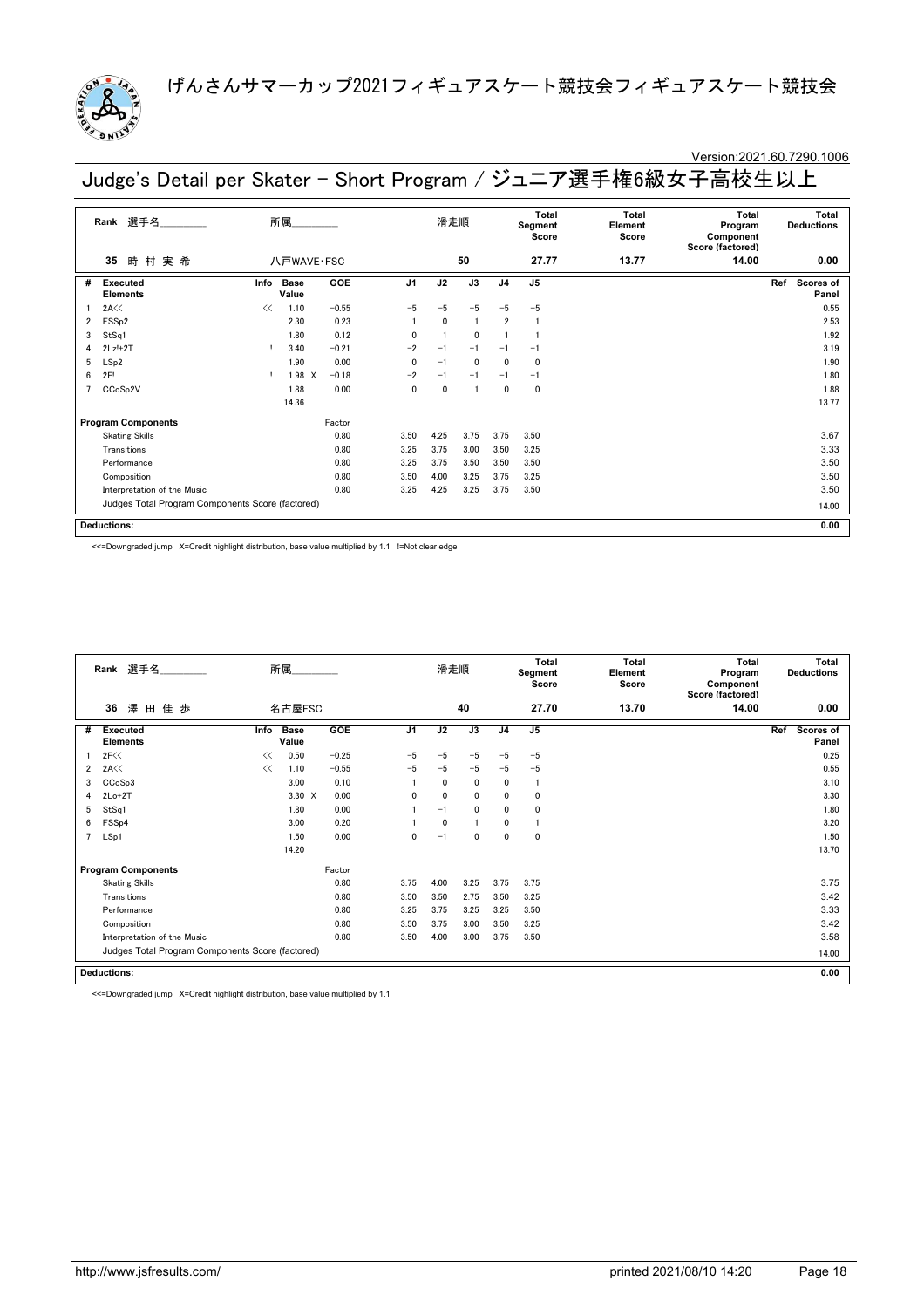

### Version:2021.60.7290.1006

Judge's Detail per Skater - Short Program / ジュニア選手権6級女子高校生以上

|   | Rank 選手名                                         |      | 所属_________   |         |                | 滑走順          |                |                | Total<br>Segment<br>Score | Total<br>Element<br>Score | Total<br>Program<br>Component<br>Score (factored) | Total<br><b>Deductions</b> |
|---|--------------------------------------------------|------|---------------|---------|----------------|--------------|----------------|----------------|---------------------------|---------------------------|---------------------------------------------------|----------------------------|
|   | 時村実希<br>35                                       |      | 八戸WAVE·FSC    |         |                |              | 50             |                | 27.77                     | 13.77                     | 14.00                                             | 0.00                       |
| # | Executed<br><b>Elements</b>                      | Info | Base<br>Value | GOE     | J <sub>1</sub> | J2           | J3             | J <sub>4</sub> | J <sub>5</sub>            |                           |                                                   | Ref<br>Scores of<br>Panel  |
|   | 2A<<                                             | <<   | 1.10          | $-0.55$ | $-5$           | $-5$         | $-5$           | $-5$           | $-5$                      |                           |                                                   | 0.55                       |
| 2 | FSS <sub>p2</sub>                                |      | 2.30          | 0.23    |                | $\mathbf{0}$ | $\overline{1}$ | $\overline{2}$ | $\overline{1}$            |                           |                                                   | 2.53                       |
| 3 | StSq1                                            |      | 1.80          | 0.12    | 0              |              | $\mathbf{0}$   |                |                           |                           |                                                   | 1.92                       |
| 4 | $2Lz!+2T$                                        |      | 3.40          | $-0.21$ | $-2$           | $-1$         | $-1$           | $-1$           | $-1$                      |                           |                                                   | 3.19                       |
| 5 | LSp2                                             |      | 1.90          | 0.00    | $\mathbf{0}$   | $-1$         | $\mathbf{0}$   | $\mathbf{0}$   | $\mathbf 0$               |                           |                                                   | 1.90                       |
| 6 | 2F!                                              |      | 1.98 X        | $-0.18$ | $-2$           | $-1$         | $-1$           | $-1$           | $-1$                      |                           |                                                   | 1.80                       |
|   | CCoSp2V                                          |      | 1.88          | 0.00    | 0              | 0            | -1             | $\mathbf{0}$   | $\mathbf 0$               |                           |                                                   | 1.88                       |
|   |                                                  |      | 14.36         |         |                |              |                |                |                           |                           |                                                   | 13.77                      |
|   | <b>Program Components</b>                        |      |               | Factor  |                |              |                |                |                           |                           |                                                   |                            |
|   | <b>Skating Skills</b>                            |      |               | 0.80    | 3.50           | 4.25         | 3.75           | 3.75           | 3.50                      |                           |                                                   | 3.67                       |
|   | Transitions                                      |      |               | 0.80    | 3.25           | 3.75         | 3.00           | 3.50           | 3.25                      |                           |                                                   | 3.33                       |
|   | Performance                                      |      |               | 0.80    | 3.25           | 3.75         | 3.50           | 3.50           | 3.50                      |                           |                                                   | 3.50                       |
|   | Composition                                      |      |               | 0.80    | 3.50           | 4.00         | 3.25           | 3.75           | 3.25                      |                           |                                                   | 3.50                       |
|   | Interpretation of the Music                      |      |               | 0.80    | 3.25           | 4.25         | 3.25           | 3.75           | 3.50                      |                           |                                                   | 3.50                       |
|   | Judges Total Program Components Score (factored) |      |               |         |                |              |                |                |                           |                           |                                                   | 14.00                      |
|   | <b>Deductions:</b>                               |      |               |         |                |              |                |                |                           |                           |                                                   | 0.00                       |

<<=Downgraded jump X=Credit highlight distribution, base value multiplied by 1.1 !=Not clear edge

|                | Rank 選手名                                         |      | 所属                   |         |                | 滑走順  |              |                | <b>Total</b><br>Segment<br>Score | <b>Total</b><br>Element<br>Score | Total<br>Program<br>Component<br>Score (factored) | Total<br><b>Deductions</b>       |
|----------------|--------------------------------------------------|------|----------------------|---------|----------------|------|--------------|----------------|----------------------------------|----------------------------------|---------------------------------------------------|----------------------------------|
|                | 澤<br>佳歩<br>36<br>田                               |      | 名古屋FSC               |         |                |      | 40           |                | 27.70                            | 13.70                            | 14.00                                             | 0.00                             |
| #              | <b>Executed</b><br><b>Elements</b>               | Info | <b>Base</b><br>Value | GOE     | J <sub>1</sub> | J2   | J3           | J <sub>4</sub> | J <sub>5</sub>                   |                                  |                                                   | Ref<br><b>Scores of</b><br>Panel |
|                | 2F<<                                             | <<   | 0.50                 | $-0.25$ | $-5$           | $-5$ | $-5$         | $-5$           | $-5$                             |                                  |                                                   | 0.25                             |
| $\overline{2}$ | 2A <                                             | <<   | 1.10                 | $-0.55$ | $-5$           | $-5$ | $-5$         | $-5$           | $-5$                             |                                  |                                                   | 0.55                             |
| 3              | CCoSp3                                           |      | 3.00                 | 0.10    |                | 0    | 0            | 0              | $\mathbf{1}$                     |                                  |                                                   | 3.10                             |
| 4              | $2Lo+2T$                                         |      | 3.30 X               | 0.00    | $\mathbf{0}$   | 0    | $\mathbf{0}$ | 0              | 0                                |                                  |                                                   | 3.30                             |
| 5              | StSq1                                            |      | 1.80                 | 0.00    |                | $-1$ | $\mathbf 0$  | 0              | 0                                |                                  |                                                   | 1.80                             |
| 6              | FSS <sub>p4</sub>                                |      | 3.00                 | 0.20    |                | 0    |              | 0              |                                  |                                  |                                                   | 3.20                             |
| $\overline{7}$ | LSp1                                             |      | 1.50                 | 0.00    | 0              | $-1$ | $\mathbf 0$  | 0              | $\mathbf 0$                      |                                  |                                                   | 1.50                             |
|                |                                                  |      | 14.20                |         |                |      |              |                |                                  |                                  |                                                   | 13.70                            |
|                | <b>Program Components</b>                        |      |                      | Factor  |                |      |              |                |                                  |                                  |                                                   |                                  |
|                | <b>Skating Skills</b>                            |      |                      | 0.80    | 3.75           | 4.00 | 3.25         | 3.75           | 3.75                             |                                  |                                                   | 3.75                             |
|                | Transitions                                      |      |                      | 0.80    | 3.50           | 3.50 | 2.75         | 3.50           | 3.25                             |                                  |                                                   | 3.42                             |
|                | Performance                                      |      |                      | 0.80    | 3.25           | 3.75 | 3.25         | 3.25           | 3.50                             |                                  |                                                   | 3.33                             |
|                | Composition                                      |      |                      | 0.80    | 3.50           | 3.75 | 3.00         | 3.50           | 3.25                             |                                  |                                                   | 3.42                             |
|                | Interpretation of the Music                      |      |                      | 0.80    | 3.50           | 4.00 | 3.00         | 3.75           | 3.50                             |                                  |                                                   | 3.58                             |
|                | Judges Total Program Components Score (factored) |      |                      |         |                |      |              |                |                                  |                                  |                                                   | 14.00                            |
|                | <b>Deductions:</b>                               |      |                      |         |                |      |              |                |                                  |                                  |                                                   | 0.00                             |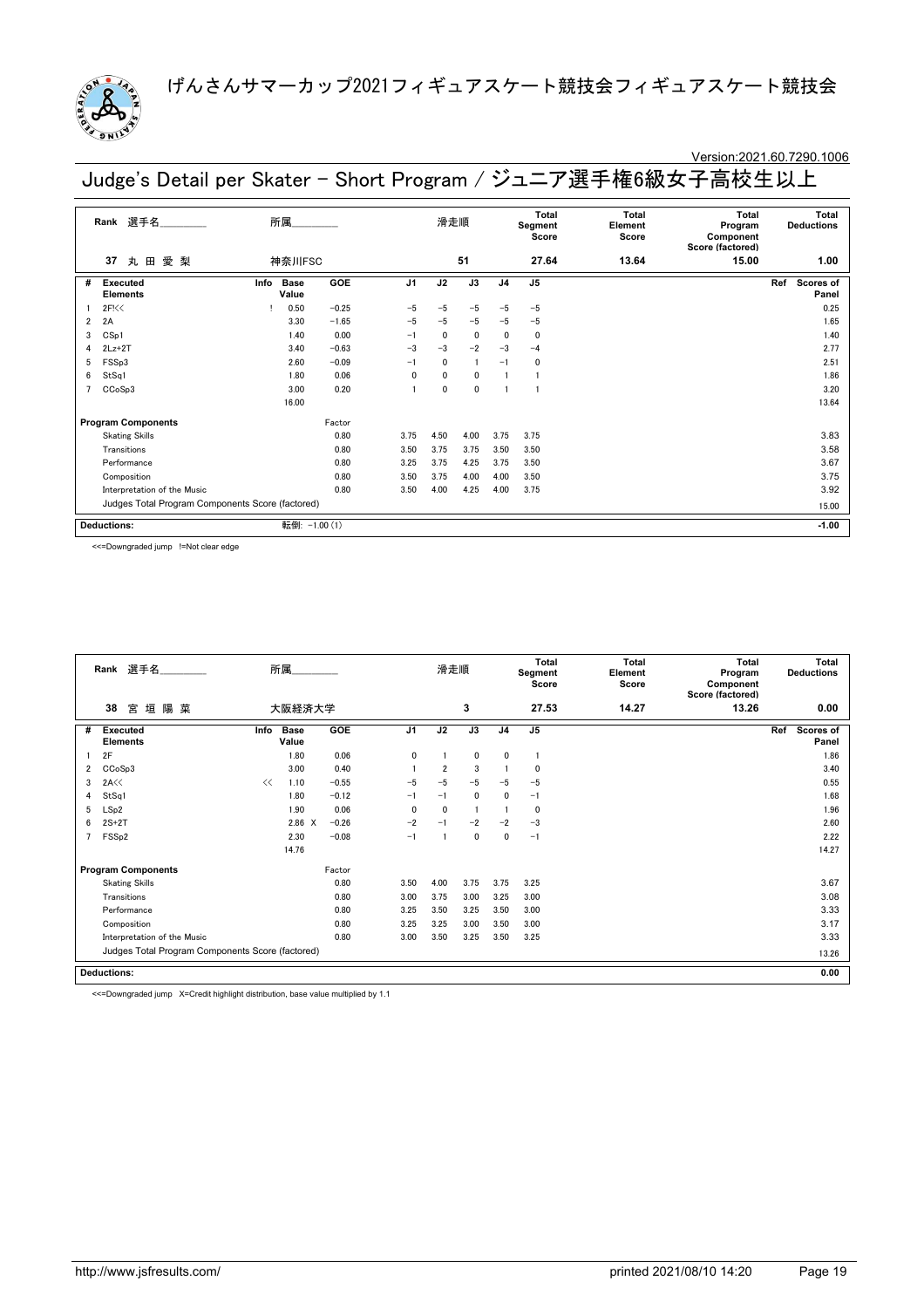

### Version:2021.60.7290.1006

Judge's Detail per Skater - Short Program / ジュニア選手権6級女子高校生以上

|                | 選手名<br>Rank                                      |      | 所属            |            |                | 滑走順          |              |                | <b>Total</b><br>Segment<br>Score | <b>Total</b><br>Element<br>Score | <b>Total</b><br>Program<br>Component<br>Score (factored) | <b>Total</b><br><b>Deductions</b> |
|----------------|--------------------------------------------------|------|---------------|------------|----------------|--------------|--------------|----------------|----------------------------------|----------------------------------|----------------------------------------------------------|-----------------------------------|
|                | 愛 梨<br>丸田<br>37                                  |      | 神奈川FSC        |            |                |              | 51           |                | 27.64                            | 13.64                            | 15.00                                                    | 1.00                              |
| #              | Executed<br><b>Elements</b>                      | Info | Base<br>Value | GOE        | J <sub>1</sub> | J2           | J3           | J <sub>4</sub> | J <sub>5</sub>                   |                                  |                                                          | Scores of<br>Ref<br>Panel         |
|                | 2F<                                              |      | 0.50          | $-0.25$    | $-5$           | $-5$         | $-5$         | $-5$           | $-5$                             |                                  |                                                          | 0.25                              |
| $\overline{2}$ | 2A                                               |      | 3.30          | $-1.65$    | $-5$           | $-5$         | $-5$         | $-5$           | $-5$                             |                                  |                                                          | 1.65                              |
| 3              | CSp1                                             |      | 1.40          | 0.00       | $-1$           | $\mathbf{0}$ | $\mathbf{0}$ | $\Omega$       | $\mathbf{0}$                     |                                  |                                                          | 1.40                              |
| 4              | $2Lz+2T$                                         |      | 3.40          | $-0.63$    | $-3$           | $-3$         | $-2$         | $-3$           | $-4$                             |                                  |                                                          | 2.77                              |
| 5              | FSSp3                                            |      | 2.60          | $-0.09$    | $-1$           | $\mathbf{0}$ | -1           | $-1$           | 0                                |                                  |                                                          | 2.51                              |
| 6              | StSq1                                            |      | 1.80          | 0.06       | 0              | $\mathbf{0}$ | $\mathbf{0}$ |                |                                  |                                  |                                                          | 1.86                              |
| 7              | CCoSp3                                           |      | 3.00          | 0.20       |                | $\mathbf{0}$ | 0            |                |                                  |                                  |                                                          | 3.20                              |
|                |                                                  |      | 16.00         |            |                |              |              |                |                                  |                                  |                                                          | 13.64                             |
|                | <b>Program Components</b>                        |      |               | Factor     |                |              |              |                |                                  |                                  |                                                          |                                   |
|                | <b>Skating Skills</b>                            |      |               | 0.80       | 3.75           | 4.50         | 4.00         | 3.75           | 3.75                             |                                  |                                                          | 3.83                              |
|                | Transitions                                      |      |               | 0.80       | 3.50           | 3.75         | 3.75         | 3.50           | 3.50                             |                                  |                                                          | 3.58                              |
|                | Performance                                      |      |               | 0.80       | 3.25           | 3.75         | 4.25         | 3.75           | 3.50                             |                                  |                                                          | 3.67                              |
|                | Composition                                      |      |               | 0.80       | 3.50           | 3.75         | 4.00         | 4.00           | 3.50                             |                                  |                                                          | 3.75                              |
|                | Interpretation of the Music                      |      |               | 0.80       | 3.50           | 4.00         | 4.25         | 4.00           | 3.75                             |                                  |                                                          | 3.92                              |
|                | Judges Total Program Components Score (factored) |      |               |            |                |              |              |                |                                  |                                  | 15.00                                                    |                                   |
|                | <b>Deductions:</b>                               |      | 転倒:           | $-1.00(1)$ |                |              |              |                |                                  |                                  |                                                          | $-1.00$                           |

<<=Downgraded jump !=Not clear edge

|                | 選手名<br>Rank                                      |      | 所属                   |            |                | 滑走順            |              |                | Total<br>Segment<br>Score | <b>Total</b><br>Element<br>Score | <b>Total</b><br>Program<br>Component<br>Score (factored) | <b>Total</b><br><b>Deductions</b> |
|----------------|--------------------------------------------------|------|----------------------|------------|----------------|----------------|--------------|----------------|---------------------------|----------------------------------|----------------------------------------------------------|-----------------------------------|
|                | 38<br>垣<br>陽<br>菓<br>宮                           |      | 大阪経済大学               |            |                |                | 3            |                | 27.53                     | 14.27                            | 13.26                                                    | 0.00                              |
| #              | <b>Executed</b><br><b>Elements</b>               | Info | <b>Base</b><br>Value | <b>GOE</b> | J <sub>1</sub> | J2             | J3           | J <sub>4</sub> | J <sub>5</sub>            |                                  |                                                          | Scores of<br>Ref<br>Panel         |
|                | 2F                                               |      | 1.80                 | 0.06       | $\mathbf{0}$   |                | $\mathbf{0}$ | $\mathbf{0}$   |                           |                                  |                                                          | 1.86                              |
| $\overline{2}$ | CCoSp3                                           |      | 3.00                 | 0.40       |                | $\overline{2}$ | 3            |                | $\mathbf{0}$              |                                  |                                                          | 3.40                              |
| 3              | 2A <                                             | <<   | 1.10                 | $-0.55$    | $-5$           | -5             | $-5$         | $-5$           | $-5$                      |                                  |                                                          | 0.55                              |
| 4              | StSq1                                            |      | 1.80                 | $-0.12$    | $-1$           | $-1$           | $\mathbf{0}$ | $\mathbf{0}$   | $-1$                      |                                  |                                                          | 1.68                              |
| 5              | LSp2                                             |      | 1.90                 | 0.06       | $\Omega$       | $\mathbf 0$    |              |                | 0                         |                                  |                                                          | 1.96                              |
| 6              | $2S+2T$                                          |      | $2.86 \t X$          | $-0.26$    | $-2$           | $-1$           | $-2$         | $-2$           | $-3$                      |                                  |                                                          | 2.60                              |
| 7              | FSS <sub>p2</sub>                                |      | 2.30                 | $-0.08$    | $-1$           |                | $\mathbf 0$  | 0              | $-1$                      |                                  |                                                          | 2.22                              |
|                |                                                  |      | 14.76                |            |                |                |              |                |                           |                                  |                                                          | 14.27                             |
|                | <b>Program Components</b>                        |      |                      | Factor     |                |                |              |                |                           |                                  |                                                          |                                   |
|                | <b>Skating Skills</b>                            |      |                      | 0.80       | 3.50           | 4.00           | 3.75         | 3.75           | 3.25                      |                                  |                                                          | 3.67                              |
|                | Transitions                                      |      |                      | 0.80       | 3.00           | 3.75           | 3.00         | 3.25           | 3.00                      |                                  |                                                          | 3.08                              |
|                | Performance                                      |      |                      | 0.80       | 3.25           | 3.50           | 3.25         | 3.50           | 3.00                      |                                  |                                                          | 3.33                              |
|                | Composition                                      |      |                      | 0.80       | 3.25           | 3.25           | 3.00         | 3.50           | 3.00                      |                                  |                                                          | 3.17                              |
|                | Interpretation of the Music                      | 3.00 | 3.50                 | 3.25       | 3.50           | 3.25           |              |                | 3.33                      |                                  |                                                          |                                   |
|                | Judges Total Program Components Score (factored) |      |                      |            |                |                |              |                |                           |                                  |                                                          | 13.26                             |
|                | <b>Deductions:</b>                               |      |                      |            |                |                |              |                |                           |                                  |                                                          | 0.00                              |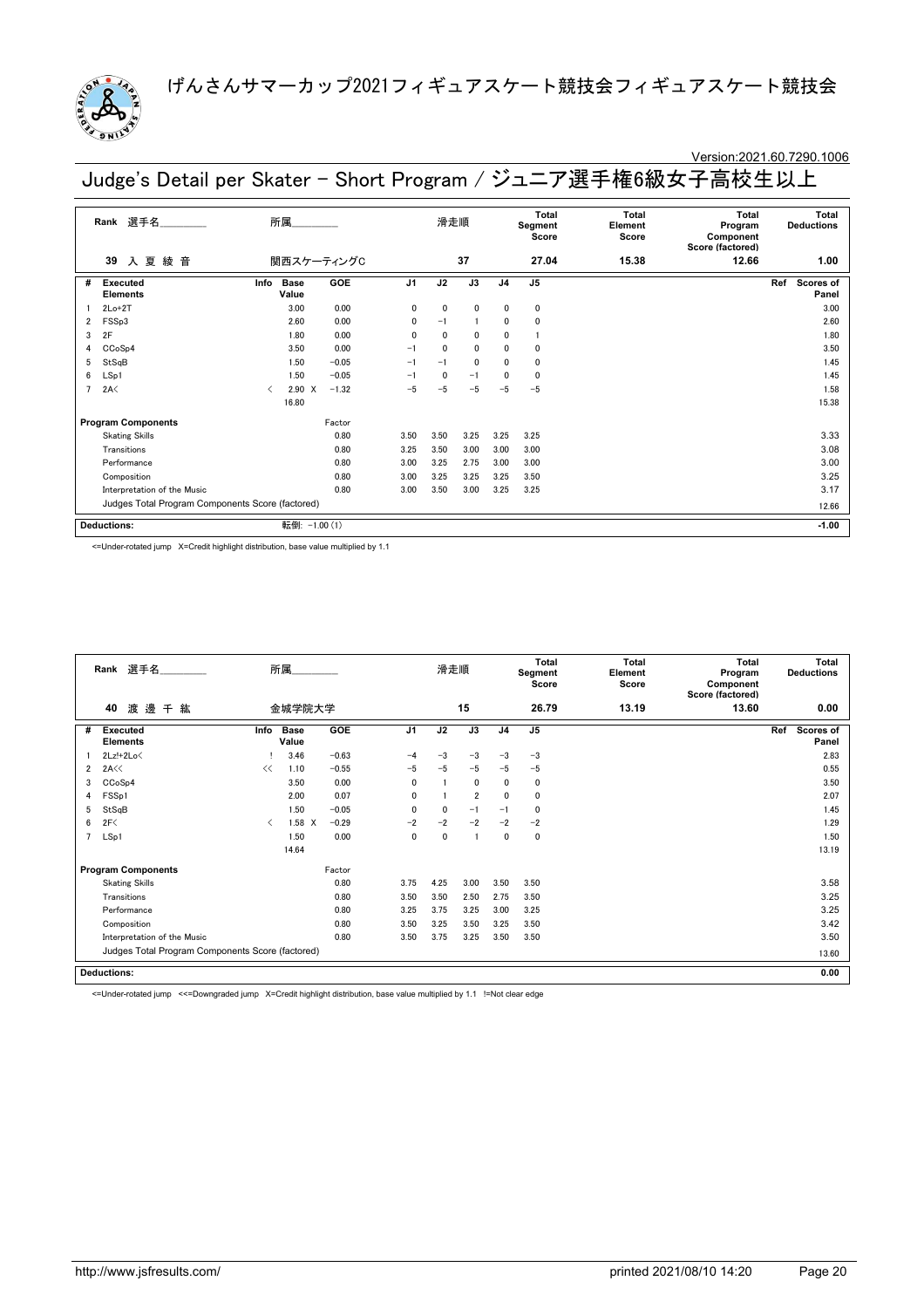

# Version:2021.60.7290.1006

Judge's Detail per Skater - Short Program / ジュニア選手権6級女子高校生以上

|   | 選手名<br>Rank                                      |      | 所属                   |            |                | 滑走順  |                |                | Total<br>Segment<br>Score | Total<br>Element<br>Score | <b>Total</b><br>Program<br>Component<br>Score (factored) | <b>Total</b><br><b>Deductions</b> |
|---|--------------------------------------------------|------|----------------------|------------|----------------|------|----------------|----------------|---------------------------|---------------------------|----------------------------------------------------------|-----------------------------------|
|   | 入夏<br>綾<br>音<br>39                               |      |                      | 関西スケーティングC |                |      | 37             |                | 27.04                     | 15.38                     | 12.66                                                    | 1.00                              |
| # | Executed<br><b>Elements</b>                      | Info | <b>Base</b><br>Value | GOE        | J <sub>1</sub> | J2   | J3             | J <sub>4</sub> | J <sub>5</sub>            |                           |                                                          | Scores of<br>Ref<br>Panel         |
|   | $2Lo+2T$                                         |      | 3.00                 | 0.00       | 0              | 0    | 0              | 0              | $\mathbf 0$               |                           |                                                          | 3.00                              |
| 2 | FSSp3                                            |      | 2.60                 | 0.00       | $\mathbf{0}$   | $-1$ | $\blacksquare$ | 0              | $\mathbf 0$               |                           |                                                          | 2.60                              |
| 3 | 2F                                               |      | 1.80                 | 0.00       | $\mathbf{0}$   | 0    | 0              | 0              |                           |                           |                                                          | 1.80                              |
| 4 | CCoSp4                                           |      | 3.50                 | 0.00       | $-1$           | 0    | $\mathbf{0}$   | 0              | $\mathbf 0$               |                           |                                                          | 3.50                              |
| 5 | StSqB                                            |      | 1.50                 | $-0.05$    | $-1$           | $-1$ | $\mathbf{0}$   | $\mathbf{0}$   | $\Omega$                  |                           |                                                          | 1.45                              |
| 6 | LSp1                                             |      | 1.50                 | $-0.05$    | $-1$           | 0    | $-1$           | 0              | $\Omega$                  |                           |                                                          | 1.45                              |
|   | 2A<                                              | ≺    | $2.90 \t X$          | $-1.32$    | $-5$           | $-5$ | $-5$           | $-5$           | $-5$                      |                           |                                                          | 1.58                              |
|   |                                                  |      | 16.80                |            |                |      |                |                |                           |                           |                                                          | 15.38                             |
|   | <b>Program Components</b>                        |      |                      | Factor     |                |      |                |                |                           |                           |                                                          |                                   |
|   | <b>Skating Skills</b>                            |      |                      | 0.80       | 3.50           | 3.50 | 3.25           | 3.25           | 3.25                      |                           |                                                          | 3.33                              |
|   | Transitions                                      |      |                      | 0.80       | 3.25           | 3.50 | 3.00           | 3.00           | 3.00                      |                           |                                                          | 3.08                              |
|   | Performance                                      |      |                      | 0.80       | 3.00           | 3.25 | 2.75           | 3.00           | 3.00                      |                           |                                                          | 3.00                              |
|   | Composition                                      |      |                      | 0.80       | 3.00           | 3.25 | 3.25           | 3.25           | 3.50                      |                           |                                                          | 3.25                              |
|   | Interpretation of the Music                      |      |                      | 0.80       | 3.00           | 3.50 | 3.00           | 3.25           | 3.25                      |                           |                                                          | 3.17                              |
|   | Judges Total Program Components Score (factored) |      |                      |            |                |      |                |                |                           |                           | 12.66                                                    |                                   |
|   | <b>Deductions:</b>                               |      | 転倒:                  | $-1.00(1)$ |                |      |                |                |                           |                           |                                                          | $-1.00$                           |

<=Under-rotated jump X=Credit highlight distribution, base value multiplied by 1.1

|   | Rank 選手名                                            |      | 所属                   |         |                | 滑走順         |                |                | <b>Total</b><br>Segment<br>Score | <b>Total</b><br>Element<br>Score | <b>Total</b><br>Program<br>Component<br>Score (factored) | <b>Total</b><br><b>Deductions</b> |
|---|-----------------------------------------------------|------|----------------------|---------|----------------|-------------|----------------|----------------|----------------------------------|----------------------------------|----------------------------------------------------------|-----------------------------------|
|   | 渡邊<br>40<br>千紘                                      |      | 金城学院大学               |         |                |             | 15             |                | 26.79                            | 13.19                            | 13.60                                                    | 0.00                              |
| # | <b>Executed</b><br><b>Elements</b>                  | Info | <b>Base</b><br>Value | GOE     | J <sub>1</sub> | J2          | J3             | J <sub>4</sub> | J5                               |                                  |                                                          | Scores of<br>Ref<br>Panel         |
|   | $2Lz!+2Lo\leq$                                      |      | 3.46                 | $-0.63$ | $-4$           | $-3$        | $-3$           | $-3$           | $-3$                             |                                  |                                                          | 2.83                              |
| 2 | 2A<<                                                | <<   | 1.10                 | $-0.55$ | $-5$           | $-5$        | $-5$           | $-5$           | $-5$                             |                                  |                                                          | 0.55                              |
| 3 | 0.00<br>CCoSp4<br>3.50<br>FSS <sub>p1</sub><br>2.00 |      |                      |         | $\mathbf{0}$   |             | 0              | 0              | 0                                |                                  |                                                          | 3.50                              |
| 4 |                                                     |      |                      | 0.07    | 0              |             | $\overline{2}$ | 0              | 0                                |                                  |                                                          | 2.07                              |
| 5 | StSqB                                               |      | 1.50                 | $-0.05$ | $\mathbf{0}$   | 0           | $-1$           | $-1$           | 0                                |                                  |                                                          | 1.45                              |
| 6 | 2F<                                                 | ≺    | $1.58 \times$        | $-0.29$ | $-2$           | $-2$        | $-2$           | $-2$           | $-2$                             |                                  |                                                          | 1.29                              |
| 7 | LSp1                                                |      | 1.50                 | 0.00    | 0              | $\mathbf 0$ |                | 0              | 0                                |                                  |                                                          | 1.50                              |
|   |                                                     |      | 14.64                |         |                |             |                |                |                                  |                                  |                                                          | 13.19                             |
|   | <b>Program Components</b>                           |      |                      | Factor  |                |             |                |                |                                  |                                  |                                                          |                                   |
|   | <b>Skating Skills</b>                               |      |                      | 0.80    | 3.75           | 4.25        | 3.00           | 3.50           | 3.50                             |                                  |                                                          | 3.58                              |
|   | Transitions                                         |      |                      | 0.80    | 3.50           | 3.50        | 2.50           | 2.75           | 3.50                             |                                  |                                                          | 3.25                              |
|   | Performance                                         |      |                      | 0.80    | 3.25           | 3.75        | 3.25           | 3.00           | 3.25                             |                                  |                                                          | 3.25                              |
|   | Composition                                         |      |                      | 0.80    | 3.50           | 3.25        | 3.50           | 3.25           | 3.50                             |                                  |                                                          | 3.42                              |
|   | Interpretation of the Music                         | 0.80 | 3.50                 | 3.75    | 3.25           | 3.50        | 3.50           |                |                                  | 3.50                             |                                                          |                                   |
|   | Judges Total Program Components Score (factored)    |      |                      |         |                |             |                |                |                                  |                                  |                                                          | 13.60                             |
|   | <b>Deductions:</b>                                  |      |                      |         |                |             |                |                |                                  |                                  |                                                          | 0.00                              |

<=Under-rotated jump <<=Downgraded jump X=Credit highlight distribution, base value multiplied by 1.1 !=Not clear edge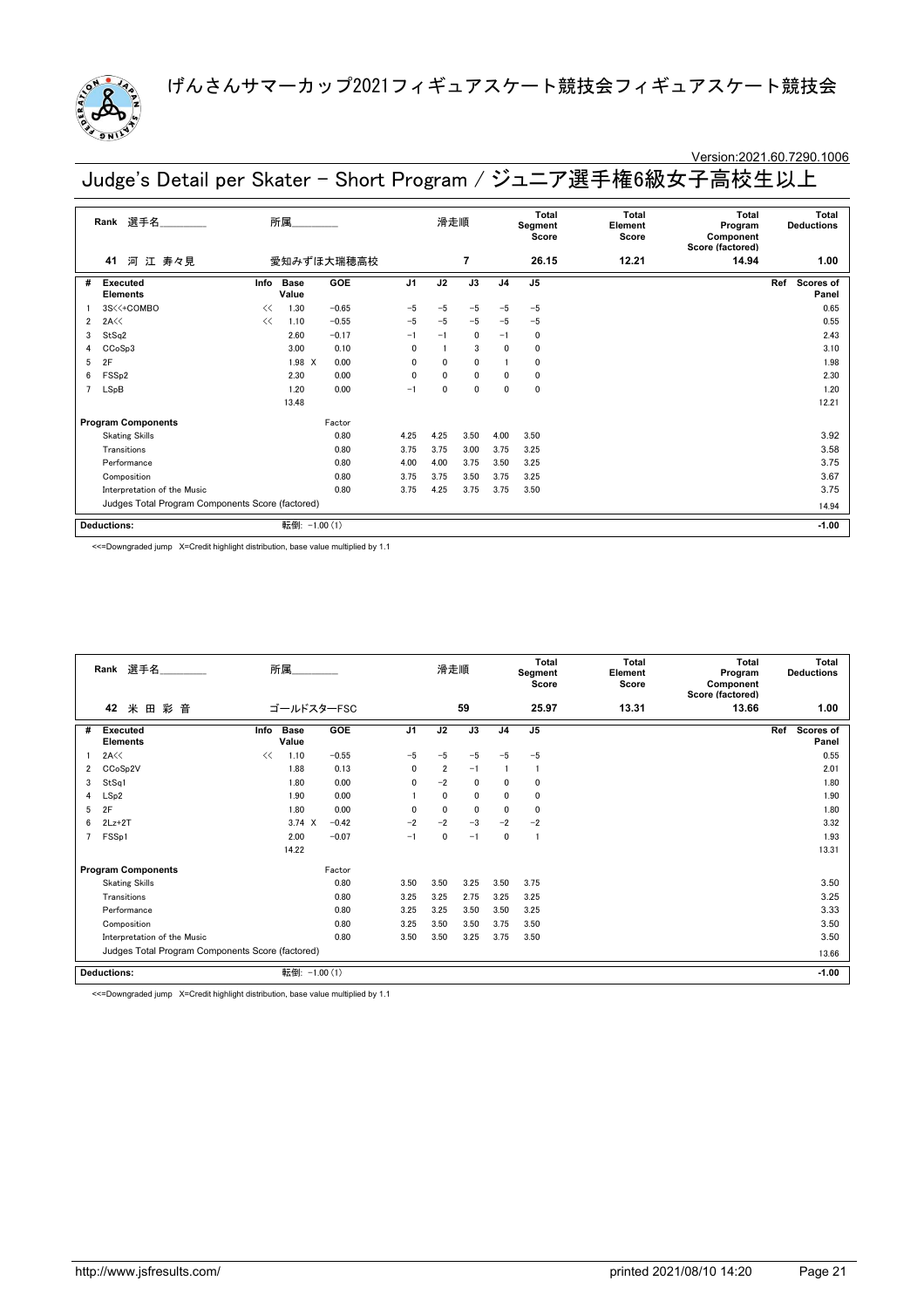

### Version:2021.60.7290.1006

Judge's Detail per Skater - Short Program / ジュニア選手権6級女子高校生以上

|   | 選手名<br>Rank                                      |      | 所属            |            |                | 滑走順          |                |                | <b>Total</b><br>Segment<br>Score | Total<br>Element<br>Score | <b>Total</b><br>Program<br>Component<br>Score (factored) | <b>Total</b><br><b>Deductions</b> |
|---|--------------------------------------------------|------|---------------|------------|----------------|--------------|----------------|----------------|----------------------------------|---------------------------|----------------------------------------------------------|-----------------------------------|
|   | 河 江 寿々見<br>41                                    |      |               | 愛知みずほ大瑞穂高校 |                |              | $\overline{7}$ |                | 26.15                            | 12.21                     | 14.94                                                    | 1.00                              |
| # | Executed<br><b>Elements</b>                      | Info | Base<br>Value | GOE        | J <sub>1</sub> | J2           | J3             | J <sub>4</sub> | J <sub>5</sub>                   |                           |                                                          | Scores of<br>Ref<br>Panel         |
|   | 3S<<+COMBO                                       | <<   | 1.30          | $-0.65$    | $-5$           | $-5$         | $-5$           | $-5$           | $-5$                             |                           |                                                          | 0.65                              |
| 2 | 2A <                                             | <<   | 1.10          | $-0.55$    | $-5$           | $-5$         | $-5$           | $-5$           | $-5$                             |                           |                                                          | 0.55                              |
| 3 | StSq2                                            |      | 2.60          | $-0.17$    | $-1$           | $-1$         | 0              | $-1$           | 0                                |                           |                                                          | 2.43                              |
| 4 | CCoSp3                                           |      | 3.00          | 0.10       | 0              |              | 3              | $\mathbf{0}$   | 0                                |                           |                                                          | 3.10                              |
| 5 | 2F                                               |      | 1.98 X        | 0.00       | 0              | $\mathbf{0}$ | $\mathbf{0}$   |                | 0                                |                           |                                                          | 1.98                              |
| 6 | FSS <sub>p2</sub>                                |      | 2.30          | 0.00       | 0              | $\mathbf{0}$ | $\mathbf{0}$   | 0              | $\mathbf{0}$                     |                           |                                                          | 2.30                              |
| 7 | LSpB                                             |      | 1.20          | 0.00       | $-1$           | $\mathbf{0}$ | 0              | 0              | 0                                |                           |                                                          | 1.20                              |
|   |                                                  |      | 13.48         |            |                |              |                |                |                                  |                           |                                                          | 12.21                             |
|   | <b>Program Components</b>                        |      |               | Factor     |                |              |                |                |                                  |                           |                                                          |                                   |
|   | <b>Skating Skills</b>                            |      |               | 0.80       | 4.25           | 4.25         | 3.50           | 4.00           | 3.50                             |                           |                                                          | 3.92                              |
|   | Transitions                                      |      |               | 0.80       | 3.75           | 3.75         | 3.00           | 3.75           | 3.25                             |                           |                                                          | 3.58                              |
|   | Performance                                      |      |               | 0.80       | 4.00           | 4.00         | 3.75           | 3.50           | 3.25                             |                           |                                                          | 3.75                              |
|   | Composition                                      |      |               | 0.80       | 3.75           | 3.75         | 3.50           | 3.75           | 3.25                             |                           |                                                          | 3.67                              |
|   | Interpretation of the Music                      |      |               | 0.80       | 3.75           | 4.25         | 3.75           | 3.75           | 3.50                             |                           |                                                          | 3.75                              |
|   | Judges Total Program Components Score (factored) |      |               |            |                |              |                |                |                                  |                           |                                                          | 14.94                             |
|   | <b>Deductions:</b>                               |      | 転倒:           | $-1.00(1)$ |                |              |                |                |                                  |                           |                                                          | $-1.00$                           |

<<=Downgraded jump X=Credit highlight distribution, base value multiplied by 1.1

|   | Rank 選手名                                         | 所属                           |         |                | 滑走順            |             |                | Total<br>Segment<br>Score | <b>Total</b><br>Element<br>Score | <b>Total</b><br>Program<br>Component<br>Score (factored) | Total<br><b>Deductions</b> |
|---|--------------------------------------------------|------------------------------|---------|----------------|----------------|-------------|----------------|---------------------------|----------------------------------|----------------------------------------------------------|----------------------------|
|   | 42<br>米<br>彩音<br>田                               | ゴールドスターFSC                   |         |                |                | 59          |                | 25.97                     | 13.31                            | 13.66                                                    | 1.00                       |
| # | <b>Executed</b><br><b>Elements</b>               | <b>Base</b><br>Info<br>Value | GOE     | J <sub>1</sub> | J2             | J3          | J <sub>4</sub> | J5                        |                                  |                                                          | Ref<br>Scores of<br>Panel  |
|   | 2A<<                                             | <<<br>1.10                   | $-0.55$ | $-5$           | $-5$           | $-5$        | $-5$           | $-5$                      |                                  |                                                          | 0.55                       |
| 2 | CCoSp2V                                          | 1.88                         | 0.13    | 0              | $\overline{2}$ | $-1$        |                | -1                        |                                  |                                                          | 2.01                       |
| 3 | StSq1                                            | 1.80                         | 0.00    | 0              | $-2$           | $\mathbf 0$ | 0              | 0                         |                                  |                                                          | 1.80                       |
| 4 | LSp2                                             | 1.90                         | 0.00    |                | $\mathbf{0}$   | $\mathbf 0$ | 0              | 0                         |                                  |                                                          | 1.90                       |
| 5 | 2F                                               | 1.80                         | 0.00    | $\mathbf{0}$   | $\Omega$       | $\mathbf 0$ | 0              | 0                         |                                  |                                                          | 1.80                       |
| 6 | $2Lz+2T$                                         | $3.74 \times$                | $-0.42$ | $-2$           | $-2$           | $-3$        | $-2$           | $-2$                      |                                  |                                                          | 3.32                       |
| 7 | FSS <sub>p1</sub>                                | 2.00                         | $-0.07$ | $-1$           | 0              | $-1$        | 0              | -1                        |                                  |                                                          | 1.93                       |
|   |                                                  | 14.22                        |         |                |                |             |                |                           |                                  |                                                          | 13.31                      |
|   | <b>Program Components</b>                        |                              | Factor  |                |                |             |                |                           |                                  |                                                          |                            |
|   | <b>Skating Skills</b>                            |                              | 0.80    | 3.50           | 3.50           | 3.25        | 3.50           | 3.75                      |                                  |                                                          | 3.50                       |
|   | Transitions                                      |                              | 0.80    | 3.25           | 3.25           | 2.75        | 3.25           | 3.25                      |                                  |                                                          | 3.25                       |
|   | Performance                                      |                              | 0.80    | 3.25           | 3.25           | 3.50        | 3.50           | 3.25                      |                                  |                                                          | 3.33                       |
|   | Composition                                      |                              | 0.80    | 3.25           | 3.50           | 3.50        | 3.75           | 3.50                      |                                  |                                                          | 3.50                       |
|   | Interpretation of the Music                      |                              | 0.80    | 3.50           | 3.50           | 3.25        | 3.75           | 3.50                      |                                  |                                                          | 3.50                       |
|   | Judges Total Program Components Score (factored) |                              |         |                |                |             |                |                           |                                  |                                                          | 13.66                      |
|   | <b>Deductions:</b>                               | 転倒: -1.00 (1)                |         |                |                |             |                |                           |                                  |                                                          | $-1.00$                    |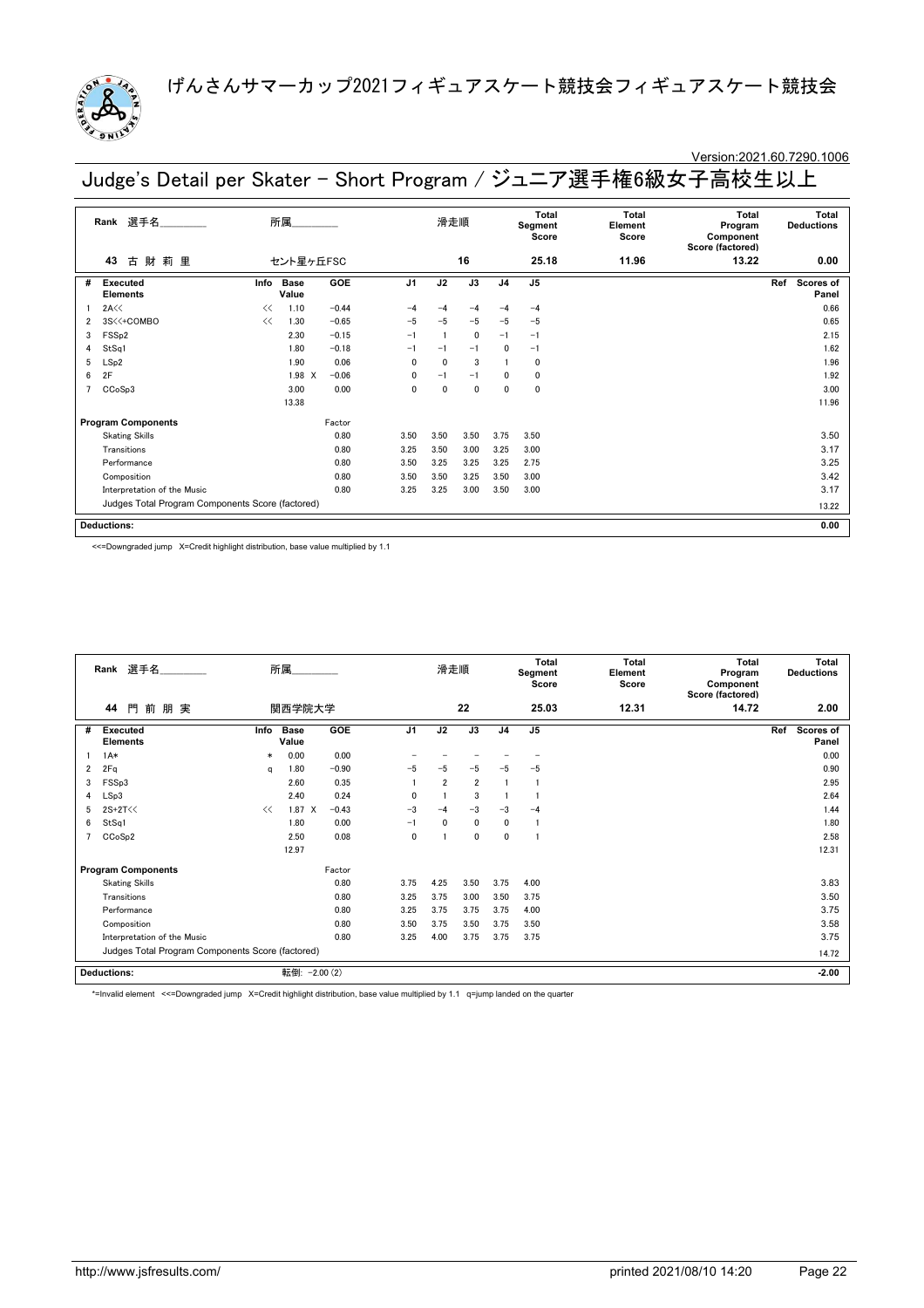

# Version:2021.60.7290.1006

Judge's Detail per Skater - Short Program / ジュニア選手権6級女子高校生以上

|   | 選手名<br>Rank                                      |                         | 所属                   |         |                | 滑走順          |              |                | <b>Total</b><br>Segment<br>Score | <b>Total</b><br>Element<br>Score | Total<br>Program<br>Component<br>Score (factored) |     | Total<br><b>Deductions</b> |
|---|--------------------------------------------------|-------------------------|----------------------|---------|----------------|--------------|--------------|----------------|----------------------------------|----------------------------------|---------------------------------------------------|-----|----------------------------|
|   | 財<br>莉<br>古<br>里<br>43                           |                         | セント星ヶ丘FSC            |         |                |              | 16           |                | 25.18                            | 11.96                            | 13.22                                             |     | 0.00                       |
| # | <b>Executed</b><br><b>Elements</b>               | Info                    | <b>Base</b><br>Value | GOE     | J <sub>1</sub> | J2           | J3           | J <sub>4</sub> | J <sub>5</sub>                   |                                  |                                                   | Ref | Scores of<br>Panel         |
|   | 2A<<                                             | <<                      | 1.10                 | $-0.44$ | $-4$           | $-4$         | $-4$         | $-4$           | $-4$                             |                                  |                                                   |     | 0.66                       |
| 2 | 3S<<+COMBO                                       | <<                      | 1.30                 | $-0.65$ | $-5$           | $-5$         | $-5$         | $-5$           | $-5$                             |                                  |                                                   |     | 0.65                       |
| 3 | FSS <sub>p2</sub>                                | $-0.15$<br>2.30<br>1.80 |                      |         |                |              | $\mathbf 0$  | $-1$           | $-1$                             |                                  |                                                   |     | 2.15                       |
| 4 | $-0.18$<br>StSq1<br>1.90                         |                         |                      |         | $-1$           | $-1$         | $-1$         | $\mathbf{0}$   | $-1$                             |                                  |                                                   |     | 1.62                       |
| 5 | LSp2                                             |                         |                      | 0.06    | $\mathbf{0}$   | $\mathbf{0}$ | 3            |                | $\mathbf 0$                      |                                  |                                                   |     | 1.96                       |
| 6 | 2F                                               |                         | 1.98 X               | $-0.06$ | 0              | $-1$         | $-1$         | 0              | 0                                |                                  |                                                   |     | 1.92                       |
|   | CCoSp3                                           |                         | 3.00                 | 0.00    | $\mathbf{0}$   | $\mathbf{0}$ | $\mathbf{0}$ | $\mathbf 0$    | $\mathbf 0$                      |                                  |                                                   |     | 3.00                       |
|   |                                                  |                         | 13.38                |         |                |              |              |                |                                  |                                  |                                                   |     | 11.96                      |
|   | <b>Program Components</b>                        |                         |                      | Factor  |                |              |              |                |                                  |                                  |                                                   |     |                            |
|   | <b>Skating Skills</b>                            |                         |                      | 0.80    | 3.50           | 3.50         | 3.50         | 3.75           | 3.50                             |                                  |                                                   |     | 3.50                       |
|   | Transitions                                      |                         |                      | 0.80    | 3.25           | 3.50         | 3.00         | 3.25           | 3.00                             |                                  |                                                   |     | 3.17                       |
|   | Performance                                      |                         |                      | 0.80    | 3.50           | 3.25         | 3.25         | 3.25           | 2.75                             |                                  |                                                   |     | 3.25                       |
|   | Composition                                      |                         |                      | 0.80    | 3.50           | 3.50         | 3.25         | 3.50           | 3.00                             |                                  |                                                   |     | 3.42                       |
|   | Interpretation of the Music                      | 3.25                    | 3.25                 | 3.00    | 3.50           | 3.00         |              |                |                                  | 3.17                             |                                                   |     |                            |
|   | Judges Total Program Components Score (factored) |                         |                      |         |                |              |              |                |                                  |                                  |                                                   |     | 13.22                      |
|   | <b>Deductions:</b>                               |                         |                      |         |                |              |              |                |                                  |                                  |                                                   |     | 0.00                       |

<<=Downgraded jump X=Credit highlight distribution, base value multiplied by 1.1

|   | Rank 選手名                                         |        | 所属                   |            |                | 滑走順            |                |                | <b>Total</b><br>Segment<br>Score | Total<br>Element<br>Score | Total<br>Program<br>Component<br>Score (factored) | <b>Total</b><br><b>Deductions</b> |
|---|--------------------------------------------------|--------|----------------------|------------|----------------|----------------|----------------|----------------|----------------------------------|---------------------------|---------------------------------------------------|-----------------------------------|
|   | 門前朋実<br>44                                       |        | 関西学院大学               |            |                |                | 22             |                | 25.03                            | 12.31                     | 14.72                                             | 2.00                              |
| # | Executed<br><b>Elements</b>                      | Info   | <b>Base</b><br>Value | GOE        | J <sub>1</sub> | J2             | J3             | J <sub>4</sub> | J <sub>5</sub>                   |                           |                                                   | Ref<br>Scores of<br>Panel         |
|   | $1A*$                                            | $\ast$ | 0.00                 | 0.00       |                |                |                |                |                                  |                           |                                                   | 0.00                              |
| 2 | 2Fq                                              | a      | 1.80                 | $-0.90$    | $-5$           | $-5$           | $-5$           | -5             | $-5$                             |                           |                                                   | 0.90                              |
| 3 | FSSp3                                            |        | 2.60                 | 0.35       |                | $\overline{2}$ | $\overline{2}$ |                | 1                                |                           |                                                   | 2.95                              |
| 4 | LSp3                                             |        | 2.40                 | 0.24       | 0              |                | 3              |                |                                  |                           |                                                   | 2.64                              |
| 5 | 2S+2T<<                                          | <<     | $1.87 \t X$          | $-0.43$    | $-3$           | $-4$           | $-3$           | $-3$           | $-4$                             |                           |                                                   | 1.44                              |
| 6 | StSq1                                            |        | 1.80                 | 0.00       | $-1$           | $\mathbf{0}$   | $\mathbf 0$    | 0              | -1                               |                           |                                                   | 1.80                              |
| 7 | CCoSp2                                           |        | 2.50                 | 0.08       | 0              |                | 0              | 0              | 1                                |                           |                                                   | 2.58                              |
|   |                                                  |        | 12.97                |            |                |                |                |                |                                  |                           |                                                   | 12.31                             |
|   | <b>Program Components</b>                        |        |                      | Factor     |                |                |                |                |                                  |                           |                                                   |                                   |
|   | <b>Skating Skills</b>                            |        |                      | 0.80       | 3.75           | 4.25           | 3.50           | 3.75           | 4.00                             |                           |                                                   | 3.83                              |
|   | Transitions                                      |        |                      | 0.80       | 3.25           | 3.75           | 3.00           | 3.50           | 3.75                             |                           |                                                   | 3.50                              |
|   | Performance                                      |        |                      | 0.80       | 3.25           | 3.75           | 3.75           | 3.75           | 4.00                             |                           |                                                   | 3.75                              |
|   | Composition                                      |        |                      | 0.80       | 3.50           | 3.75           | 3.50           | 3.75           | 3.50                             |                           |                                                   | 3.58                              |
|   | Interpretation of the Music                      |        |                      | 0.80       | 3.25           | 4.00           | 3.75           | 3.75           | 3.75                             |                           |                                                   | 3.75                              |
|   | Judges Total Program Components Score (factored) |        |                      |            |                |                |                |                |                                  |                           |                                                   | 14.72                             |
|   | <b>Deductions:</b>                               |        | 転倒:                  | $-2.00(2)$ |                |                |                |                |                                  |                           |                                                   | $-2.00$                           |

\*=Invalid element <<=Downgraded jump X=Credit highlight distribution, base value multiplied by 1.1 q=jump landed on the quarter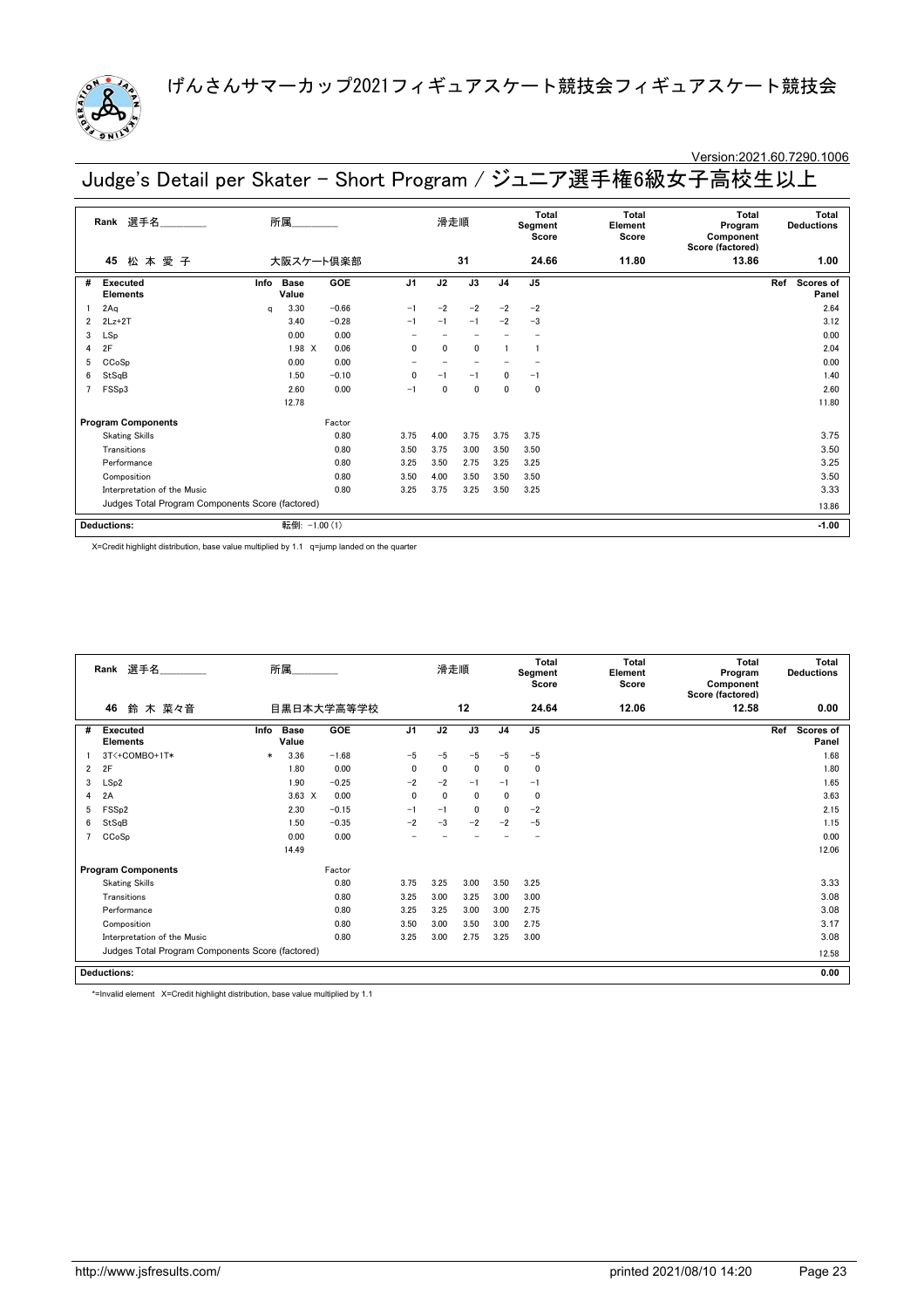

### Version:2021.60.7290.1006

Judge's Detail per Skater - Short Program / ジュニア選手権6級女子高校生以上

|                | 選手名______<br>Rank                                |      | 所属                   |            |                | 滑走順          |      |                | <b>Total</b><br>Segment<br>Score | Total<br>Element<br>Score | <b>Total</b><br>Program<br>Component<br>Score (factored) | <b>Deductions</b> | <b>Total</b>       |
|----------------|--------------------------------------------------|------|----------------------|------------|----------------|--------------|------|----------------|----------------------------------|---------------------------|----------------------------------------------------------|-------------------|--------------------|
|                | 松本愛子<br>45                                       |      | 大阪スケート倶楽部            |            |                |              | 31   |                | 24.66                            | 11.80                     | 13.86                                                    |                   | 1.00               |
| #              | <b>Executed</b><br><b>Elements</b>               | Info | <b>Base</b><br>Value | <b>GOE</b> | J <sub>1</sub> | J2           | J3   | J <sub>4</sub> | J <sub>5</sub>                   |                           |                                                          | Ref               | Scores of<br>Panel |
|                | 2Aq                                              | a    | 3.30                 | $-0.66$    | $-1$           | $-2$         | $-2$ | $-2$           | $-2$                             |                           |                                                          |                   | 2.64               |
| 2              | $2Lz+2T$                                         |      | 3.40                 | $-0.28$    | $-1$           | $-1$         | $-1$ | $-2$           | $-3$                             |                           |                                                          |                   | 3.12               |
| 3              | LSp                                              |      | 0.00                 | 0.00       |                |              |      |                |                                  |                           |                                                          |                   | 0.00               |
| 4              | 2F                                               |      | 1.98 X               | 0.06       | 0              | $\mathbf{0}$ | 0    |                |                                  |                           |                                                          |                   | 2.04               |
| 5              | CCoSp                                            |      | 0.00                 | 0.00       |                |              |      |                |                                  |                           |                                                          |                   | 0.00               |
| 6              | StSqB                                            |      | 1.50                 | $-0.10$    | 0              | $-1$         | $-1$ | $\mathbf{0}$   | $-1$                             |                           |                                                          |                   | 1.40               |
| $\overline{7}$ | FSSp3                                            |      | 2.60                 | 0.00       | $-1$           | $\mathbf{0}$ | 0    | $\mathbf{0}$   | $\Omega$                         |                           |                                                          |                   | 2.60               |
|                |                                                  |      | 12.78                |            |                |              |      |                |                                  |                           |                                                          |                   | 11.80              |
|                | <b>Program Components</b>                        |      |                      | Factor     |                |              |      |                |                                  |                           |                                                          |                   |                    |
|                | <b>Skating Skills</b>                            |      |                      | 0.80       | 3.75           | 4.00         | 3.75 | 3.75           | 3.75                             |                           |                                                          |                   | 3.75               |
|                | Transitions                                      |      |                      | 0.80       | 3.50           | 3.75         | 3.00 | 3.50           | 3.50                             |                           |                                                          |                   | 3.50               |
|                | Performance                                      |      |                      | 0.80       | 3.25           | 3.50         | 2.75 | 3.25           | 3.25                             |                           |                                                          |                   | 3.25               |
|                | Composition                                      |      |                      | 0.80       | 3.50           | 4.00         | 3.50 | 3.50           | 3.50                             |                           |                                                          |                   | 3.50               |
|                | Interpretation of the Music                      |      |                      | 0.80       | 3.25           | 3.75         | 3.25 | 3.50           | 3.25                             |                           |                                                          |                   | 3.33               |
|                | Judges Total Program Components Score (factored) |      |                      |            |                |              |      |                |                                  |                           |                                                          |                   | 13.86              |
|                | <b>Deductions:</b>                               |      | 転倒: -1.00 (1)        |            |                |              |      |                |                                  |                           |                                                          |                   | $-1.00$            |

X=Credit highlight distribution, base value multiplied by 1.1 q=jump landed on the quarter

|                | Rank 選手名                                         |        | 所属                   |            |                | 滑走順          |              |                | <b>Total</b><br>Segment<br>Score | <b>Total</b><br>Element<br>Score | Total<br>Program<br>Component<br>Score (factored) | Total<br><b>Deductions</b>       |
|----------------|--------------------------------------------------|--------|----------------------|------------|----------------|--------------|--------------|----------------|----------------------------------|----------------------------------|---------------------------------------------------|----------------------------------|
|                | 46<br>鈴 木 菜々音                                    |        |                      | 目黒日本大学高等学校 |                |              | 12           |                | 24.64                            | 12.06                            | 12.58                                             | 0.00                             |
| #              | <b>Executed</b><br><b>Elements</b>               | Info   | <b>Base</b><br>Value | <b>GOE</b> | J <sub>1</sub> | J2           | J3           | J <sub>4</sub> | J <sub>5</sub>                   |                                  |                                                   | Ref<br><b>Scores of</b><br>Panel |
|                | 3T<+COMBO+1T*                                    | $\ast$ | 3.36                 | $-1.68$    | $-5$           | $-5$         | $-5$         | $-5$           | $-5$                             |                                  |                                                   | 1.68                             |
| $\overline{2}$ | 2F                                               |        | 1.80                 | 0.00       | $\mathbf{0}$   | $\mathbf{0}$ | $\mathbf{0}$ | 0              | 0                                |                                  |                                                   | 1.80                             |
| 3              | LSp2                                             |        | 1.90                 | $-0.25$    | $-2$           | $-2$         | $-1$         | $-1$           | $-1$                             |                                  |                                                   | 1.65                             |
| 4              | 2A                                               |        | $3.63 \times$        | 0.00       | $\mathbf 0$    | 0            | 0            | 0              | 0                                |                                  |                                                   | 3.63                             |
| 5              | FSS <sub>p2</sub>                                |        | 2.30                 | $-0.15$    | $-1$           | $-1$         | 0            | 0              | $-2$                             |                                  |                                                   | 2.15                             |
| 6              | StSqB                                            |        | 1.50                 | $-0.35$    | $-2$           | $-3$         | $-2$         | $-2$           | $-5$                             |                                  |                                                   | 1.15                             |
|                | CCoSp                                            |        | 0.00                 | 0.00       |                |              |              |                |                                  |                                  |                                                   | 0.00                             |
|                |                                                  |        | 14.49                |            |                |              |              |                |                                  |                                  |                                                   | 12.06                            |
|                | <b>Program Components</b>                        |        |                      | Factor     |                |              |              |                |                                  |                                  |                                                   |                                  |
|                | <b>Skating Skills</b>                            |        |                      | 0.80       | 3.75           | 3.25         | 3.00         | 3.50           | 3.25                             |                                  |                                                   | 3.33                             |
|                | Transitions                                      |        |                      | 0.80       | 3.25           | 3.00         | 3.25         | 3.00           | 3.00                             |                                  |                                                   | 3.08                             |
|                | Performance                                      |        |                      | 0.80       | 3.25           | 3.25         | 3.00         | 3.00           | 2.75                             |                                  |                                                   | 3.08                             |
|                | Composition                                      |        |                      | 0.80       | 3.50           | 3.00         | 3.50         | 3.00           | 2.75                             |                                  |                                                   | 3.17                             |
|                | Interpretation of the Music                      |        |                      | 0.80       | 3.25           | 3.00         | 2.75         | 3.25           | 3.00                             |                                  |                                                   | 3.08                             |
|                | Judges Total Program Components Score (factored) |        |                      |            |                |              |              |                |                                  |                                  |                                                   | 12.58                            |
|                | <b>Deductions:</b>                               |        |                      |            |                |              |              |                |                                  |                                  |                                                   | 0.00                             |

\*=Invalid element X=Credit highlight distribution, base value multiplied by 1.1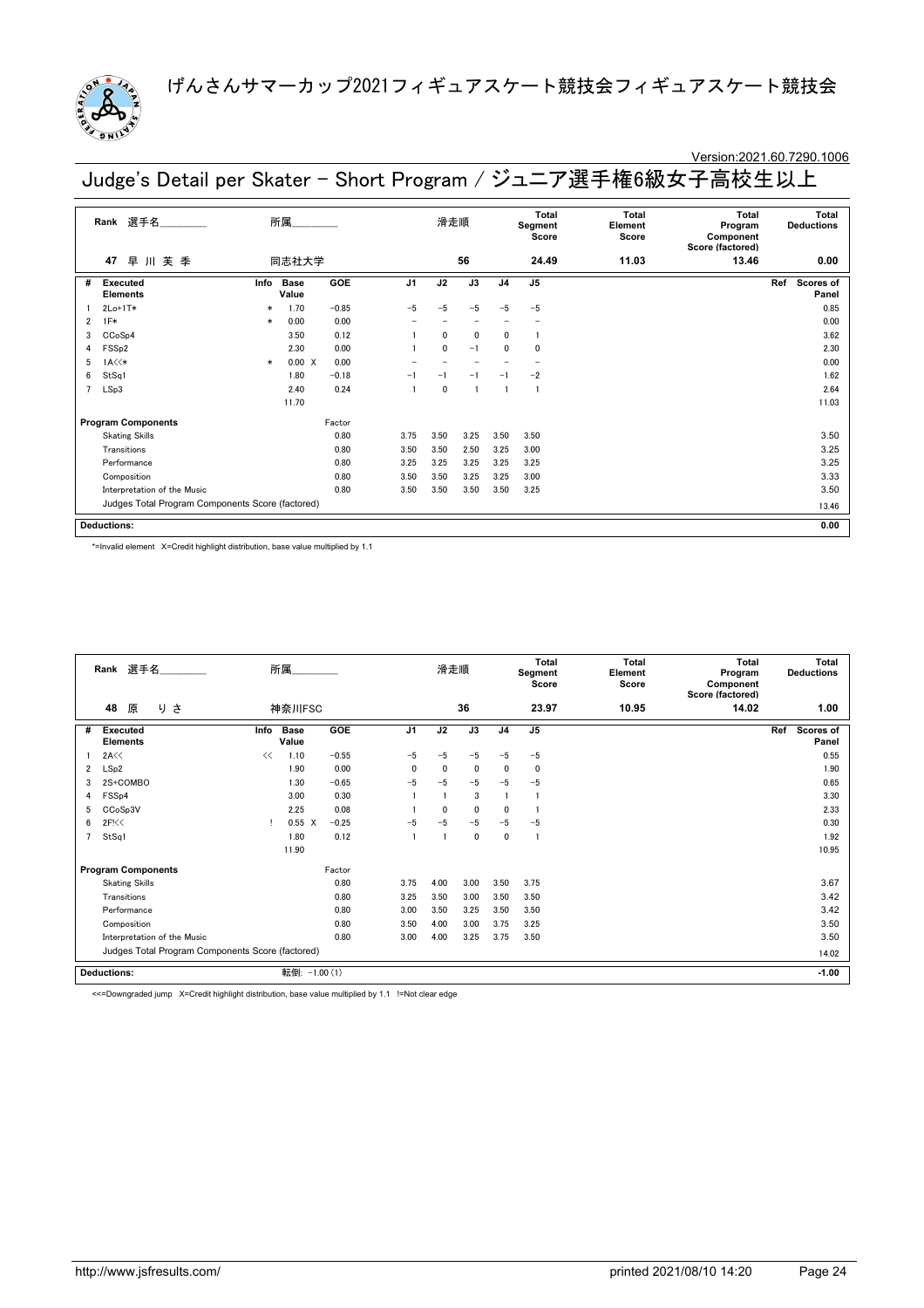

### Version:2021.60.7290.1006

Judge's Detail per Skater - Short Program / ジュニア選手権6級女子高校生以上

|   | 選手名<br>Rank                                      |        | 所属            |         |                | 滑走順         |                 |                | Total<br>Segment<br>Score | Total<br>Element<br>Score | Total<br>Program<br>Component<br>Score (factored) | Total<br><b>Deductions</b> |
|---|--------------------------------------------------|--------|---------------|---------|----------------|-------------|-----------------|----------------|---------------------------|---------------------------|---------------------------------------------------|----------------------------|
|   | 早川芙季<br>47                                       |        | 同志社大学         |         |                |             | 56              |                | 24.49                     | 11.03                     | 13.46                                             | 0.00                       |
| # | Executed<br><b>Elements</b>                      | Info   | Base<br>Value | GOE     | J <sub>1</sub> | J2          | $\overline{J3}$ | J <sub>4</sub> | J <sub>5</sub>            |                           |                                                   | Ref<br>Scores of<br>Panel  |
|   | $2Lo+1T*$                                        | $\ast$ | 1.70          | $-0.85$ | $-5$           | $-5$        | $-5$            | $-5$           | $-5$                      |                           |                                                   | 0.85                       |
| 2 | $1F*$                                            | $\ast$ | 0.00          | 0.00    |                |             |                 |                |                           |                           |                                                   | 0.00                       |
| 3 | CCoSp4                                           |        | 3.50          | 0.12    |                | $\Omega$    | $\mathbf{0}$    | $\mathbf{0}$   |                           |                           |                                                   | 3.62                       |
| 4 | FSS <sub>p2</sub>                                |        | 2.30          | 0.00    |                | $\Omega$    | $-1$            | $\mathbf{0}$   | $\Omega$                  |                           |                                                   | 2.30                       |
| 5 | $1A \times \times$                               | $\ast$ | 0.00 X        | 0.00    |                |             |                 |                |                           |                           |                                                   | 0.00                       |
| 6 | StSq1                                            |        | 1.80          | $-0.18$ | $-1$           | $-1$        | $-1$            | $-1$           | $-2$                      |                           |                                                   | 1.62                       |
|   | LSp3                                             |        | 2.40          | 0.24    |                | $\mathbf 0$ |                 |                |                           |                           |                                                   | 2.64                       |
|   |                                                  |        | 11.70         |         |                |             |                 |                |                           |                           |                                                   | 11.03                      |
|   | <b>Program Components</b>                        |        |               | Factor  |                |             |                 |                |                           |                           |                                                   |                            |
|   | <b>Skating Skills</b>                            |        |               | 0.80    | 3.75           | 3.50        | 3.25            | 3.50           | 3.50                      |                           |                                                   | 3.50                       |
|   | Transitions                                      |        |               | 0.80    | 3.50           | 3.50        | 2.50            | 3.25           | 3.00                      |                           |                                                   | 3.25                       |
|   | Performance                                      |        |               | 0.80    | 3.25           | 3.25        | 3.25            | 3.25           | 3.25                      |                           |                                                   | 3.25                       |
|   | Composition                                      |        |               | 0.80    | 3.50           | 3.50        | 3.25            | 3.25           | 3.00                      |                           |                                                   | 3.33                       |
|   | Interpretation of the Music                      | 3.50   | 3.50          | 3.50    | 3.50           | 3.25        |                 |                | 3.50                      |                           |                                                   |                            |
|   | Judges Total Program Components Score (factored) |        |               |         |                |             |                 |                |                           |                           |                                                   | 13.46                      |
|   | <b>Deductions:</b>                               |        |               |         |                |             |                 |                |                           |                           |                                                   | 0.00                       |

\*=Invalid element X=Credit highlight distribution, base value multiplied by 1.1

|                | Rank 選手名<br>所属<br>48<br>原<br>さ<br>り              |      |                      |         |                | 滑走順          |              |                | <b>Total</b><br>Segment<br>Score | <b>Total</b><br>Element<br>Score | <b>Total</b><br>Program<br>Component<br>Score (factored) | <b>Deductions</b> | <b>Total</b>       |
|----------------|--------------------------------------------------|------|----------------------|---------|----------------|--------------|--------------|----------------|----------------------------------|----------------------------------|----------------------------------------------------------|-------------------|--------------------|
|                |                                                  |      | 神奈川FSC               |         |                |              | 36           |                | 23.97                            | 10.95                            | 14.02                                                    |                   | 1.00               |
| #              | <b>Executed</b><br><b>Elements</b>               | Info | <b>Base</b><br>Value | GOE     | J <sub>1</sub> | J2           | J3           | J <sub>4</sub> | J <sub>5</sub>                   |                                  |                                                          | Ref               | Scores of<br>Panel |
|                | 2A<<                                             | <<   | 1.10                 | $-0.55$ | $-5$           | $-5$         | $-5$         | $-5$           | $-5$                             |                                  |                                                          |                   | 0.55               |
| $\overline{2}$ | LSp2                                             |      | 1.90                 | 0.00    | $\mathbf 0$    | $\mathbf{0}$ | $\mathbf 0$  | $\Omega$       | $\mathbf 0$                      |                                  |                                                          |                   | 1.90               |
| 3              | 2S+COMBO                                         |      | 1.30                 | $-0.65$ | $-5$           | $-5$         | $-5$         | $-5$           | $-5$                             |                                  |                                                          |                   | 0.65               |
| 4              | FSS <sub>p4</sub>                                |      | 3.00                 | 0.30    |                |              | 3            |                |                                  |                                  |                                                          |                   | 3.30               |
| 5              | CCoSp3V                                          |      | 2.25                 | 0.08    |                | $\mathbf{0}$ | $\mathbf{0}$ | $\Omega$       |                                  |                                  |                                                          |                   | 2.33               |
| 6              | 2F<0                                             |      | $0.55 \quad X$       | $-0.25$ | $-5$           | -5           | $-5$         | $-5$           | $-5$                             |                                  |                                                          |                   | 0.30               |
| 7              | StSq1                                            |      | 1.80                 | 0.12    |                |              | 0            | 0              |                                  |                                  |                                                          |                   | 1.92               |
|                |                                                  |      | 11.90                |         |                |              |              |                |                                  |                                  |                                                          |                   | 10.95              |
|                | <b>Program Components</b>                        |      |                      | Factor  |                |              |              |                |                                  |                                  |                                                          |                   |                    |
|                | <b>Skating Skills</b>                            |      |                      | 0.80    | 3.75           | 4.00         | 3.00         | 3.50           | 3.75                             |                                  |                                                          |                   | 3.67               |
|                | Transitions                                      |      |                      | 0.80    | 3.25           | 3.50         | 3.00         | 3.50           | 3.50                             |                                  |                                                          |                   | 3.42               |
|                | Performance                                      |      |                      | 0.80    | 3.00           | 3.50         | 3.25         | 3.50           | 3.50                             |                                  |                                                          |                   | 3.42               |
|                | Composition                                      |      |                      | 0.80    | 3.50           | 4.00         | 3.00         | 3.75           | 3.25                             |                                  |                                                          |                   | 3.50               |
|                | Interpretation of the Music                      |      |                      | 0.80    | 3.00           | 4.00         | 3.25         | 3.75           | 3.50                             |                                  |                                                          |                   | 3.50               |
|                | Judges Total Program Components Score (factored) |      |                      |         |                |              |              |                |                                  |                                  |                                                          |                   | 14.02              |
|                | <b>Deductions:</b>                               |      | 転倒: -1.00 (1)        |         |                |              |              |                |                                  |                                  |                                                          |                   | $-1.00$            |

<<=Downgraded jump X=Credit highlight distribution, base value multiplied by 1.1 !=Not clear edge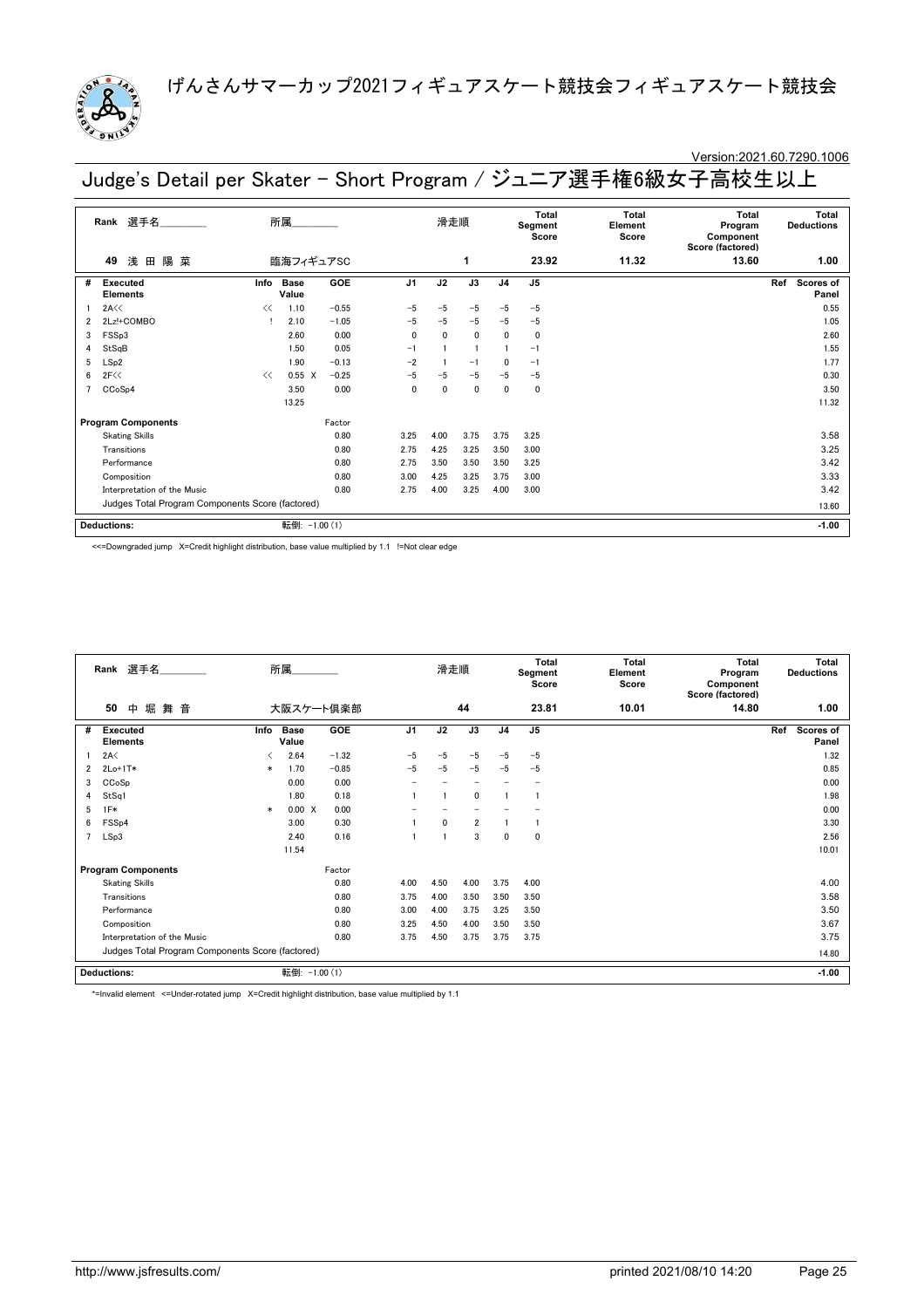

# Version:2021.60.7290.1006

Judge's Detail per Skater - Short Program / ジュニア選手権6級女子高校生以上

| 選手名<br>所属<br>Rank |                                                  |      |                      |            |                | 滑走順          |              | Total<br>Segment<br>Score |                | Total<br>Element<br>Score | Total<br>Program<br>Component<br>Score (factored) | Total<br><b>Deductions</b> |
|-------------------|--------------------------------------------------|------|----------------------|------------|----------------|--------------|--------------|---------------------------|----------------|---------------------------|---------------------------------------------------|----------------------------|
|                   | 浅<br>陽 菜<br>田<br>49                              |      | 臨海フィギュアSC            |            |                |              | 1            |                           | 23.92          | 11.32                     | 13.60                                             | 1.00                       |
| #                 | <b>Executed</b><br><b>Elements</b>               | Info | <b>Base</b><br>Value | GOE        | J <sub>1</sub> | J2           | J3           | J <sub>4</sub>            | J <sub>5</sub> |                           |                                                   | Ref<br>Scores of<br>Panel  |
|                   | 2A<<                                             | <<   | 1.10                 | $-0.55$    | $-5$           | $-5$         | $-5$         | $-5$                      | $-5$           |                           |                                                   | 0.55                       |
| 2                 | 2Lz!+COMBO                                       |      | 2.10                 | $-1.05$    | $-5$           | $-5$         | $-5$         | $-5$                      | $-5$           |                           |                                                   | 1.05                       |
| 3                 | FSSp3                                            |      | 2.60                 | 0.00       | 0              | $\mathbf{0}$ | 0            | 0                         | $\mathbf 0$    |                           |                                                   | 2.60                       |
| 4                 | StSqB                                            |      | 1.50                 | 0.05       | $-1$           |              |              |                           | $-1$           |                           |                                                   | 1.55                       |
| 5                 | LSp2                                             |      | 1.90                 | $-0.13$    | $-2$           |              | $-1$         | 0                         | $-1$           |                           |                                                   | 1.77                       |
| 6                 | 2F<<                                             | <<   | $0.55 \quad X$       | $-0.25$    | $-5$           | $-5$         | $-5$         | $-5$                      | $-5$           |                           |                                                   | 0.30                       |
|                   | CCoSp4                                           |      | 3.50                 | 0.00       | 0              | 0            | $\mathbf{0}$ | 0                         | $\mathbf 0$    |                           |                                                   | 3.50                       |
|                   |                                                  |      | 13.25                |            |                |              |              |                           |                |                           |                                                   | 11.32                      |
|                   | <b>Program Components</b>                        |      |                      | Factor     |                |              |              |                           |                |                           |                                                   |                            |
|                   | <b>Skating Skills</b>                            |      |                      | 0.80       | 3.25           | 4.00         | 3.75         | 3.75                      | 3.25           |                           |                                                   | 3.58                       |
|                   | Transitions                                      |      |                      | 0.80       | 2.75           | 4.25         | 3.25         | 3.50                      | 3.00           |                           |                                                   | 3.25                       |
|                   | Performance                                      |      |                      | 0.80       | 2.75           | 3.50         | 3.50         | 3.50                      | 3.25           |                           |                                                   | 3.42                       |
|                   | Composition                                      |      |                      | 0.80       | 3.00           | 4.25         | 3.25         | 3.75                      | 3.00           |                           |                                                   | 3.33                       |
|                   | Interpretation of the Music                      |      |                      | 0.80       | 2.75           | 4.00         | 3.25         | 4.00                      | 3.00           |                           |                                                   | 3.42                       |
|                   | Judges Total Program Components Score (factored) |      |                      |            |                |              |              |                           |                |                           |                                                   | 13.60                      |
|                   | <b>Deductions:</b>                               |      | 転倒:                  | $-1.00(1)$ |                |              |              |                           |                |                           |                                                   | $-1.00$                    |

<<=Downgraded jump X=Credit highlight distribution, base value multiplied by 1.1 !=Not clear edge

|   | 選手名<br>Rank                                      |        | 所属                   |           |                | 滑走順          |                |                | Total<br>Segment<br>Score | Total<br>Element<br>Score | <b>Total</b><br>Program<br>Component<br>Score (factored) | <b>Total</b><br><b>Deductions</b> |
|---|--------------------------------------------------|--------|----------------------|-----------|----------------|--------------|----------------|----------------|---------------------------|---------------------------|----------------------------------------------------------|-----------------------------------|
|   | 堀<br>50<br>舞音<br>中                               |        |                      | 大阪スケート倶楽部 |                |              | 44             |                | 23.81                     | 10.01                     | 14.80                                                    | 1.00                              |
| # | <b>Executed</b><br><b>Elements</b>               | Info   | <b>Base</b><br>Value | GOE       | J <sub>1</sub> | J2           | J3             | J <sub>4</sub> | J <sub>5</sub>            |                           |                                                          | Ref<br><b>Scores of</b><br>Panel  |
|   | 2A<                                              | ✓      | 2.64                 | $-1.32$   | $-5$           | $-5$         | $-5$           | $-5$           | $-5$                      |                           |                                                          | 1.32                              |
| 2 | $2Lo+1T*$                                        | $\ast$ | 1.70                 | $-0.85$   | $-5$           | $-5$         | $-5$           | $-5$           | $-5$                      |                           |                                                          | 0.85                              |
| 3 | CCoSp                                            |        | 0.00                 | 0.00      |                |              |                |                |                           |                           |                                                          | 0.00                              |
| 4 | StSq1                                            |        | 1.80                 | 0.18      |                |              | 0              |                |                           |                           |                                                          | 1.98                              |
| 5 | $1F*$                                            | $\ast$ | 0.00 X               | 0.00      |                |              |                |                |                           |                           |                                                          | 0.00                              |
| 6 | FSS <sub>p4</sub>                                |        | 3.00                 | 0.30      |                | $\mathbf{0}$ | $\overline{2}$ |                |                           |                           |                                                          | 3.30                              |
| 7 | LSp3                                             |        | 2.40                 | 0.16      |                |              | 3              | 0              | 0                         |                           |                                                          | 2.56                              |
|   |                                                  |        | 11.54                |           |                |              |                |                |                           |                           |                                                          | 10.01                             |
|   | <b>Program Components</b>                        |        |                      | Factor    |                |              |                |                |                           |                           |                                                          |                                   |
|   | <b>Skating Skills</b>                            |        |                      | 0.80      | 4.00           | 4.50         | 4.00           | 3.75           | 4.00                      |                           |                                                          | 4.00                              |
|   | Transitions                                      |        |                      | 0.80      | 3.75           | 4.00         | 3.50           | 3.50           | 3.50                      |                           |                                                          | 3.58                              |
|   | Performance                                      |        |                      | 0.80      | 3.00           | 4.00         | 3.75           | 3.25           | 3.50                      |                           |                                                          | 3.50                              |
|   | Composition                                      |        |                      | 0.80      | 3.25           | 4.50         | 4.00           | 3.50           | 3.50                      |                           |                                                          | 3.67                              |
|   | Interpretation of the Music                      |        |                      | 0.80      | 3.75           | 4.50         | 3.75           | 3.75           | 3.75                      |                           |                                                          | 3.75                              |
|   | Judges Total Program Components Score (factored) |        |                      |           |                |              |                |                |                           |                           |                                                          | 14.80                             |
|   | <b>Deductions:</b>                               |        | 転倒: -1.00 (1)        |           |                |              |                |                |                           |                           |                                                          | $-1.00$                           |

\*=Invalid element <=Under-rotated jump X=Credit highlight distribution, base value multiplied by 1.1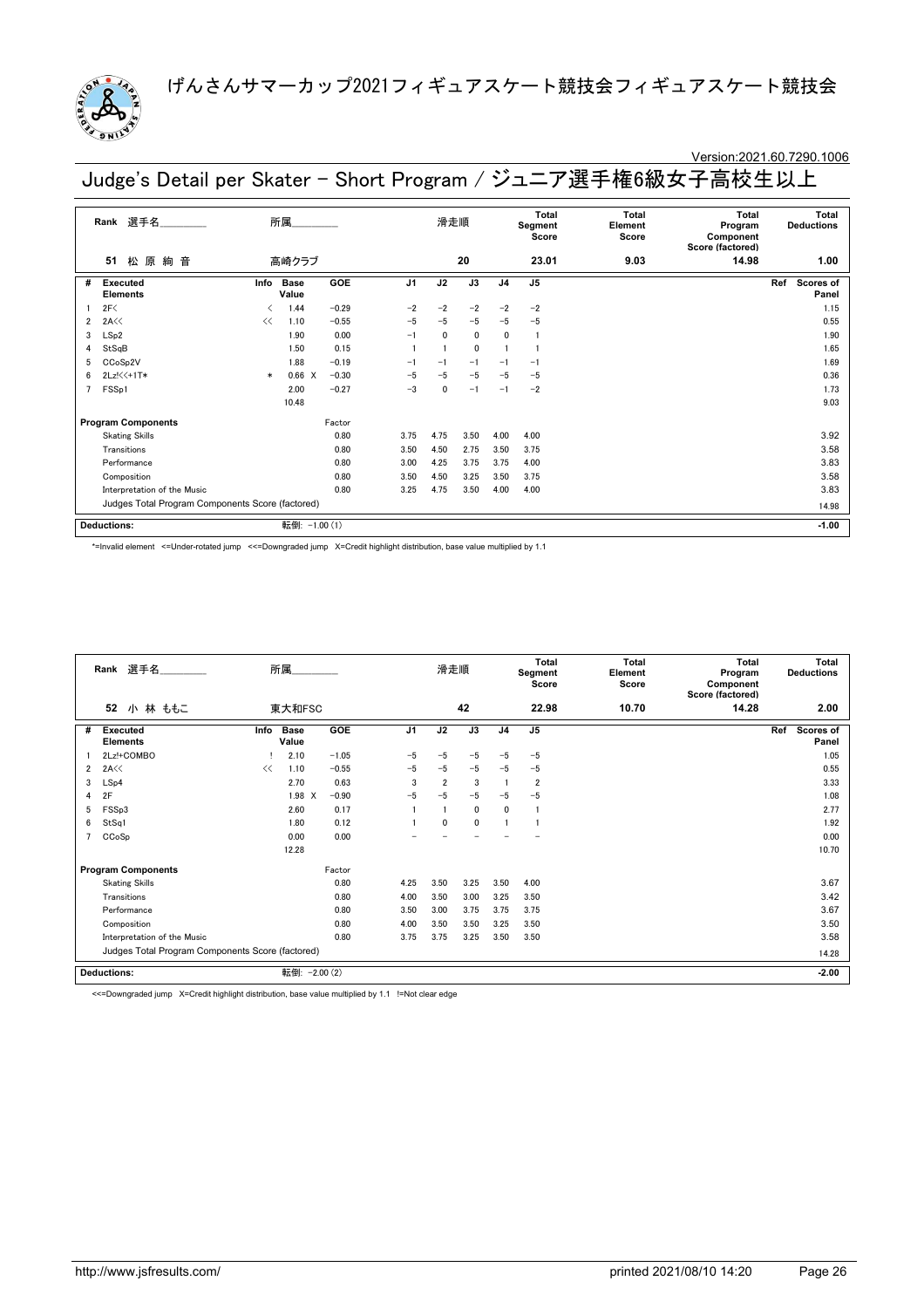

### Version:2021.60.7290.1006

Judge's Detail per Skater - Short Program / ジュニア選手権6級女子高校生以上

| 選手名<br>Rank |                                                  |        | 所属                   |         |                | 滑走順          |      | Total<br>Segment<br>Score |                | Total<br>Element<br>Score | <b>Total</b><br>Program<br>Component<br>Score (factored) | Total<br><b>Deductions</b> |
|-------------|--------------------------------------------------|--------|----------------------|---------|----------------|--------------|------|---------------------------|----------------|---------------------------|----------------------------------------------------------|----------------------------|
|             | 原<br>松<br>絢<br>音<br>51                           |        | 高崎クラブ                |         |                |              | 20   |                           | 23.01          | 9.03                      | 14.98                                                    | 1.00                       |
| #           | <b>Executed</b><br><b>Elements</b>               | Info   | <b>Base</b><br>Value | GOE     | J <sub>1</sub> | J2           | J3   | J <sub>4</sub>            | J <sub>5</sub> |                           |                                                          | Scores of<br>Ref<br>Panel  |
|             | 2F<                                              | ≺      | 1.44                 | $-0.29$ | $-2$           | $-2$         | $-2$ | $-2$                      | $-2$           |                           |                                                          | 1.15                       |
| 2           | 2A<<                                             | <<     | 1.10                 | $-0.55$ | $-5$           | $-5$         | $-5$ | $-5$                      | $-5$           |                           |                                                          | 0.55                       |
| 3           | LSp2                                             |        | 1.90                 | 0.00    | $-1$           | $\mathbf{0}$ | 0    | 0                         |                |                           |                                                          | 1.90                       |
| 4           | StSqB                                            |        | 1.50                 | 0.15    |                |              | 0    |                           |                |                           |                                                          | 1.65                       |
| 5           | CCoSp2V                                          |        | 1.88                 | $-0.19$ | $-1$           | $-1$         | $-1$ | $-1$                      | $-1$           |                           |                                                          | 1.69                       |
| 6           | 2Lz!<<+1T*                                       | $\ast$ | 0.66 X               | $-0.30$ | $-5$           | $-5$         | $-5$ | $-5$                      | $-5$           |                           |                                                          | 0.36                       |
|             | FSSp1                                            |        | 2.00                 | $-0.27$ | $-3$           | 0            | $-1$ | $-1$                      | $-2$           |                           |                                                          | 1.73                       |
|             |                                                  |        | 10.48                |         |                |              |      |                           |                |                           |                                                          | 9.03                       |
|             | <b>Program Components</b>                        |        |                      | Factor  |                |              |      |                           |                |                           |                                                          |                            |
|             | <b>Skating Skills</b>                            |        |                      | 0.80    | 3.75           | 4.75         | 3.50 | 4.00                      | 4.00           |                           |                                                          | 3.92                       |
|             | Transitions                                      |        |                      | 0.80    | 3.50           | 4.50         | 2.75 | 3.50                      | 3.75           |                           |                                                          | 3.58                       |
|             | Performance                                      |        |                      | 0.80    | 3.00           | 4.25         | 3.75 | 3.75                      | 4.00           |                           |                                                          | 3.83                       |
|             | Composition                                      |        |                      | 0.80    | 3.50           | 4.50         | 3.25 | 3.50                      | 3.75           |                           |                                                          | 3.58                       |
|             | Interpretation of the Music                      |        |                      | 0.80    | 3.25           | 4.75         | 3.50 | 4.00                      | 4.00           |                           |                                                          | 3.83                       |
|             | Judges Total Program Components Score (factored) |        |                      |         |                |              |      |                           |                |                           |                                                          | 14.98                      |
|             | <b>Deductions:</b>                               |        | 転倒: -1.00 (1)        |         |                |              |      |                           |                |                           |                                                          | $-1.00$                    |

\*=Invalid element <=Under-rotated jump <<=Downgraded jump X=Credit highlight distribution, base value multiplied by 1.1

| 選手名<br>Rank    |                                                  | 所属   |                      |            | 滑走順            |                | <b>Total</b><br>Segment<br>Score |                | <b>Total</b><br>Element<br>Score | <b>Total</b><br>Program<br>Component<br>Score (factored) | <b>Total</b><br><b>Deductions</b> |                                  |  |
|----------------|--------------------------------------------------|------|----------------------|------------|----------------|----------------|----------------------------------|----------------|----------------------------------|----------------------------------------------------------|-----------------------------------|----------------------------------|--|
|                | 52<br>小 林 ももこ                                    |      | 東大和FSC               |            |                |                | 42                               |                | 22.98                            | 10.70                                                    | 14.28                             | 2.00                             |  |
| #              | <b>Executed</b><br><b>Elements</b>               | Info | <b>Base</b><br>Value | <b>GOE</b> | J <sub>1</sub> | J2             | J3                               | J <sub>4</sub> | J <sub>5</sub>                   |                                                          |                                   | Ref<br><b>Scores of</b><br>Panel |  |
|                | 2Lz!+COMBO                                       |      | 2.10                 | $-1.05$    | $-5$           | $-5$           | $-5$                             | $-5$           | $-5$                             |                                                          |                                   | 1.05                             |  |
| $\overline{2}$ | 2A<<                                             | <<   | 1.10                 | $-0.55$    | $-5$           | $-5$           | $-5$                             | $-5$           | $-5$                             |                                                          |                                   | 0.55                             |  |
| 3              | LSp4                                             |      | 2.70                 | 0.63       | 3              | $\overline{2}$ | 3                                |                | $\overline{2}$                   |                                                          |                                   | 3.33                             |  |
| 4              | 2F                                               |      | 1.98 X               | $-0.90$    | $-5$           | $-5$           | $-5$                             | $-5$           | $-5$                             |                                                          |                                   | 1.08                             |  |
| 5              | FSSp3                                            |      | 2.60                 | 0.17       |                |                | 0                                | $\mathbf{0}$   | -1                               |                                                          |                                   | 2.77                             |  |
| 6              | StSq1                                            |      | 1.80                 | 0.12       |                | 0              | 0                                |                |                                  |                                                          |                                   | 1.92                             |  |
| 7              | CCoSp                                            |      | 0.00                 | 0.00       |                |                |                                  |                |                                  |                                                          |                                   | 0.00                             |  |
|                |                                                  |      | 12.28                |            |                |                |                                  |                |                                  |                                                          |                                   | 10.70                            |  |
|                | <b>Program Components</b>                        |      |                      | Factor     |                |                |                                  |                |                                  |                                                          |                                   |                                  |  |
|                | <b>Skating Skills</b>                            |      |                      | 0.80       | 4.25           | 3.50           | 3.25                             | 3.50           | 4.00                             |                                                          |                                   | 3.67                             |  |
|                | Transitions                                      |      |                      | 0.80       | 4.00           | 3.50           | 3.00                             | 3.25           | 3.50                             |                                                          |                                   | 3.42                             |  |
|                | Performance                                      |      |                      | 0.80       | 3.50           | 3.00           | 3.75                             | 3.75           | 3.75                             |                                                          |                                   | 3.67                             |  |
|                | Composition                                      |      |                      | 0.80       | 4.00           | 3.50           | 3.50                             | 3.25           | 3.50                             |                                                          |                                   | 3.50                             |  |
|                | Interpretation of the Music                      |      |                      | 0.80       | 3.75           | 3.75           | 3.25                             | 3.50           | 3.50                             |                                                          |                                   | 3.58                             |  |
|                | Judges Total Program Components Score (factored) |      |                      |            |                |                |                                  |                |                                  |                                                          |                                   | 14.28                            |  |
|                | <b>Deductions:</b>                               |      | 転倒:                  | $-2.00(2)$ |                |                |                                  |                |                                  |                                                          |                                   | $-2.00$                          |  |

<<=Downgraded jump X=Credit highlight distribution, base value multiplied by 1.1 !=Not clear edge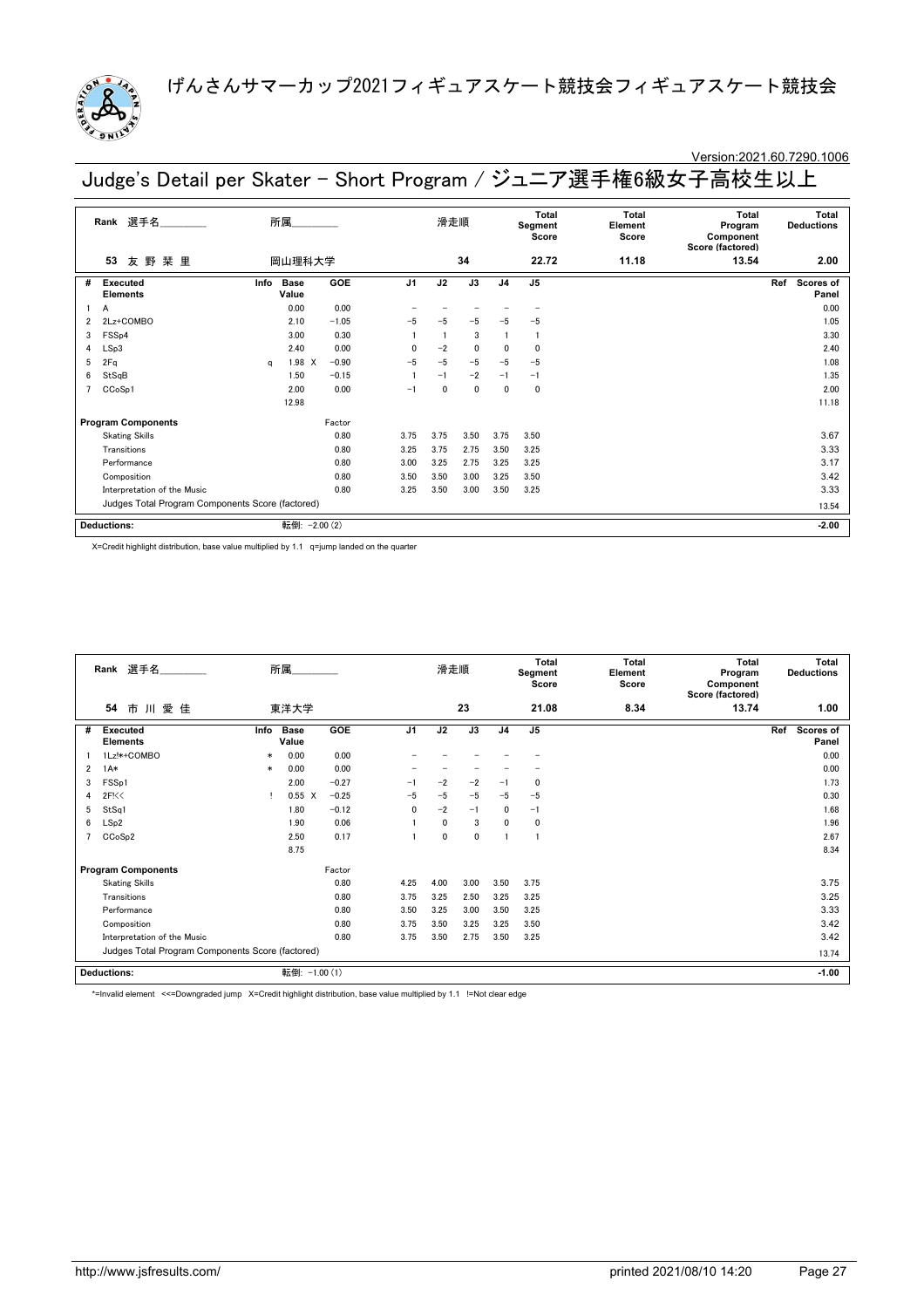

# Version:2021.60.7290.1006

Judge's Detail per Skater - Short Program / ジュニア選手権6級女子高校生以上

| 選手名<br>Rank |                                                  |      | 所属                   |            |                | 滑走順          |              |                | Total<br>Segment<br>Score | Total<br>Element<br>Score | <b>Total</b><br>Program<br>Component<br>Score (factored) | <b>Total</b><br><b>Deductions</b> |
|-------------|--------------------------------------------------|------|----------------------|------------|----------------|--------------|--------------|----------------|---------------------------|---------------------------|----------------------------------------------------------|-----------------------------------|
|             | 野<br>栞 里<br>53<br>友                              |      | 岡山理科大学               |            |                |              | 34           |                | 22.72                     | 11.18                     | 13.54                                                    | 2.00                              |
| #           | <b>Executed</b><br><b>Elements</b>               | Info | <b>Base</b><br>Value | GOE        | J <sub>1</sub> | J2           | J3           | J <sub>4</sub> | J <sub>5</sub>            |                           |                                                          | Scores of<br>Ref<br>Panel         |
|             | A                                                |      | 0.00                 | 0.00       |                |              |              |                |                           |                           |                                                          | 0.00                              |
| 2           | 2Lz+COMBO                                        |      | 2.10                 | $-1.05$    | $-5$           | $-5$         | $-5$         | $-5$           | $-5$                      |                           |                                                          | 1.05                              |
| 3           | FSS <sub>p4</sub>                                |      | 3.00                 | 0.30       |                |              | 3            |                |                           |                           |                                                          | 3.30                              |
| 4           | LSp3                                             |      | 2.40                 | 0.00       | 0              | $-2$         | 0            | 0              | $\mathbf 0$               |                           |                                                          | 2.40                              |
| 5           | 2Fq                                              | a    | 1.98 X               | $-0.90$    | $-5$           | $-5$         | $-5$         | $-5$           | $-5$                      |                           |                                                          | 1.08                              |
| 6           | StSqB                                            |      | 1.50                 | $-0.15$    |                | $-1$         | $-2$         | $-1$           | $-1$                      |                           |                                                          | 1.35                              |
|             | CCoSp1                                           |      | 2.00                 | 0.00       | $-1$           | $\mathbf{0}$ | $\mathbf{0}$ | 0              | $\mathbf 0$               |                           |                                                          | 2.00                              |
|             |                                                  |      | 12.98                |            |                |              |              |                |                           |                           |                                                          | 11.18                             |
|             | <b>Program Components</b>                        |      |                      | Factor     |                |              |              |                |                           |                           |                                                          |                                   |
|             | <b>Skating Skills</b>                            |      |                      | 0.80       | 3.75           | 3.75         | 3.50         | 3.75           | 3.50                      |                           |                                                          | 3.67                              |
|             | Transitions                                      |      |                      | 0.80       | 3.25           | 3.75         | 2.75         | 3.50           | 3.25                      |                           |                                                          | 3.33                              |
|             | Performance                                      |      |                      | 0.80       | 3.00           | 3.25         | 2.75         | 3.25           | 3.25                      |                           |                                                          | 3.17                              |
|             | Composition                                      |      |                      | 0.80       | 3.50           | 3.50         | 3.00         | 3.25           | 3.50                      |                           |                                                          | 3.42                              |
|             | Interpretation of the Music                      |      |                      | 0.80       | 3.25           | 3.50         | 3.00         | 3.50           | 3.25                      |                           |                                                          | 3.33                              |
|             | Judges Total Program Components Score (factored) |      |                      |            |                |              |              |                |                           |                           |                                                          | 13.54                             |
|             | <b>Deductions:</b>                               |      | 転倒:                  | $-2.00(2)$ |                |              |              |                |                           |                           |                                                          | $-2.00$                           |

X=Credit highlight distribution, base value multiplied by 1.1 q=jump landed on the quarter

| 選手名<br>Rank    |                                                  |        | 所属.                  |         |                | 滑走順  |      | <b>Total</b><br>Segment<br>Score |                | <b>Total</b><br>Element<br>Score | <b>Total</b><br>Program<br>Component<br>Score (factored) | <b>Total</b><br><b>Deductions</b> |
|----------------|--------------------------------------------------|--------|----------------------|---------|----------------|------|------|----------------------------------|----------------|----------------------------------|----------------------------------------------------------|-----------------------------------|
|                | 54<br>市川愛佳                                       |        | 東洋大学                 |         |                |      | 23   |                                  | 21.08          | 8.34                             | 13.74                                                    | 1.00                              |
| #              | <b>Executed</b><br><b>Elements</b>               | Info   | <b>Base</b><br>Value | GOE     | J <sub>1</sub> | J2   | J3   | J <sub>4</sub>                   | J <sub>5</sub> |                                  |                                                          | Ref<br>Scores of<br>Panel         |
|                | 1Lz!*+COMBO                                      | $\ast$ | 0.00                 | 0.00    |                |      |      |                                  |                |                                  |                                                          | 0.00                              |
| $\overline{2}$ | $1A*$                                            | $\ast$ | 0.00                 | 0.00    |                |      |      |                                  |                |                                  |                                                          | 0.00                              |
| 3              | FSS <sub>p1</sub>                                |        | 2.00                 | $-0.27$ | $-1$           | $-2$ | $-2$ | $-1$                             | 0              |                                  |                                                          | 1.73                              |
| 4              | 2F<0                                             |        | $0.55 \quad X$       | $-0.25$ | $-5$           | $-5$ | $-5$ | $-5$                             | $-5$           |                                  |                                                          | 0.30                              |
| 5              | StSq1                                            |        | 1.80                 | $-0.12$ | $\mathbf{0}$   | $-2$ | $-1$ | 0                                | $-1$           |                                  |                                                          | 1.68                              |
| 6              | LSp2                                             |        | 1.90                 | 0.06    |                | 0    | 3    | 0                                | 0              |                                  |                                                          | 1.96                              |
|                | CCoSp2                                           |        | 2.50                 | 0.17    |                | 0    | 0    |                                  | $\overline{1}$ |                                  |                                                          | 2.67                              |
|                |                                                  |        | 8.75                 |         |                |      |      |                                  |                |                                  |                                                          | 8.34                              |
|                | <b>Program Components</b>                        |        |                      | Factor  |                |      |      |                                  |                |                                  |                                                          |                                   |
|                | <b>Skating Skills</b>                            |        |                      | 0.80    | 4.25           | 4.00 | 3.00 | 3.50                             | 3.75           |                                  |                                                          | 3.75                              |
|                | Transitions                                      |        |                      | 0.80    | 3.75           | 3.25 | 2.50 | 3.25                             | 3.25           |                                  |                                                          | 3.25                              |
|                | Performance                                      |        |                      | 0.80    | 3.50           | 3.25 | 3.00 | 3.50                             | 3.25           |                                  |                                                          | 3.33                              |
|                | Composition                                      |        |                      | 0.80    | 3.75           | 3.50 | 3.25 | 3.25                             | 3.50           |                                  |                                                          | 3.42                              |
|                | Interpretation of the Music                      |        |                      | 0.80    | 3.75           | 3.50 | 2.75 | 3.50                             | 3.25           |                                  |                                                          | 3.42                              |
|                | Judges Total Program Components Score (factored) |        |                      |         |                |      |      |                                  |                |                                  |                                                          | 13.74                             |
|                | <b>Deductions:</b>                               |        | 転倒: -1.00 (1)        |         |                |      |      |                                  |                |                                  |                                                          | $-1.00$                           |

\*=Invalid element <<=Downgraded jump X=Credit highlight distribution, base value multiplied by 1.1 !=Not clear edge